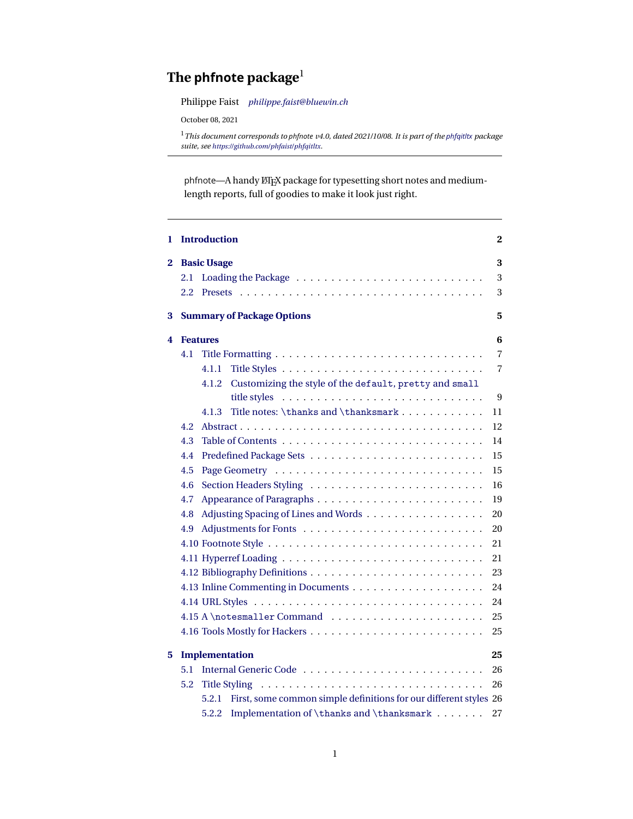# <span id="page-0-0"></span>**The phfnote package**<sup>1</sup>

Philippe Faist *[philippe.faist@bluewin.ch](mailto:philippe.faist@bluewin.ch)*

October 08, 2021

<sup>1</sup>*This document corresponds to phfnote v4.0, dated 2021/10/08. It is part of the [phfqitltx](https://github.com/phfaist/phfqitltx/) package suite, see <https://github.com/phfaist/phfqitltx>.*

phfnote—A handy  $E\rightarrow$  package for typesetting short notes and mediumlength reports, full of goodies to make it look just right.

| 1 |     | <b>Introduction</b>                                                        | 2  |
|---|-----|----------------------------------------------------------------------------|----|
| 2 |     | <b>Basic Usage</b>                                                         | 3  |
|   | 2.1 |                                                                            | 3  |
|   | 2.2 |                                                                            | 3  |
| 3 |     | <b>Summary of Package Options</b>                                          | 5  |
| 4 |     | <b>Features</b>                                                            | 6  |
|   | 4.1 |                                                                            | 7  |
|   |     | 4.1.1                                                                      | 7  |
|   |     | Customizing the style of the default, pretty and small<br>4.1.2            |    |
|   |     |                                                                            | 9  |
|   |     | Title notes: \thanks and \thanksmark<br>4.1.3                              | 11 |
|   | 4.2 |                                                                            | 12 |
|   | 4.3 |                                                                            | 14 |
|   | 4.4 |                                                                            | 15 |
|   | 4.5 |                                                                            | 15 |
|   | 4.6 |                                                                            | 16 |
|   | 4.7 |                                                                            | 19 |
|   | 4.8 | Adjusting Spacing of Lines and Words                                       | 20 |
|   | 4.9 |                                                                            | 20 |
|   |     |                                                                            | 21 |
|   |     |                                                                            | 21 |
|   |     |                                                                            | 23 |
|   |     |                                                                            | 24 |
|   |     |                                                                            | 24 |
|   |     |                                                                            | 25 |
|   |     |                                                                            | 25 |
| 5 |     | <b>Implementation</b>                                                      | 25 |
|   | 5.1 |                                                                            | 26 |
|   | 5.2 | <b>Title Styling</b>                                                       | 26 |
|   |     | First, some common simple definitions for our different styles 26<br>5.2.1 |    |
|   |     | Implementation of $\theta$ and $\theta$<br>5.2.2                           | 27 |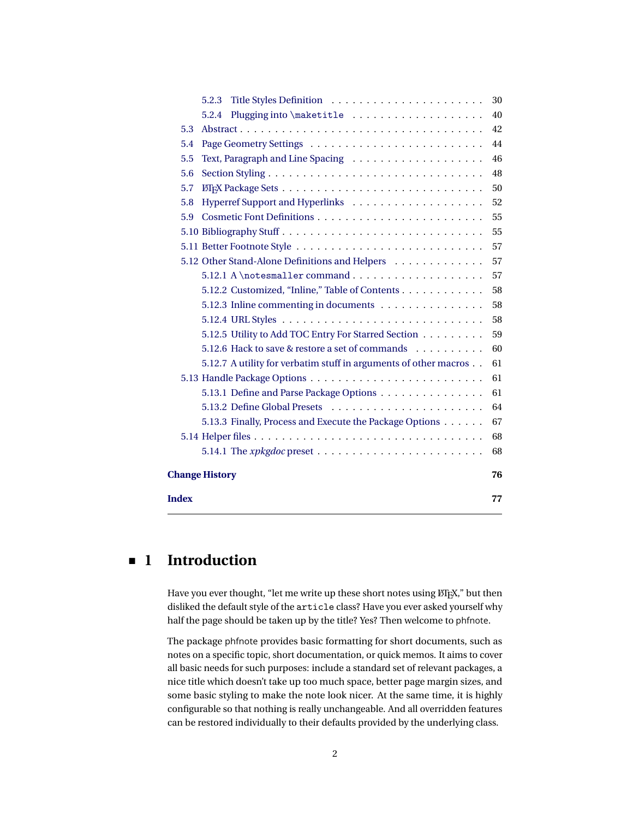|              | 5.2.3                                                            | 30 |
|--------------|------------------------------------------------------------------|----|
|              | Plugging into \maketitle<br>5.2.4                                | 40 |
| 5.3          |                                                                  | 42 |
| 5.4          |                                                                  | 44 |
| 5.5          |                                                                  | 46 |
| 5.6          |                                                                  | 48 |
| 5.7          |                                                                  | 50 |
| 5.8          |                                                                  | 52 |
| 5.9          |                                                                  | 55 |
|              |                                                                  | 55 |
|              |                                                                  | 57 |
|              | 5.12 Other Stand-Alone Definitions and Helpers                   | 57 |
|              |                                                                  | 57 |
|              | 5.12.2 Customized, "Inline," Table of Contents                   | 58 |
|              | 5.12.3 Inline commenting in documents                            | 58 |
|              |                                                                  | 58 |
|              | 5.12.5 Utility to Add TOC Entry For Starred Section              | 59 |
|              | 5.12.6 Hack to save & restore a set of commands                  | 60 |
|              | 5.12.7 A utility for verbatim stuff in arguments of other macros | 61 |
|              |                                                                  | 61 |
|              | 5.13.1 Define and Parse Package Options                          | 61 |
|              |                                                                  | 64 |
|              | 5.13.3 Finally, Process and Execute the Package Options          | 67 |
|              |                                                                  | 68 |
|              |                                                                  | 68 |
|              | <b>Change History</b>                                            | 76 |
| <b>Index</b> |                                                                  | 77 |
|              |                                                                  |    |

# <span id="page-1-0"></span>**1 Introduction**

Have you ever thought, "let me write up these short notes using  $\text{MEx},$ " but then disliked the default style of the article class? Have you ever asked yourself why half the page should be taken up by the title? Yes? Then welcome to phfnote.

The package phfnote provides basic formatting for short documents, such as notes on a specific topic, short documentation, or quick memos. It aims to cover all basic needs for such purposes: include a standard set of relevant packages, a nice title which doesn't take up too much space, better page margin sizes, and some basic styling to make the note look nicer. At the same time, it is highly configurable so that nothing is really unchangeable. And all overridden features can be restored individually to their defaults provided by the underlying class.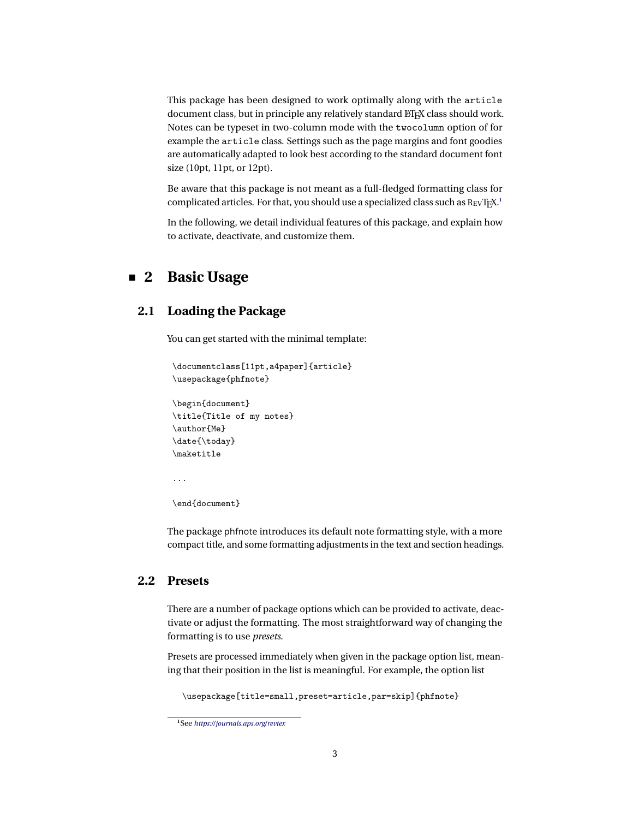This package has been designed to work optimally along with the article document class, but in principle any relatively standard ETFX class should work. Notes can be typeset in two-column mode with the twocolumn option of for example the article class. Settings such as the page margins and font goodies are automatically adapted to look best according to the standard document font size (10pt, 11pt, or 12pt).

Be aware that this package is not meant as a full-fledged formatting class for complicated articles. For that, you should use a specialized class such as REVTEX.<sup>[1](#page-2-3)</sup>

<span id="page-2-0"></span>In the following, we detail individual features of this package, and explain how to activate, deactivate, and customize them.

# **2 Basic Usage**

# <span id="page-2-1"></span>**2.1 Loading the Package**

You can get started with the minimal template:

```
\documentclass[11pt,a4paper]{article}
\usepackage{phfnote}
```

```
\begin{document}
\title{Title of my notes}
\author{Me}
\date{\today}
\maketitle
```
...

\end{document}

The package phfnote introduces its default note formatting style, with a more compact title, and some formatting adjustments in the text and section headings.

# <span id="page-2-2"></span>**2.2 Presets**

There are a number of package options which can be provided to activate, deactivate or adjust the formatting. The most straightforward way of changing the formatting is to use *presets*.

Presets are processed immediately when given in the package option list, meaning that their position in the list is meaningful. For example, the option list

\usepackage[title=small,preset=article,par=skip]{phfnote}

<span id="page-2-3"></span>**<sup>1</sup>**See *<https://journals.aps.org/revtex>*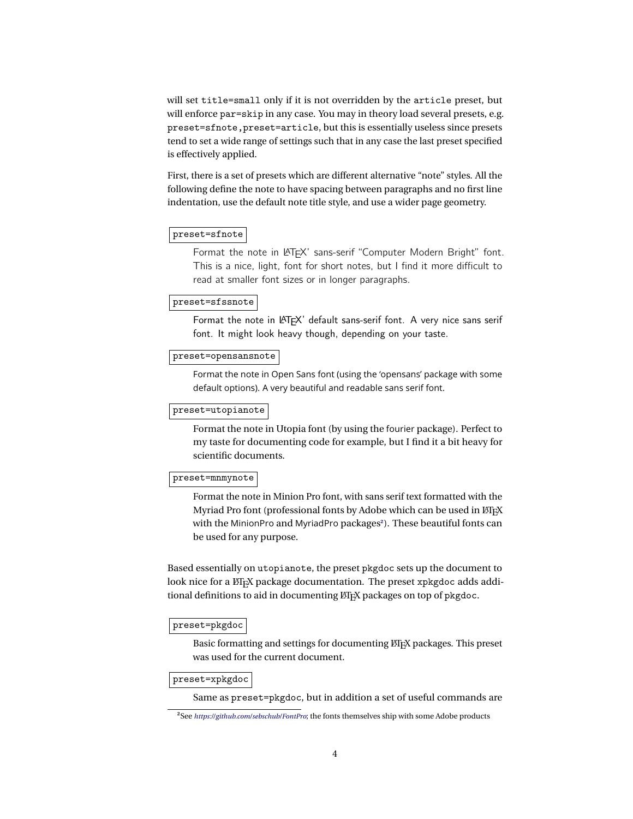will set title=small only if it is not overridden by the article preset, but will enforce par=skip in any case. You may in theory load several presets, e.g. preset=sfnote,preset=article, but this is essentially useless since presets tend to set a wide range of settings such that in any case the last preset specified is effectively applied.

First, there is a set of presets which are different alternative "note" styles. All the following define the note to have spacing between paragraphs and no first line indentation, use the default note title style, and use a wider page geometry.

### preset=sfnote

Format the note in LATEX' sans-serif "Computer Modern Bright" font. This is a nice, light, font for short notes, but I find it more difficult to read at smaller font sizes or in longer paragraphs.

### preset=sfssnote

Format the note in LATEX' default sans-serif font. A very nice sans serif font. It might look heavy though, depending on your taste.

#### preset=opensansnote

Format the note in Open Sans font (using the 'opensans' package with some default options). A very beautiful and readable sans serif font.

# preset=utopianote

Format the note in Utopia font (by using the fourier package). Perfect to my taste for documenting code for example, but I find it a bit heavy for scientific documents.

#### preset=mnmynote

Format the note in Minion Pro font, with sans serif text formatted with the Myriad Pro font (professional fonts by Adobe which can be used in ETEX with the MinionPro and MyriadPro package[s](#page-3-0)**<sup>2</sup>** ). These beautiful fonts can be used for any purpose.

Based essentially on utopianote, the preset pkgdoc sets up the document to look nice for a LATEX package documentation. The preset xpkgdoc adds additional definitions to aid in documenting LTFX packages on top of pkgdoc.

# preset=pkgdoc

Basic formatting and settings for documenting LATEX packages. This preset was used for the current document.

#### preset=xpkgdoc

Same as preset=pkgdoc, but in addition a set of useful commands are

<span id="page-3-0"></span>**<sup>2</sup>**See *<https://github.com/sebschub/FontPro>*; the fonts themselves ship with some Adobe products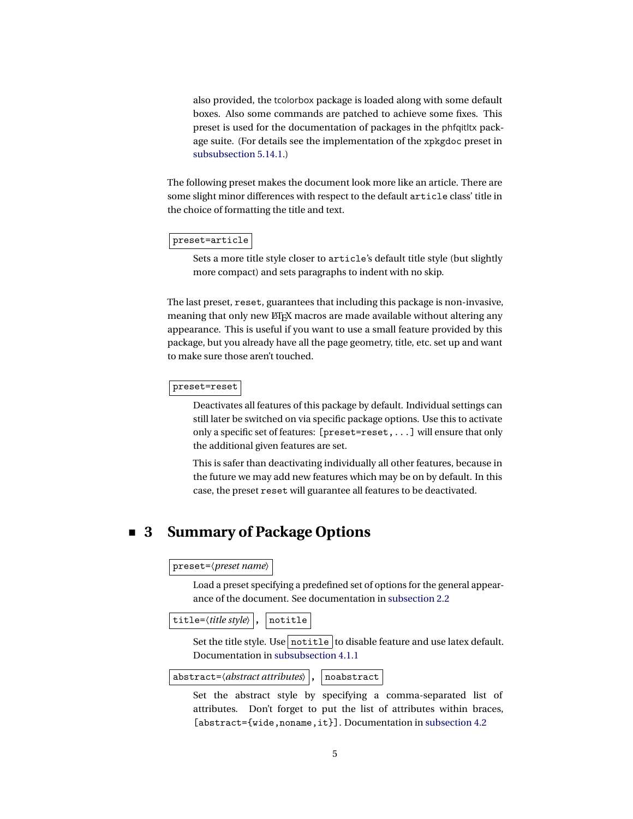also provided, the tcolorbox package is loaded along with some default boxes. Also some commands are patched to achieve some fixes. This preset is used for the documentation of packages in the phfqitltx package suite. (For details see the implementation of the xpkgdoc preset in [subsubsection 5.14.1.](#page-67-1))

The following preset makes the document look more like an article. There are some slight minor differences with respect to the default article class' title in the choice of formatting the title and text.

#### preset=article

Sets a more title style closer to article's default title style (but slightly more compact) and sets paragraphs to indent with no skip.

The last preset, reset, guarantees that including this package is non-invasive, meaning that only new ETEX macros are made available without altering any appearance. This is useful if you want to use a small feature provided by this package, but you already have all the page geometry, title, etc. set up and want to make sure those aren't touched.

#### preset=reset

Deactivates all features of this package by default. Individual settings can still later be switched on via specific package options. Use this to activate only a specific set of features: [preset=reset,...] will ensure that only the additional given features are set.

This is safer than deactivating individually all other features, because in the future we may add new features which may be on by default. In this case, the preset reset will guarantee all features to be deactivated.

# <span id="page-4-0"></span>**3 Summary of Package Options**

#### preset=〈*preset name*〉

Load a preset specifying a predefined set of options for the general appearance of the document. See documentation in [subsection 2.2](#page-2-2)

title=〈*title style*〉 **,** notitle

Set the title style. Use notitle to disable feature and use latex default. Documentation in [subsubsection 4.1.1](#page-6-1)

abstract=〈*abstract attributes*〉 **,** noabstract

Set the abstract style by specifying a comma-separated list of attributes. Don't forget to put the list of attributes within braces, [abstract={wide,noname,it}]. Documentation in [subsection 4.2](#page-11-0)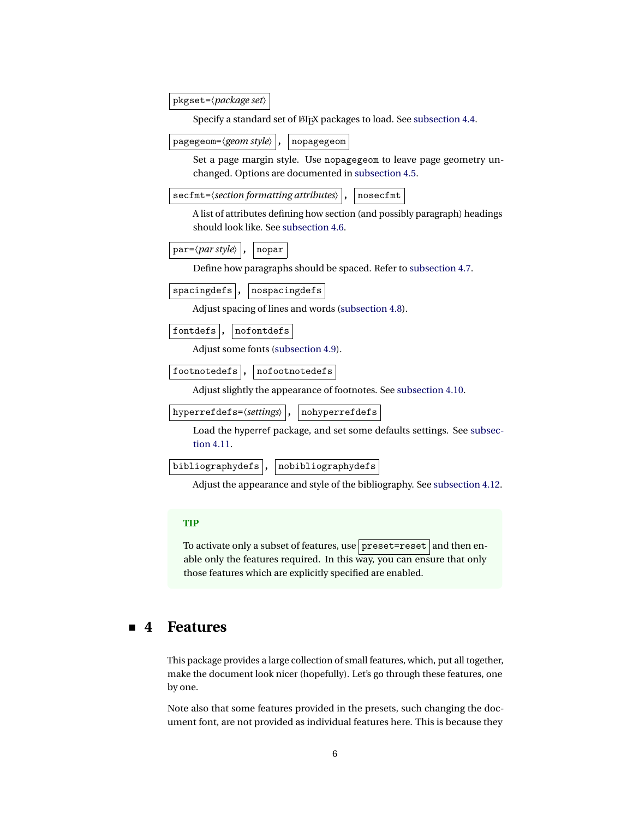pkgset=〈*package set*〉

Specify a standard set of LTEX packages to load. See [subsection 4.4.](#page-14-0)

pagegeom=〈*geom style*〉 **,** nopagegeom

Set a page margin style. Use nopagegeom to leave page geometry unchanged. Options are documented in [subsection 4.5.](#page-14-1)

secfmt= $\langle section\,formatting\,attributes \rangle$ , nosecfmt

A list of attributes defining how section (and possibly paragraph) headings should look like. See [subsection 4.6.](#page-15-0)

par=〈*par style*〉 **,** nopar

Define how paragraphs should be spaced. Refer to [subsection 4.7.](#page-18-0)

spacingdefs , nospacingdefs

Adjust spacing of lines and words [\(subsection 4.8\)](#page-19-0).

fontdefs , nofontdefs

Adjust some fonts [\(subsection 4.9\)](#page-19-1).

footnotedefs , nofootnotedefs

Adjust slightly the appearance of footnotes. See [subsection 4.10.](#page-20-0)

hyperrefdefs= $\langle$ *settings* $\rangle$  |, | nohyperrefdefs

Load the hyperref package, and set some defaults settings. See [subsec](#page-20-1)[tion 4.11.](#page-20-1)

bibliographydefs **,** nobibliographydefs

Adjust the appearance and style of the bibliography. See [subsection 4.12.](#page-22-0)

# **TIP**

To activate only a subset of features, use preset=reset and then enable only the features required. In this way, you can ensure that only those features which are explicitly specified are enabled.

# <span id="page-5-0"></span>**4 Features**

This package provides a large collection of small features, which, put all together, make the document look nicer (hopefully). Let's go through these features, one by one.

Note also that some features provided in the presets, such changing the document font, are not provided as individual features here. This is because they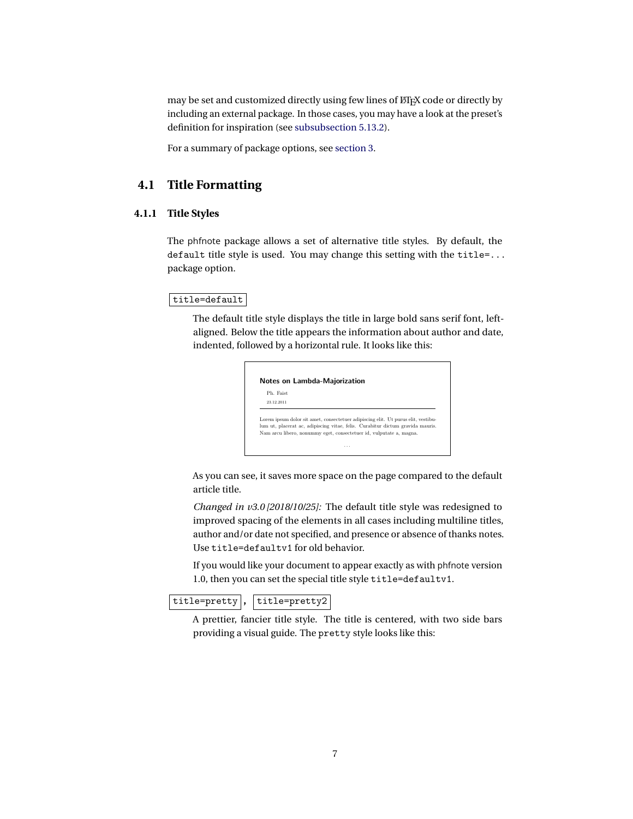may be set and customized directly using few lines of ETEX code or directly by including an external package. In those cases, you may have a look at the preset's definition for inspiration (see [subsubsection 5.13.2\)](#page-63-0).

<span id="page-6-0"></span>For a summary of package options, see [section 3.](#page-4-0)

# **4.1 Title Formatting**

# <span id="page-6-1"></span>**4.1.1 Title Styles**

The phfnote package allows a set of alternative title styles. By default, the default title style is used. You may change this setting with the title=... package option.

#### $|$ title=default $|$

The default title style displays the title in large bold sans serif font, leftaligned. Below the title appears the information about author and date, indented, followed by a horizontal rule. It looks like this:

| Ph. Faist  |                                                                                   |
|------------|-----------------------------------------------------------------------------------|
| 23.12.2011 |                                                                                   |
|            | Lorem ipsum dolor sit amet, consectetuer adipiscing elit. Ut purus elit, vestibu- |

As you can see, it saves more space on the page compared to the default article title.

*Changed in v3.0 [2018/10/25]:* The default title style was redesigned to improved spacing of the elements in all cases including multiline titles, author and/or date not specified, and presence or absence of thanks notes. Use title=defaultv1 for old behavior.

If you would like your document to appear exactly as with phfnote version 1.0, then you can set the special title style title=defaultv1.

title=pretty |, | title=pretty2 |

A prettier, fancier title style. The title is centered, with two side bars providing a visual guide. The pretty style looks like this: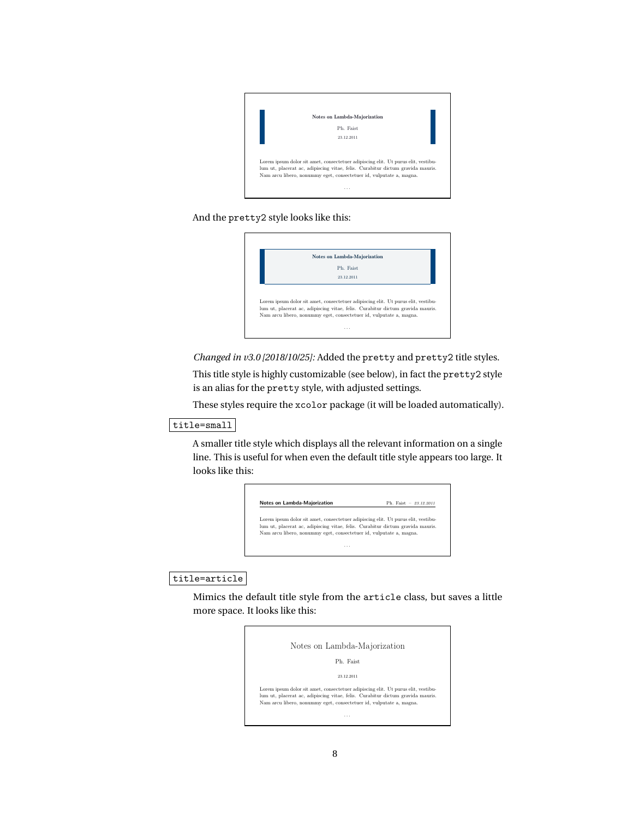

# And the pretty2 style looks like this:



*Changed in v3.0 [2018/10/25]:* Added the pretty and pretty2 title styles.

This title style is highly customizable (see below), in fact the pretty2 style is an alias for the pretty style, with adjusted settings.

These styles require the xcolor package (it will be loaded automatically).

# title=small

A smaller title style which displays all the relevant information on a single line. This is useful for when even the default title style appears too large. It looks like this:

|  | Lorem ipsum dolor sit amet, consectetuer adipiscing elit. Ut purus elit, vestibu- |
|--|-----------------------------------------------------------------------------------|
|  | lum ut, placerat ac, adipiscing vitae, felis. Curabitur dictum gravida mauris.    |
|  | Nam arcu libero, nonummy eget, consectetuer id, vulputate a, magna.               |

# title=article

Mimics the default title style from the article class, but saves a little more space. It looks like this:

> Notes on Lambda-Majorization Ph. Faist 23.12.2011 Lorem ipsum dolor sit amet, consectetuer adipiscing elit. Ut purus elit, vestibulum ut, placerat ac, adipiscing vitae, felis. Curabitur dictum gravida mauris. Nam arcu libero, nonummy eget, consectetuer id, vulputate a, magna. . . .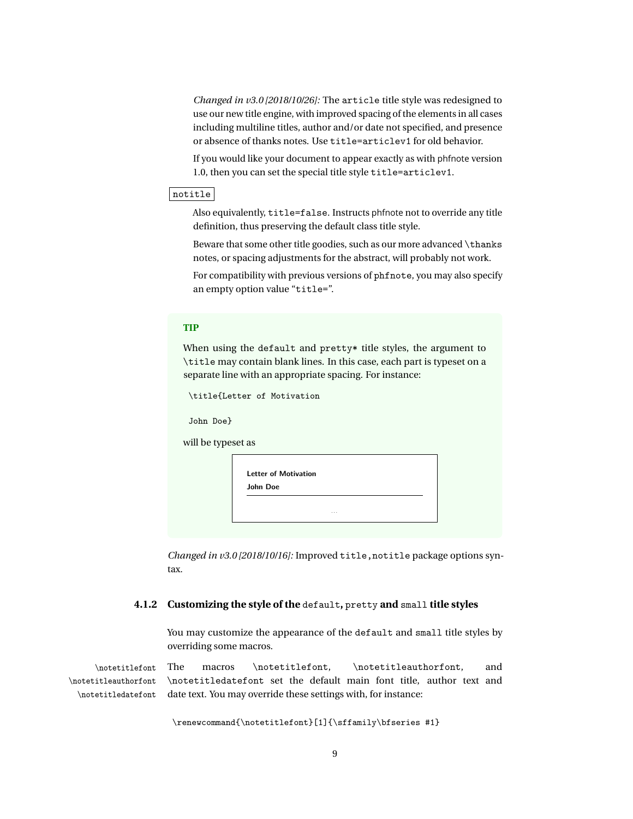*Changed in v3.0 [2018/10/26]:* The article title style was redesigned to use our new title engine, with improved spacing of the elements in all cases including multiline titles, author and/or date not specified, and presence or absence of thanks notes. Use title=articlev1 for old behavior.

If you would like your document to appear exactly as with phfnote version 1.0, then you can set the special title style title=articlev1.

# notitle

Also equivalently, title=false. Instructs phfnote not to override any title definition, thus preserving the default class title style.

Beware that some other title goodies, such as our more advanced \thanks notes, or spacing adjustments for the abstract, will probably not work.

For compatibility with previous versions of phfnote, you may also specify an empty option value "title=".

# **TIP**

When using the default and pretty\* title styles, the argument to \title may contain blank lines. In this case, each part is typeset on a separate line with an appropriate spacing. For instance:

|                    | \title{Letter of Motivation                         |  |
|--------------------|-----------------------------------------------------|--|
| John Doe}          |                                                     |  |
| will be typeset as |                                                     |  |
|                    | <b>Letter of Motivation</b><br>John Doe<br>$\cdots$ |  |

<span id="page-8-0"></span>*Changed in v3.0 [2018/10/16]:* Improved title,notitle package options syntax.

### **4.1.2 Customizing the style of the** default**,** pretty **and** small **title styles**

You may customize the appearance of the default and small title styles by overriding some macros.

\notetitlefont The macros \notetitlefont, \notetitleauthorfont, and \notetitleauthorfont \notetitledatefont \notetitledatefont set the default main font title, author text and date text. You may override these settings with, for instance:

\renewcommand{\notetitlefont}[1]{\sffamily\bfseries #1}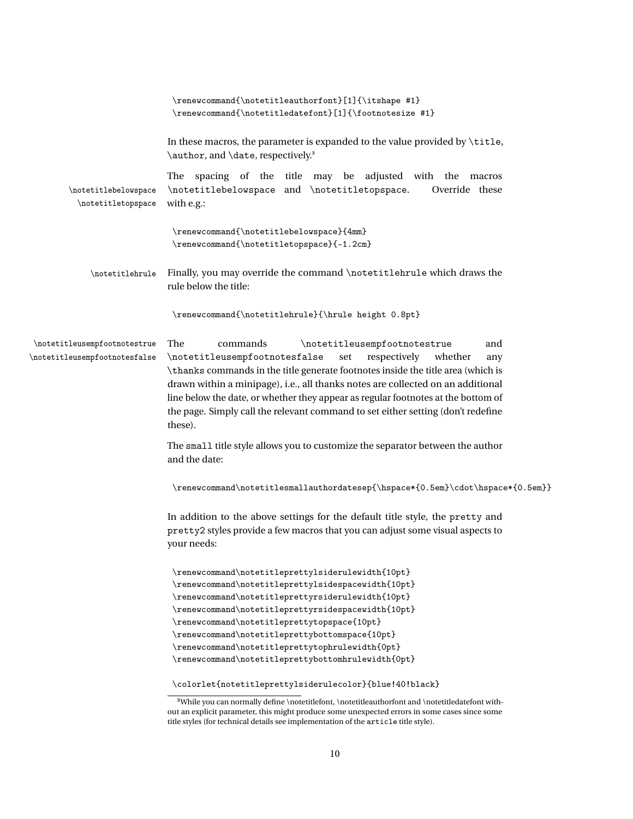|                                                                        | \renewcommand{\notetitleauthorfont}[1]{\itshape #1}<br>\renewcommand{\notetitledatefont}[1]{\footnotesize #1}                                                                                                                                                                                                                                                                                                                                                                               |
|------------------------------------------------------------------------|---------------------------------------------------------------------------------------------------------------------------------------------------------------------------------------------------------------------------------------------------------------------------------------------------------------------------------------------------------------------------------------------------------------------------------------------------------------------------------------------|
|                                                                        | In these macros, the parameter is expanded to the value provided by \title,<br>\author, and \date, respectively. <sup>3</sup>                                                                                                                                                                                                                                                                                                                                                               |
| \notetitlebelowspace<br>$\hbox{\scriptsize\textsf{notetitletopspace}}$ | The spacing of the title may be adjusted with the macros<br>\notetitlebelowspace and \notetitletopspace.<br>Override these<br>with e.g.:                                                                                                                                                                                                                                                                                                                                                    |
|                                                                        | $\verb \renewcommand (\not \verb cubelowspace  {4mm} )$<br>\renewcommand{\notetitletopspace}{-1.2cm}                                                                                                                                                                                                                                                                                                                                                                                        |
| \notetitlehrule                                                        | Finally, you may override the command \notetitlehrule which draws the<br>rule below the title:                                                                                                                                                                                                                                                                                                                                                                                              |
|                                                                        | \renewcommand{\notetitlehrule}{\hrule height 0.8pt}                                                                                                                                                                                                                                                                                                                                                                                                                                         |
| \notetitleusempfootnotestrue<br>\notetitleusempfootnotesfalse          | The<br>commands<br>\notetitleusempfootnotestrue<br>and<br>\notetitleusempfootnotesfalse<br>respectively<br>set<br>whether<br>any<br>\thanks commands in the title generate footnotes inside the title area (which is<br>drawn within a minipage), i.e., all thanks notes are collected on an additional<br>line below the date, or whether they appear as regular footnotes at the bottom of<br>the page. Simply call the relevant command to set either setting (don't redefine<br>these). |
|                                                                        | The small title style allows you to customize the separator between the author<br>and the date:                                                                                                                                                                                                                                                                                                                                                                                             |
|                                                                        | \renewcommand\notetitlesmallauthordatesep{\hspace*{0.5em}\cdot\hspace*{0.5em}}                                                                                                                                                                                                                                                                                                                                                                                                              |
|                                                                        | In addition to the above settings for the default title style, the pretty and<br>pretty2 styles provide a few macros that you can adjust some visual aspects to<br>your needs:                                                                                                                                                                                                                                                                                                              |
|                                                                        | \renewcommand\notetitleprettylsiderulewidth{10pt}<br>\renewcommand\notetitleprettylsidespacewidth{10pt}<br>\renewcommand\notetitleprettyrsiderulewidth{10pt}<br>\renewcommand\notetitleprettyrsidespacewidth{10pt}<br>\renewcommand\notetitleprettytopspace{10pt}<br>\renewcommand\notetitleprettybottomspace{10pt}<br>\renewcommand\notetitleprettytophrulewidth{0pt}<br>\renewcommand\notetitleprettybottomhrulewidth{0pt}                                                                |
|                                                                        | \colorlet{notetitleprettylsiderulecolor}{blue!40!black}<br><sup>3</sup> While you can normally define \notetitlefont \notetitleauthorfont and \notetitledatefont with-                                                                                                                                                                                                                                                                                                                      |

<span id="page-9-0"></span>**<sup>3</sup>**While you can normally define \notetitlefont, \notetitleauthorfont and \notetitledatefont without an explicit parameter, this might produce some unexpected errors in some cases since some title styles (for technical details see implementation of the article title style).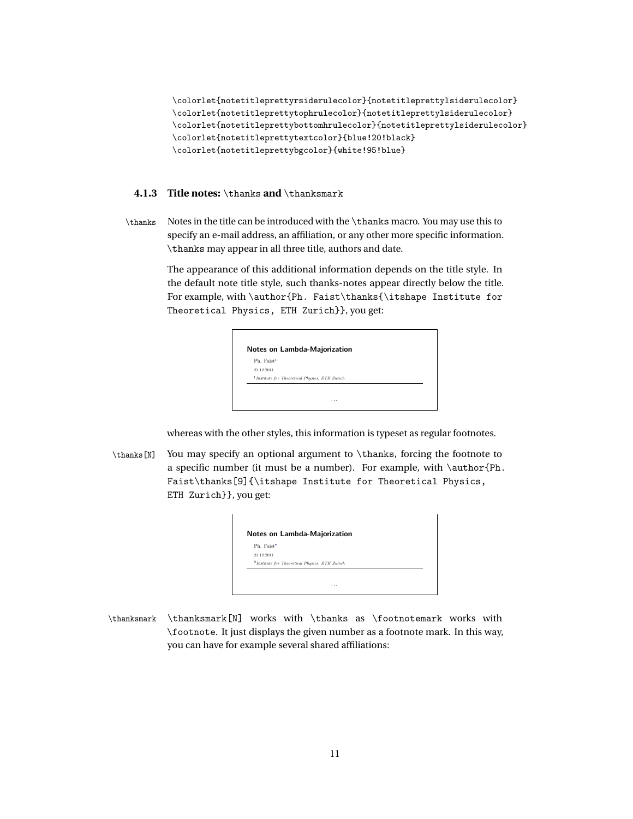\colorlet{notetitleprettyrsiderulecolor}{notetitleprettylsiderulecolor} \colorlet{notetitleprettytophrulecolor}{notetitleprettylsiderulecolor} \colorlet{notetitleprettybottomhrulecolor}{notetitleprettylsiderulecolor} \colorlet{notetitleprettytextcolor}{blue!20!black} \colorlet{notetitleprettybgcolor}{white!95!blue}

### <span id="page-10-0"></span>**4.1.3 Title notes:** \thanks **and** \thanksmark

\thanks Notes in the title can be introduced with the \thanks macro. You may use this to specify an e-mail address, an affiliation, or any other more specific information. \thanks may appear in all three title, authors and date.

> The appearance of this additional information depends on the title style. In the default note title style, such thanks-notes appear directly below the title. For example, with \author{Ph. Faist\thanks{\itshape Institute for Theoretical Physics, ETH Zurich}}, you get:

| Ph. Faist <sup>1</sup> |                                                            |  |
|------------------------|------------------------------------------------------------|--|
| 23.12.2011             |                                                            |  |
|                        | <sup>1</sup> Institute for Theoretical Physics, ETH Zurich |  |

whereas with the other styles, this information is typeset as regular footnotes.

\thanks[N] You may specify an optional argument to \thanks, forcing the footnote to a specific number (it must be a number). For example, with \author{Ph. Faist\thanks[9]{\itshape Institute for Theoretical Physics, ETH Zurich}}, you get:

| Ph. Faist <sup>9</sup> |                                                   |  |
|------------------------|---------------------------------------------------|--|
| 23.12.2011             |                                                   |  |
|                        | $9$ Institute for Theoretical Physics, ETH Zurich |  |

 $\mathbf{L}$ 

\thanksmark \thanksmark[N] works with \thanks as \footnotemark works with \footnote. It just displays the given number as a footnote mark. In this way, you can have for example several shared affiliations: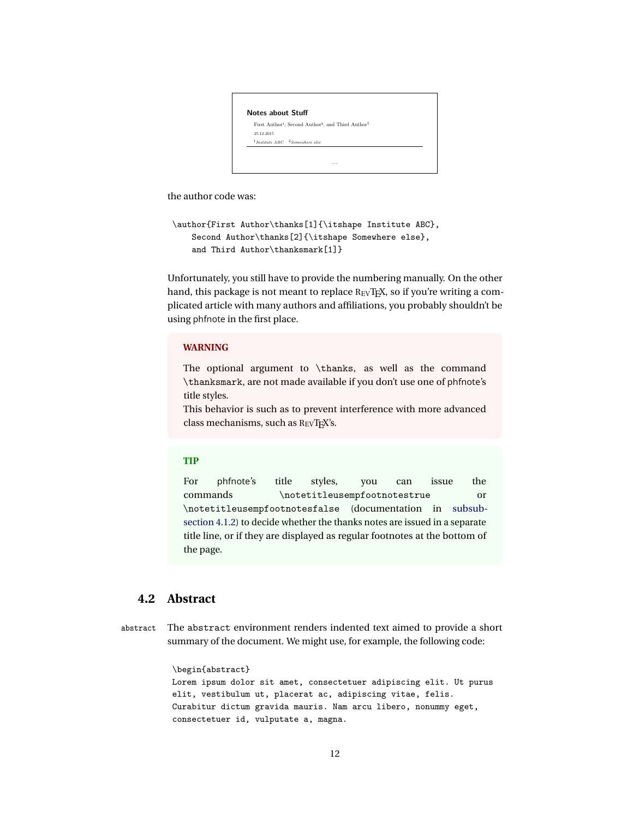Notes about Stuff First Author<sup>1</sup>[,](#page-0-0) Second Author<sup>2</sup>, and Third Author<sup>1</sup> 25.12.2015  $1$ Institute  $ABC$   $2$  Somewhere else . . .

the author code was:

```
\author{First Author\thanks[1]{\itshape Institute ABC},
    Second Author\thanks[2]{\itshape Somewhere else},
    and Third Author\thanksmark[1]}
```
Unfortunately, you still have to provide the numbering manually. On the other hand, this package is not meant to replace REVTEX, so if you're writing a complicated article with many authors and affiliations, you probably shouldn't be using phfnote in the first place.

#### **WARNING**

The optional argument to \thanks, as well as the command \thanksmark, are not made available if you don't use one of phfnote's title styles.

This behavior is such as to prevent interference with more advanced class mechanisms, such as REVTEX's.

# **TIP**

For phfnote's title styles, you can issue the commands \notetitleusempfootnotestrue or \notetitleusempfootnotesfalse (documentation in [subsub](#page-8-0)[section 4.1.2\)](#page-8-0) to decide whether the thanks notes are issued in a separate title line, or if they are displayed as regular footnotes at the bottom of the page.

# <span id="page-11-0"></span>**4.2 Abstract**

abstract The abstract environment renders indented text aimed to provide a short summary of the document. We might use, for example, the following code:

```
\begin{abstract}
Lorem ipsum dolor sit amet, consectetuer adipiscing elit. Ut purus
elit, vestibulum ut, placerat ac, adipiscing vitae, felis.
Curabitur dictum gravida mauris. Nam arcu libero, nonummy eget,
consectetuer id, vulputate a, magna.
```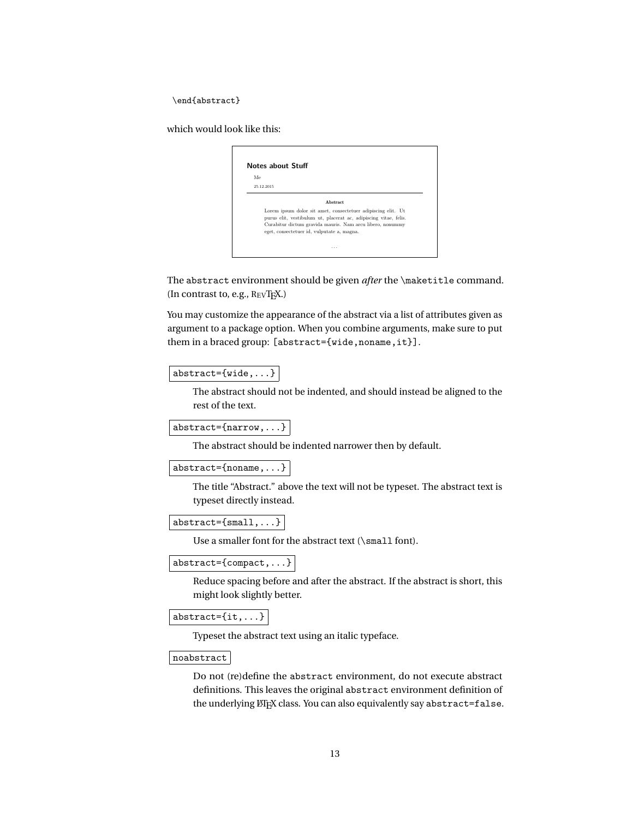\end{abstract}

which would look like this:

| Me |                                                                                                                                  |
|----|----------------------------------------------------------------------------------------------------------------------------------|
|    | 25.12.2015                                                                                                                       |
|    | Abstract                                                                                                                         |
|    | Lorem ipsum dolor sit amet, consectetuer adipiscing elit. Ut<br>purus elit, vestibulum ut, placerat ac, adipiscing vitae, felis. |
|    | Curabitur dictum gravida mauris. Nam arcu libero, nonummy<br>eget, consectetuer id, vulputate a, magna.                          |

The abstract environment should be given *after* the \maketitle command. (In contrast to, e.g., REVTEX.)

You may customize the appearance of the abstract via a list of attributes given as argument to a package option. When you combine arguments, make sure to put them in a braced group: [abstract={wide,noname,it}].

# abstract={wide,...}

The abstract should not be indented, and should instead be aligned to the rest of the text.

```
abstract={narrow,...}
```
The abstract should be indented narrower then by default.

abstract={noname,...}

The title "Abstract." above the text will not be typeset. The abstract text is typeset directly instead.

```
abstract={small,...}
```
Use a smaller font for the abstract text (\small font).

abstract={compact,...}

Reduce spacing before and after the abstract. If the abstract is short, this might look slightly better.

```
abstract={it,...}
```
Typeset the abstract text using an italic typeface.

#### noabstract

Do not (re)define the abstract environment, do not execute abstract definitions. This leaves the original abstract environment definition of the underlying LATEX class. You can also equivalently say abstract=false.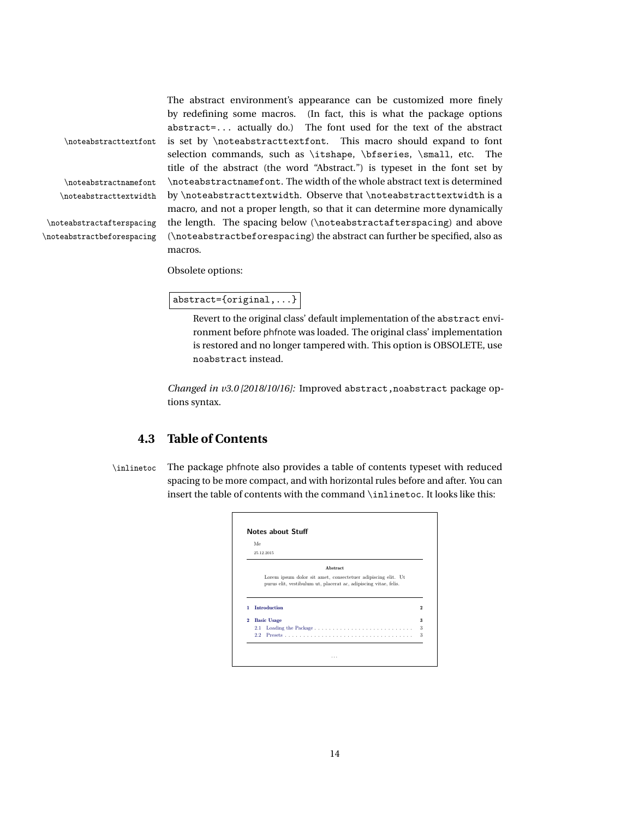The abstract environment's appearance can be customized more finely by redefining some macros. (In fact, this is what the package options abstract=... actually do.) The font used for the text of the abstract \noteabstracttextfont is set by \noteabstracttextfont. This macro should expand to font selection commands, such as \itshape, \bfseries, \small, etc. The title of the abstract (the word "Abstract.") is typeset in the font set by \noteabstractnamefont \noteabstractnamefont. The width of the whole abstract text is determined \noteabstracttextwidth by \noteabstracttextwidth. Observe that \noteabstracttextwidth is a macro, and not a proper length, so that it can determine more dynamically \noteabstractafterspacing the length. The spacing below (\noteabstractafterspacing) and above \noteabstractbeforespacing (\noteabstractbeforespacing) the abstract can further be specified, also as macros.

Obsolete options:

abstract={original,...}

Revert to the original class' default implementation of the abstract environment before phfnote was loaded. The original class' implementation is restored and no longer tampered with. This option is OBSOLETE, use noabstract instead.

*Changed in v3.0 [2018/10/16]:* Improved abstract, noabstract package options syntax.

# <span id="page-13-0"></span>**4.3 Table of Contents**

\inlinetoc The package phfnote also provides a table of contents typeset with reduced spacing to be more compact, and with horizontal rules before and after. You can insert the table of contents with the command \inlinetoc. It looks like this:

|                   | Me<br>25.12.2015                                                 |                |
|-------------------|------------------------------------------------------------------|----------------|
|                   |                                                                  |                |
|                   | Abstract                                                         |                |
|                   | Lorem ipsum dolor sit amet, consectetuer adipiscing elit. Ut     |                |
|                   |                                                                  |                |
|                   | purus elit, vestibulum ut, placerat ac, adipiscing vitae, felis. |                |
|                   |                                                                  |                |
|                   | <b>Introduction</b>                                              |                |
|                   |                                                                  | $\overline{2}$ |
|                   | <b>Basic Usage</b>                                               | 3              |
| 1<br>$\mathbf{2}$ | 2.1                                                              | 3              |

14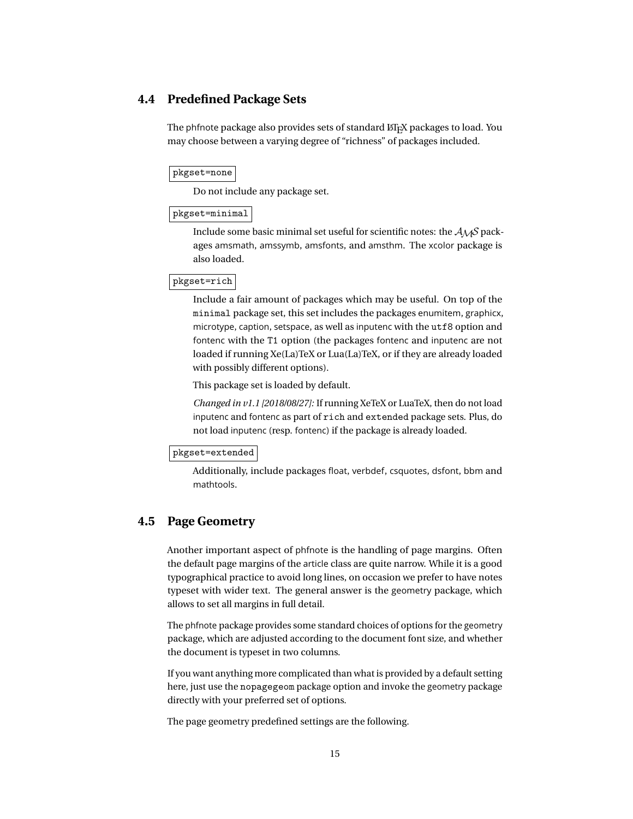# <span id="page-14-0"></span>**4.4 Predefined Package Sets**

The phfnote package also provides sets of standard ET<sub>E</sub>X packages to load. You may choose between a varying degree of "richness" of packages included.

#### pkgset=none

Do not include any package set.

# pkgset=minimal

Include some basic minimal set useful for scientific notes: the  $A_{\mathcal{M}}S$  packages amsmath, amssymb, amsfonts, and amsthm. The xcolor package is also loaded.

#### pkgset=rich

Include a fair amount of packages which may be useful. On top of the minimal package set, this set includes the packages enumitem, graphicx, microtype, caption, setspace, as well as inputenc with the utf8 option and fontenc with the T1 option (the packages fontenc and inputenc are not loaded if running Xe(La)TeX or Lua(La)TeX, or if they are already loaded with possibly different options).

This package set is loaded by default.

*Changed in v1.1 [2018/08/27]:* If running XeTeX or LuaTeX, then do not load inputenc and fontenc as part of rich and extended package sets. Plus, do not load inputenc (resp. fontenc) if the package is already loaded.

#### pkgset=extended

Additionally, include packages float, verbdef, csquotes, dsfont, bbm and mathtools.

# <span id="page-14-1"></span>**4.5 Page Geometry**

Another important aspect of phfnote is the handling of page margins. Often the default page margins of the article class are quite narrow. While it is a good typographical practice to avoid long lines, on occasion we prefer to have notes typeset with wider text. The general answer is the geometry package, which allows to set all margins in full detail.

The phfnote package provides some standard choices of options for the geometry package, which are adjusted according to the document font size, and whether the document is typeset in two columns.

If you want anything more complicated than what is provided by a default setting here, just use the nopagegeom package option and invoke the geometry package directly with your preferred set of options.

The page geometry predefined settings are the following.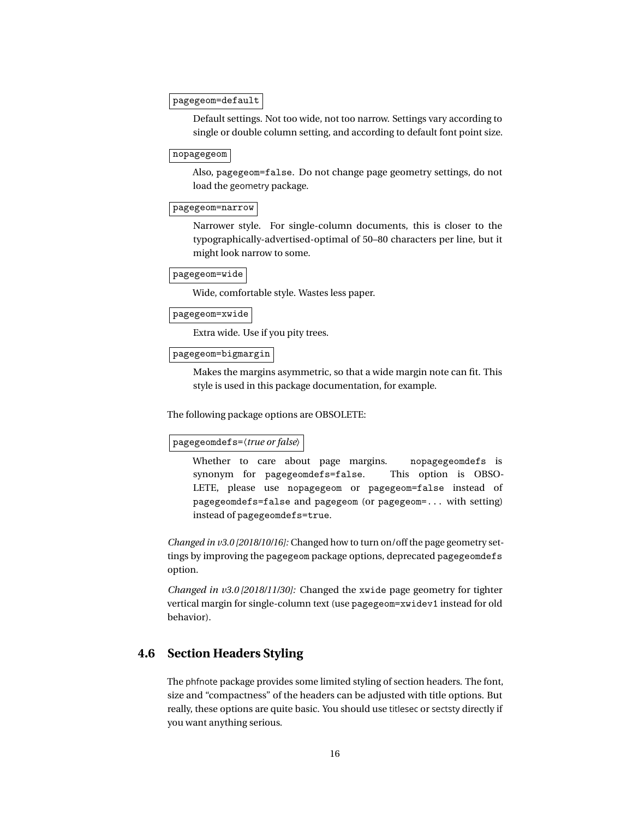#### pagegeom=default

Default settings. Not too wide, not too narrow. Settings vary according to single or double column setting, and according to default font point size.

### nopagegeom

Also, pagegeom=false. Do not change page geometry settings, do not load the geometry package.

#### pagegeom=narrow

Narrower style. For single-column documents, this is closer to the typographically-advertised-optimal of 50–80 characters per line, but it might look narrow to some.

# pagegeom=wide

Wide, comfortable style. Wastes less paper.

pagegeom=xwide

Extra wide. Use if you pity trees.

#### pagegeom=bigmargin

Makes the margins asymmetric, so that a wide margin note can fit. This style is used in this package documentation, for example.

The following package options are OBSOLETE:

#### pagegeomdefs=〈*true or false*〉

Whether to care about page margins. nopagegeomdefs is synonym for pagegeomdefs=false. This option is OBSO-LETE, please use nopagegeom or pagegeom=false instead of pagegeomdefs=false and pagegeom (or pagegeom=... with setting) instead of pagegeomdefs=true.

*Changed in v3.0 [2018/10/16]:* Changed how to turn on/off the page geometry settings by improving the pagegeom package options, deprecated pagegeomdefs option.

*Changed in v3.0 [2018/11/30]:* Changed the xwide page geometry for tighter vertical margin for single-column text (use pagegeom=xwidev1 instead for old behavior).

# <span id="page-15-0"></span>**4.6 Section Headers Styling**

The phfnote package provides some limited styling of section headers. The font, size and "compactness" of the headers can be adjusted with title options. But really, these options are quite basic. You should use titlesec or sectsty directly if you want anything serious.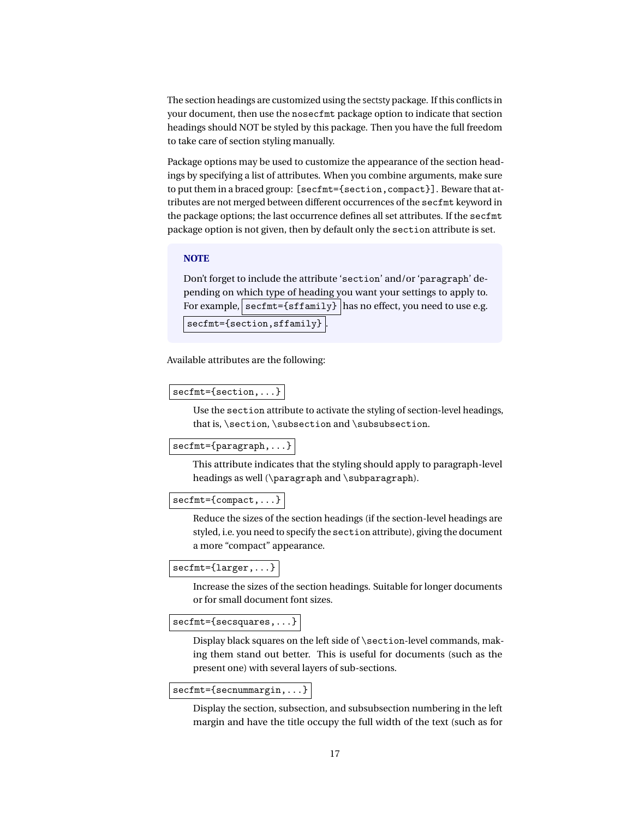The section headings are customized using the sectsty package. If this conflicts in your document, then use the nosecfmt package option to indicate that section headings should NOT be styled by this package. Then you have the full freedom to take care of section styling manually.

Package options may be used to customize the appearance of the section headings by specifying a list of attributes. When you combine arguments, make sure to put them in a braced group: [secfmt={section,compact}]. Beware that attributes are not merged between different occurrences of the secfmt keyword in the package options; the last occurrence defines all set attributes. If the secfmt package option is not given, then by default only the section attribute is set.

#### **NOTE**

Don't forget to include the attribute 'section' and/or 'paragraph' depending on which type of heading you want your settings to apply to. For example, secfmt={sffamily} | has no effect, you need to use e.g. secfmt={section, sffamily}

Available attributes are the following:

#### secfmt={section,...}

Use the section attribute to activate the styling of section-level headings, that is, \section, \subsection and \subsubsection.

### secfmt={paragraph,...}

This attribute indicates that the styling should apply to paragraph-level headings as well (\paragraph and \subparagraph).

#### secfmt={compact,...}

Reduce the sizes of the section headings (if the section-level headings are styled, i.e. you need to specify the section attribute), giving the document a more "compact" appearance.

# secfmt={larger,...}

Increase the sizes of the section headings. Suitable for longer documents or for small document font sizes.

#### secfmt={secsquares,...}

Display black squares on the left side of \section-level commands, making them stand out better. This is useful for documents (such as the present one) with several layers of sub-sections.

### secfmt={secnummargin,...}

Display the section, subsection, and subsubsection numbering in the left margin and have the title occupy the full width of the text (such as for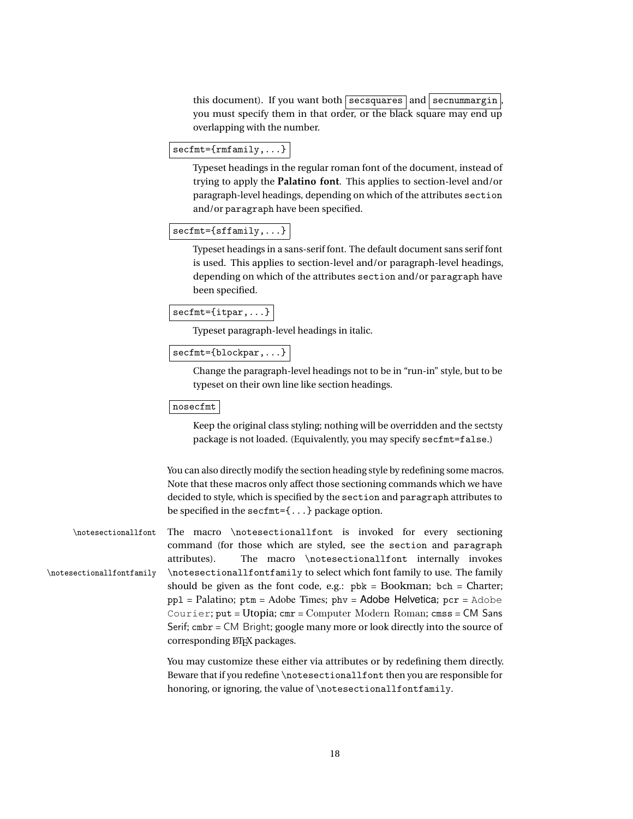this document). If you want both  $\sqrt{\frac{1}{s} \arccos\sqrt{s}}$  and  $\sqrt{\frac{s}{s}}$  secnummargin you must specify them in that order, or the black square may end up overlapping with the number.

```
secfmt={rmfamily,...}
```
Typeset headings in the regular roman font of the document, instead of trying to apply the **Palatino font**. This applies to section-level and/or paragraph-level headings, depending on which of the attributes section and/or paragraph have been specified.

```
secfmt={sffamily,...}
```
Typeset headings in a sans-serif font. The default document sans serif font is used. This applies to section-level and/or paragraph-level headings, depending on which of the attributes section and/or paragraph have been specified.

```
secfmt={itpar,...}
```
Typeset paragraph-level headings in italic.

```
secfmt={blockpar,...}
```
Change the paragraph-level headings not to be in "run-in" style, but to be typeset on their own line like section headings.

#### nosecfmt

Keep the original class styling; nothing will be overridden and the sectsty package is not loaded. (Equivalently, you may specify secfmt=false.)

You can also directly modify the section heading style by redefining some macros. Note that these macros only affect those sectioning commands which we have decided to style, which is specified by the section and paragraph attributes to be specified in the secfmt={...} package option.

\notesectionallfont The macro \notesectionallfont is invoked for every sectioning command (for those which are styled, see the section and paragraph attributes). The macro \notesectionallfont internally invokes \notesectionallfontfamily \notesectionallfontfamily to select which font family to use. The family should be given as the font code, e.g.:  $pbk = Bookman$ ;  $bch = Charter$ ;  $pp1 = Palatino$ ;  $ptm = Adobe Times$ ;  $phv = Adobe Helvetica$ ;  $pcr = Adobe$ Courier; put = Utopia; cmr = Computer Modern Roman; cmss = CM Sans Serif; cmbr = CM Bright; google many more or look directly into the source of corresponding LATEX packages.

> You may customize these either via attributes or by redefining them directly. Beware that if you redefine \notesectionallfont then you are responsible for honoring, or ignoring, the value of \notesectionallfontfamily.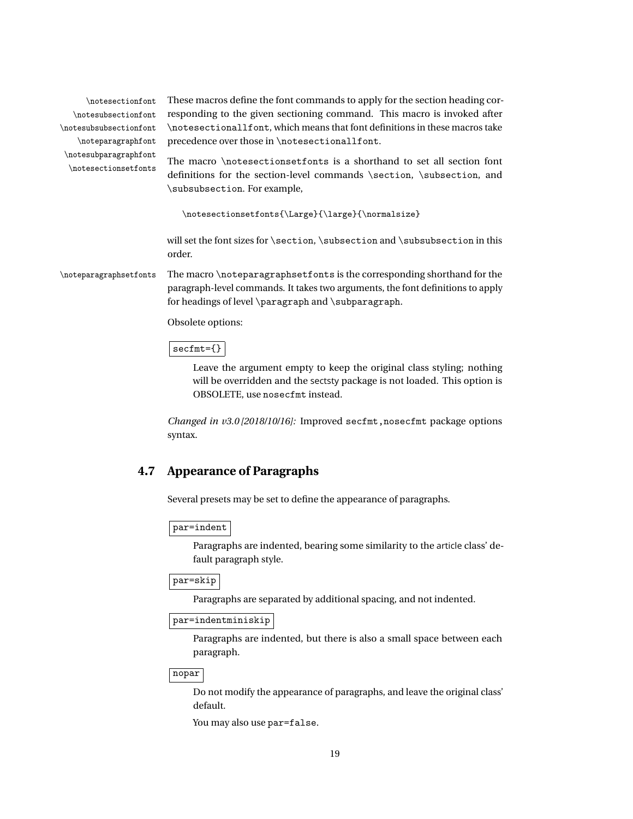\notesubsectionfont \notesubsubsectionfont \noteparagraphfont \notesubparagraphfont

\notesectionfont These macros define the font commands to apply for the section heading cor responding to the given sectioning command. This macro is invoked after \notesectionallfont, which means that font definitions in these macros take precedence over those in \notesectionallfont.

The macro \notesectionsetfonts is a shorthand to set all section font \notesectionsetfonts definitions for the section-level commands \section, \subsection, and \subsubsection. For example,

\notesectionsetfonts{\Large}{\large}{\normalsize}

will set the font sizes for \section, \subsection and \subsubsection in this order.

\noteparagraphsetfonts The macro \noteparagraphsetfonts is the corresponding shorthand for the paragraph-level commands. It takes two arguments, the font definitions to apply for headings of level \paragraph and \subparagraph.

Obsolete options:

#### secfmt={}

Leave the argument empty to keep the original class styling; nothing will be overridden and the sectsty package is not loaded. This option is OBSOLETE, use nosecfmt instead.

*Changed in v3.0 [2018/10/16]:* Improved secfmt,nosecfmt package options syntax.

# <span id="page-18-0"></span>**4.7 Appearance of Paragraphs**

Several presets may be set to define the appearance of paragraphs.

### par=indent

Paragraphs are indented, bearing some similarity to the article class' default paragraph style.

par=skip

Paragraphs are separated by additional spacing, and not indented.

par=indentminiskip

Paragraphs are indented, but there is also a small space between each paragraph.

| nopar |

Do not modify the appearance of paragraphs, and leave the original class' default.

You may also use par=false.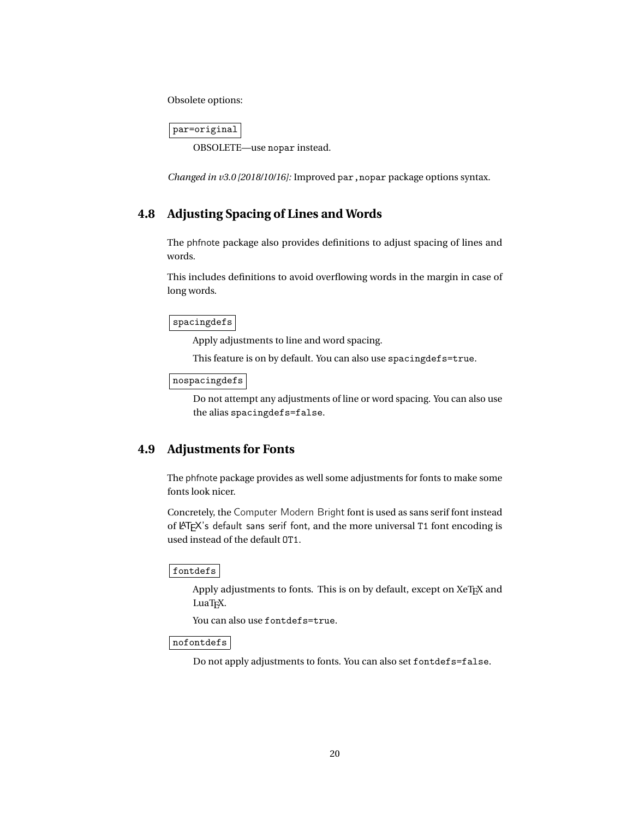Obsolete options:

par=original

OBSOLETE—use nopar instead.

<span id="page-19-0"></span>*Changed in v3.0 [2018/10/16]:* Improved par, nopar package options syntax.

# **4.8 Adjusting Spacing of Lines and Words**

The phfnote package also provides definitions to adjust spacing of lines and words.

This includes definitions to avoid overflowing words in the margin in case of long words.

spacingdefs

Apply adjustments to line and word spacing.

This feature is on by default. You can also use spacingdefs=true.

nospacingdefs

Do not attempt any adjustments of line or word spacing. You can also use the alias spacingdefs=false.

# <span id="page-19-1"></span>**4.9 Adjustments for Fonts**

The phfnote package provides as well some adjustments for fonts to make some fonts look nicer.

Concretely, the Computer Modern Bright font is used as sans serif font instead of LATEX's default sans serif font, and the more universal T1 font encoding is used instead of the default OT1.

fontdefs

Apply adjustments to fonts. This is on by default, except on XeTEX and LuaT<sub>E</sub>X.

You can also use fontdefs=true.

nofontdefs

Do not apply adjustments to fonts. You can also set fontdefs=false.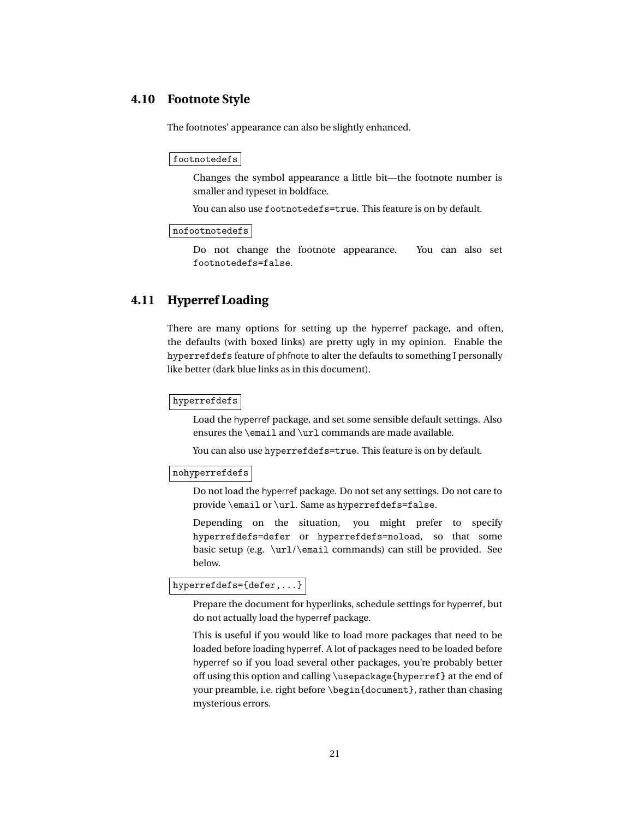# **4.10 Footnote Style**

<span id="page-20-0"></span>The footnotes' appearance can also be slightly enhanced.

#### footnotedefs

Changes the symbol appearance a little bit—the footnote number is smaller and typeset in boldface.

You can also use footnotedefs=true. This feature is on by default.

#### nofootnotedefs

Do not change the footnote appearance. You can also set footnotedefs=false.

# <span id="page-20-1"></span>**4.11 Hyperref Loading**

There are many options for setting up the hyperref package, and often, the defaults (with boxed links) are pretty ugly in my opinion. Enable the hyperrefdefs feature of phfnote to alter the defaults to something I personally like better (dark blue links as in this document).

#### hyperrefdefs

Load the hyperref package, and set some sensible default settings. Also ensures the \email and \url commands are made available.

You can also use hyperrefdefs=true. This feature is on by default.

#### nohyperrefdefs

Do not load the hyperref package. Do not set any settings. Do not care to provide \email or \url. Same as hyperrefdefs=false.

Depending on the situation, you might prefer to specify hyperrefdefs=defer or hyperrefdefs=noload, so that some basic setup (e.g. \url/\email commands) can still be provided. See below.

# hyperrefdefs={defer,...}

Prepare the document for hyperlinks, schedule settings for hyperref, but do not actually load the hyperref package.

This is useful if you would like to load more packages that need to be loaded before loading hyperref. A lot of packages need to be loaded before hyperref so if you load several other packages, you're probably better off using this option and calling \usepackage{hyperref} at the end of your preamble, i.e. right before \begin{document}, rather than chasing mysterious errors.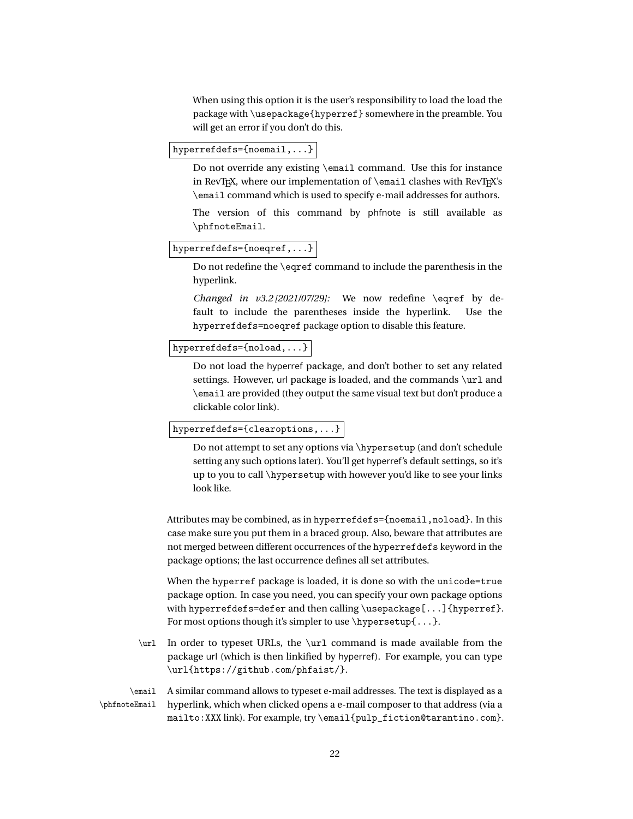When using this option it is the user's responsibility to load the load the package with \usepackage{hyperref} somewhere in the preamble. You will get an error if you don't do this.

hyperrefdefs={noemail,...}

Do not override any existing \email command. Use this for instance in RevT<sub>E</sub>X, where our implementation of  $\epsilon$  and clashes with RevT<sub>E</sub>X's \email command which is used to specify e-mail addresses for authors.

The version of this command by phfnote is still available as \phfnoteEmail.

#### hyperrefdefs={noeqref,...}

Do not redefine the \eqref command to include the parenthesis in the hyperlink.

*Changed in v3.2 [2021/07/29]:* We now redefine \eqref by default to include the parentheses inside the hyperlink. Use the hyperrefdefs=noeqref package option to disable this feature.

# hyperrefdefs={noload,...}

Do not load the hyperref package, and don't bother to set any related settings. However, url package is loaded, and the commands \url and \email are provided (they output the same visual text but don't produce a clickable color link).

#### hyperrefdefs={clearoptions,...}

Do not attempt to set any options via \hypersetup (and don't schedule setting any such options later). You'll get hyperref's default settings, so it's up to you to call \hypersetup with however you'd like to see your links look like.

Attributes may be combined, as in hyperrefdefs={noemail,noload}. In this case make sure you put them in a braced group. Also, beware that attributes are not merged between different occurrences of the hyperrefdefs keyword in the package options; the last occurrence defines all set attributes.

When the hyperref package is loaded, it is done so with the unicode=true package option. In case you need, you can specify your own package options with hyperrefdefs=defer and then calling  $\usepackage[...]$  {hyperref}. For most options though it's simpler to use  $\hbox{\textbackslash}$  hypersetup $\{\ldots\}$ .

\url In order to typeset URLs, the \url command is made available from the package url (which is then linkified by hyperref). For example, you can type \url{https://github.com/phfaist/}.

\email A similar command allows to typeset e-mail addresses. The text is displayed as a \phfnoteEmail hyperlink, which when clicked opens a e-mail composer to that address (via a mailto:XXX link). For example, try \email{pulp\_fiction@tarantino.com}.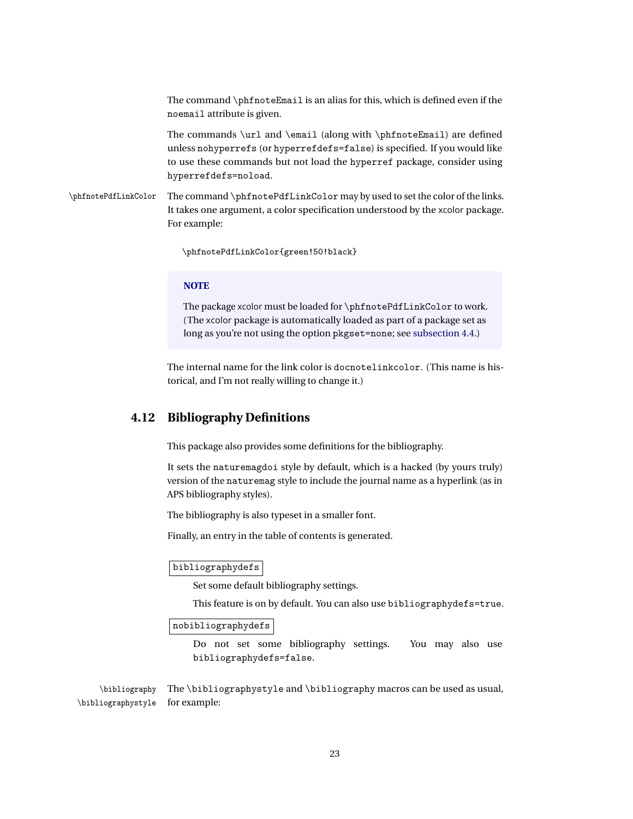The command \phfnoteEmail is an alias for this, which is defined even if the noemail attribute is given.

The commands \url and \email (along with \phfnoteEmail) are defined unless nohyperrefs (or hyperrefdefs=false) is specified. If you would like to use these commands but not load the hyperref package, consider using hyperrefdefs=noload.

\phfnotePdfLinkColor The command \phfnotePdfLinkColor may by used to set the color of the links. It takes one argument, a color specification understood by the xcolor package. For example:

\phfnotePdfLinkColor{green!50!black}

#### **NOTE**

The package xcolor must be loaded for \phfnotePdfLinkColor to work. (The xcolor package is automatically loaded as part of a package set as long as you're not using the option pkgset=none; see [subsection 4.4.](#page-14-0))

The internal name for the link color is docnotelinkcolor. (This name is historical, and I'm not really willing to change it.)

# <span id="page-22-0"></span>**4.12 Bibliography Definitions**

This package also provides some definitions for the bibliography.

It sets the naturemagdoi style by default, which is a hacked (by yours truly) version of the naturemag style to include the journal name as a hyperlink (as in APS bibliography styles).

The bibliography is also typeset in a smaller font.

Finally, an entry in the table of contents is generated.

#### bibliographydefs

Set some default bibliography settings.

This feature is on by default. You can also use bibliographydefs=true.

#### nobibliographydefs

Do not set some bibliography settings. You may also use bibliographydefs=false.

\bibliography The \bibliographystyle and \bibliography macros can be used as usual, \bibliographystyle for example: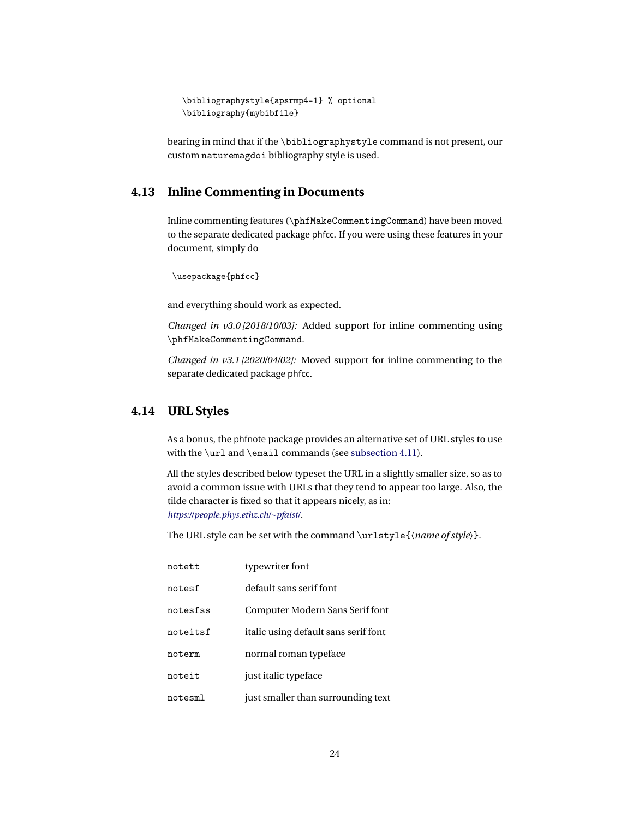```
\bibliographystyle{apsrmp4-1} % optional
\bibliography{mybibfile}
```
bearing in mind that if the \bibliographystyle command is not present, our custom naturemagdoi bibliography style is used.

# <span id="page-23-0"></span>**4.13 Inline Commenting in Documents**

Inline commenting features (\phfMakeCommentingCommand) have been moved to the separate dedicated package phfcc. If you were using these features in your document, simply do

```
\usepackage{phfcc}
```
and everything should work as expected.

*Changed in v3.0 [2018/10/03]:* Added support for inline commenting using \phfMakeCommentingCommand.

<span id="page-23-1"></span>*Changed in v3.1 [2020/04/02]:* Moved support for inline commenting to the separate dedicated package phfcc.

# **4.14 URL Styles**

As a bonus, the phfnote package provides an alternative set of URL styles to use with the \url and \email commands (see [subsection 4.11\)](#page-20-1).

All the styles described below typeset the URL in a slightly smaller size, so as to avoid a common issue with URLs that they tend to appear too large. Also, the tilde character is fixed so that it appears nicely, as in: *[https://people.phys.ethz.ch/](https://people.phys.ethz.ch/~pfaist/)~pfaist/*.

The URL style can be set with the command \urlstyle{〈*name of style*〉}.

| notett   | typewriter font                      |
|----------|--------------------------------------|
| notesf   | default sans serif font              |
| notesfss | Computer Modern Sans Serif font      |
| noteitsf | italic using default sans serif font |
| noterm   | normal roman typeface                |
| noteit   | just italic typeface                 |
| notesml  | just smaller than surrounding text   |
|          |                                      |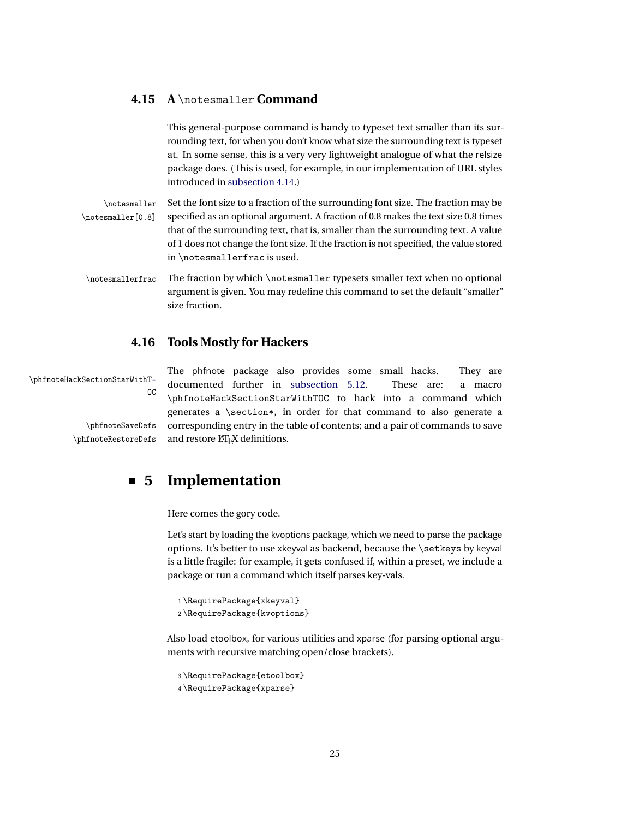# **4.15 A** \notesmaller **Command**

<span id="page-24-0"></span>This general-purpose command is handy to typeset text smaller than its surrounding text, for when you don't know what size the surrounding text is typeset at. In some sense, this is a very very lightweight analogue of what the relsize package does. (This is used, for example, in our implementation of URL styles introduced in [subsection 4.14.](#page-23-1))

\notesmaller Set the font size to a fraction of the surrounding font size. The fraction may be \notesmaller[0.8] specified as an optional argument. A fraction of 0.8 makes the text size 0.8 times that of the surrounding text, that is, smaller than the surrounding text. A value of 1 does not change the font size. If the fraction is not specified, the value stored in \notesmallerfrac is used.

\notesmallerfrac The fraction by which \notesmaller typesets smaller text when no optional argument is given. You may redefine this command to set the default "smaller" size fraction.

# <span id="page-24-1"></span>**4.16 Tools Mostly for Hackers**

The phfnote package also provides some small hacks. They are \phfnoteHackSectionStarWithT-<br>
0C documented further in [subsection 5.12.](#page-56-1) These are: a macro \phfnoteHackSectionStarWithTOC to hack into a command which generates a \section\*, in order for that command to also generate a \phfnoteSaveDefs corresponding entry in the table of contents; and a pair of commands to save \phfnoteRestoreDefs and restore LATEX definitions.

# <span id="page-24-2"></span>**5 Implementation**

Here comes the gory code.

Let's start by loading the kvoptions package, which we need to parse the package options. It's better to use xkeyval as backend, because the \setkeys by keyval is a little fragile: for example, it gets confused if, within a preset, we include a package or run a command which itself parses key-vals.

```
1 \RequirePackage{xkeyval}
```

```
2 \RequirePackage{kvoptions}
```
Also load etoolbox, for various utilities and xparse (for parsing optional arguments with recursive matching open/close brackets).

```
3 \RequirePackage{etoolbox}
4 \RequirePackage{xparse}
```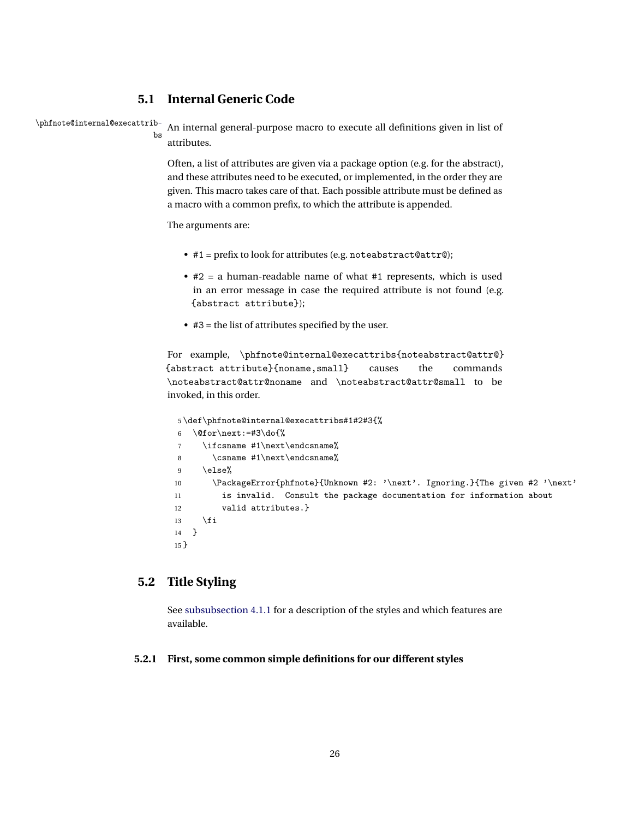# <span id="page-25-0"></span>**5.1 Internal Generic Code**

\phfnote@internal@execattrib-

```
bs
```
An internal general-purpose macro to execute all definitions given in list of attributes.

Often, a list of attributes are given via a package option (e.g. for the abstract), and these attributes need to be executed, or implemented, in the order they are given. This macro takes care of that. Each possible attribute must be defined as a macro with a common prefix, to which the attribute is appended.

The arguments are:

- #1 = prefix to look for attributes (e.g. noteabstract@attr@);
- #2 = a human-readable name of what #1 represents, which is used in an error message in case the required attribute is not found (e.g. {abstract attribute});
- #3 = the list of attributes specified by the user.

For example, \phfnote@internal@execattribs{noteabstract@attr@} {abstract attribute}{noname,small} causes the commands \noteabstract@attr@noname and \noteabstract@attr@small to be invoked, in this order.

```
5 \def\phfnote@internal@execattribs#1#2#3{%
6 \@for\next:=#3\do{%
7 \ifcsname #1\next\endcsname%
8 \csname #1\next\endcsname%
9 \else%
10 \PackageError{phfnote}{Unknown #2: '\next'. Ignoring.}{The given #2 '\next'
11 is invalid. Consult the package documentation for information about
12 valid attributes.}
13 \qquad \text{if }14 }
15 }
```
# <span id="page-25-1"></span>**5.2 Title Styling**

<span id="page-25-2"></span>See [subsubsection 4.1.1](#page-6-1) for a description of the styles and which features are available.

# **5.2.1 First, some common simple definitions for our different styles**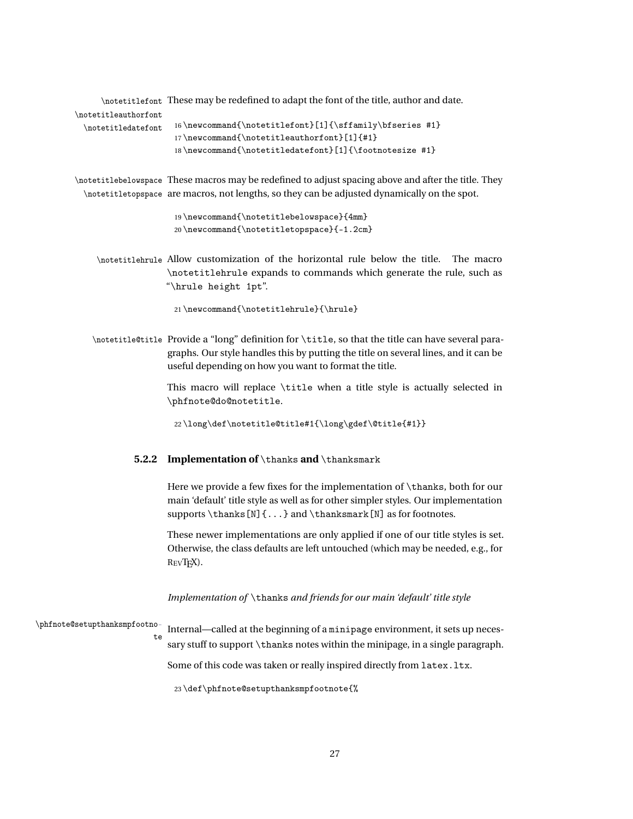\notetitlefont These may be redefined to adapt the font of the title, author and date.

# \notetitleauthorfont

```
\notetitledatefont 16\newcommand{\notetitlefont}[1]{\sffamily\bfseries #1}
                  17 \newcommand{\notetitleauthorfont}[1]{#1}
                  18\newcommand{\notetitledatefont}[1]{\footnotesize #1}
```
\notetitlebelowspace These macros may be redefined to adjust spacing above and after the title. They \notetitletopspace are macros, not lengths, so they can be adjusted dynamically on the spot.

```
19 \newcommand{\notetitlebelowspace}{4mm}
20 \newcommand{\notetitletopspace}{-1.2cm}
```
\notetitlehrule Allow customization of the horizontal rule below the title. The macro \notetitlehrule expands to commands which generate the rule, such as "\hrule height 1pt".

```
21 \newcommand{\notetitlehrule}{\hrule}
```
\notetitle@title Provide a "long" definition for \title, so that the title can have several paragraphs. Our style handles this by putting the title on several lines, and it can be useful depending on how you want to format the title.

> This macro will replace \title when a title style is actually selected in \phfnote@do@notetitle.

<span id="page-26-0"></span>22 \long\def\notetitle@title#1{\long\gdef\@title{#1}}

#### **5.2.2 Implementation of** \thanks **and** \thanksmark

Here we provide a few fixes for the implementation of \thanks, both for our main 'default' title style as well as for other simpler styles. Our implementation supports  $\t{N}$ ...} and  $\t{hanks[N]}$  as for footnotes.

These newer implementations are only applied if one of our title styles is set. Otherwise, the class defaults are left untouched (which may be needed, e.g., for REVTEX).

*Implementation of* \thanks *and friends for our main 'default' title style*

\phfnote@setupthanksmpfootnote

Internal—called at the beginning of a minipage environment, it sets up necessary stuff to support \thanks notes within the minipage, in a single paragraph.

Some of this code was taken or really inspired directly from latex. ltx.

23 \def\phfnote@setupthanksmpfootnote{%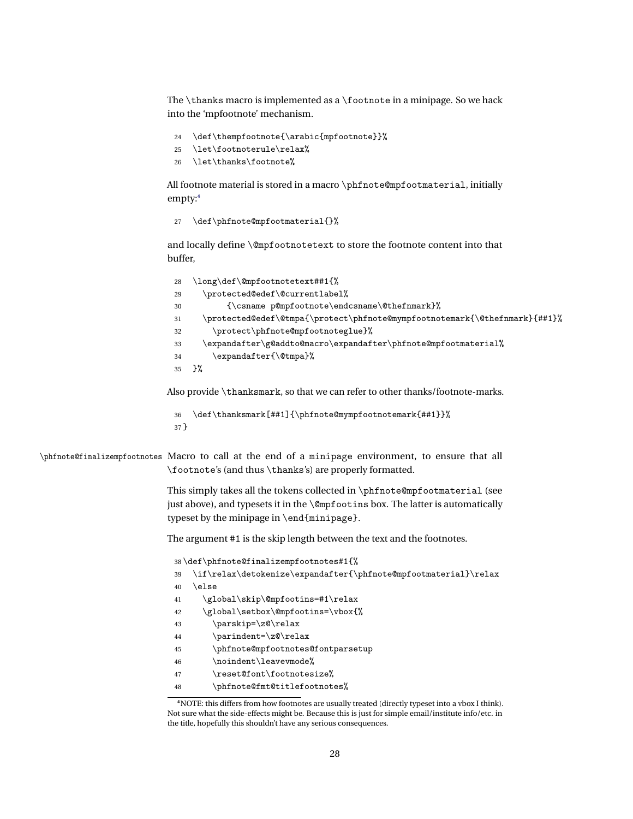The \thanks macro is implemented as a \footnote in a minipage. So we hack into the 'mpfootnote' mechanism.

- \def\thempfootnote{\arabic{mpfootnote}}%
- \let\footnoterule\relax%
- \let\thanks\footnote%

All footnote material is stored in a macro \phfnote@mpfootmaterial, initially empty:**[4](#page-27-0)**

\def\phfnote@mpfootmaterial{}%

and locally define \@mpfootnotetext to store the footnote content into that buffer,

| 28 | \long\def\@mpfootnotetext##1{%                                             |
|----|----------------------------------------------------------------------------|
| 29 | \protected@edef\@currentlabel%                                             |
| 30 | {\csname p@mpfootnote\endcsname\@thefnmark}%                               |
| 31 | \protected@edef\@tmpa{\protect\phfnote@mympfootnotemark{\@thefnmark}{##1}% |
| 32 | \protect\phfnote@mpfootnoteglue}%                                          |
| 33 | \expandafter\g@addto@macro\expandafter\phfnote@mpfootmaterial%             |
| 34 | \expandafter{\@tmpa}%                                                      |
| 35 | ን%                                                                         |
|    |                                                                            |

Also provide \thanksmark, so that we can refer to other thanks/footnote-marks.

```
36 \def\thanksmark[##1]{\phfnote@mympfootnotemark{##1}}%
37 }
```
\phfnote@finalizempfootnotes Macro to call at the end of a minipage environment, to ensure that all \footnote's (and thus \thanks's) are properly formatted.

> This simply takes all the tokens collected in \phfnote@mpfootmaterial (see just above), and typesets it in the \@mpfootins box. The latter is automatically typeset by the minipage in \end{minipage}.

The argument #1 is the skip length between the text and the footnotes.

|    | 38\def\phfnote@finalizempfootnotes#1{%                           |
|----|------------------------------------------------------------------|
| 39 | \if\relax\detokenize\expandafter{\phfnote@mpfootmaterial}\relax\ |
| 40 | \else                                                            |
| 41 | \global\skip\@mpfootins=#1\relax                                 |
| 42 | \global\setbox\@mpfootins=\vbox{%                                |
| 43 | \parskip=\z@\relax                                               |
| 44 | \parindent=\z@\relax                                             |
| 45 | \phfnote@mpfootnotes@fontparsetup                                |
| 46 | \noindent\leavevmode%                                            |
| 47 | \reset@font\footnotesize%                                        |
| 48 | \phfnote@fmt@titlefootnotes%                                     |
|    |                                                                  |

<span id="page-27-0"></span>NOTE: this differs from how footnotes are usually treated (directly typeset into a vbox I think). Not sure what the side-effects might be. Because this is just for simple email/institute info/etc. in the title, hopefully this shouldn't have any serious consequences.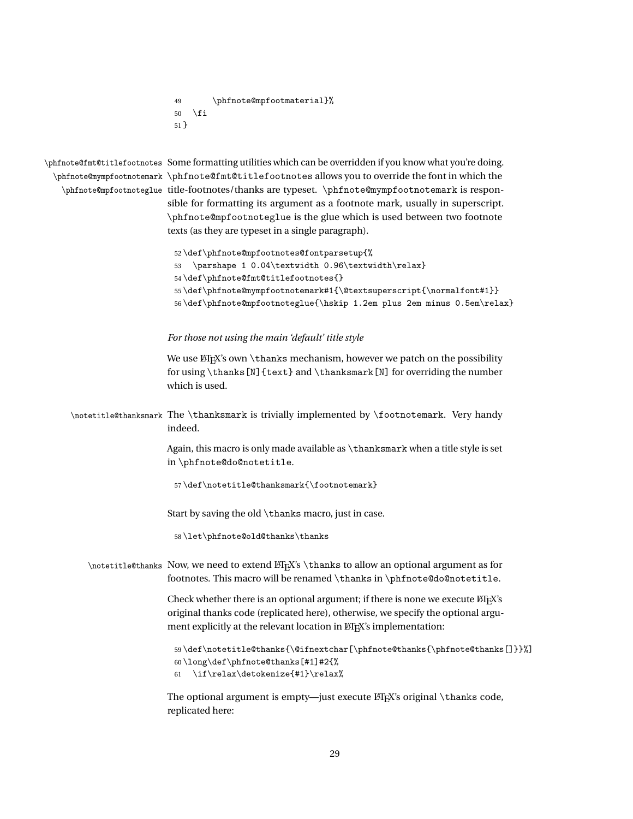```
49 \phfnote@mpfootmaterial}%
50 \setminusfi
51 }
```
\phfnote@fmt@titlefootnotes Some formatting utilities which can be overridden if you know what you're doing. \phfnote@mympfootnotemark \phfnote@fmt@titlefootnotes allows you to override the font in which the \phfnote@mpfootnoteglue title-footnotes/thanks are typeset. \phfnote@mympfootnotemark is responsible for formatting its argument as a footnote mark, usually in superscript. \phfnote@mpfootnoteglue is the glue which is used between two footnote texts (as they are typeset in a single paragraph).

```
52 \def\phfnote@mpfootnotes@fontparsetup{%
53 \parshape 1 0.04\textwidth 0.96\textwidth\relax}
54 \def\phfnote@fmt@titlefootnotes{}
55 \def\phfnote@mympfootnotemark#1{\@textsuperscript{\normalfont#1}}
56 \def\phfnote@mpfootnoteglue{\hskip 1.2em plus 2em minus 0.5em\relax}
```
#### *For those not using the main 'default' title style*

We use ETEX's own \thanks mechanism, however we patch on the possibility for using \thanks[N]{text} and \thanksmark[N] for overriding the number which is used.

\notetitle@thanksmark The \thanksmark is trivially implemented by \footnotemark. Very handy indeed.

> Again, this macro is only made available as \thanksmark when a title style is set in \phfnote@do@notetitle.

57 \def\notetitle@thanksmark{\footnotemark}

Start by saving the old \thanks macro, just in case.

58 \let\phfnote@old@thanks\thanks

\notetitle@thanks Now, we need to extend ET<sub>EX</sub>'s \thanks to allow an optional argument as for footnotes. This macro will be renamed \thanks in \phfnote@do@notetitle.

> Check whether there is an optional argument; if there is none we execute LATEX's original thanks code (replicated here), otherwise, we specify the optional argument explicitly at the relevant location in LATEX's implementation:

```
59 \def\notetitle@thanks{\@ifnextchar[\phfnote@thanks{\phfnote@thanks[]}}%]
60 \long\def\phfnote@thanks[#1]#2{%
```

```
\if\relax\detokenize{#1}\relax%
```
The optional argument is empty-just execute  $EEx$ 's original \thanks code, replicated here: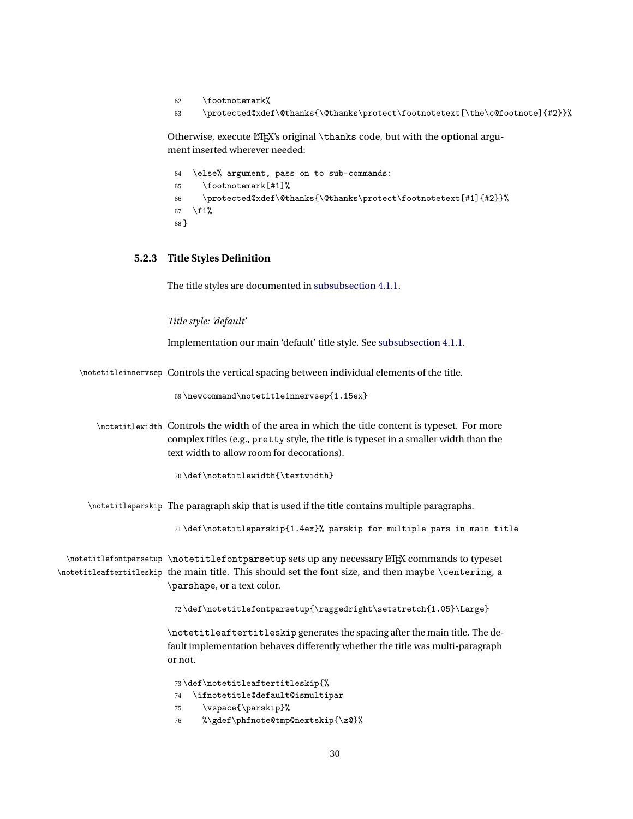- 62 \footnotemark%
- 63 \protected@xdef\@thanks{\@thanks\protect\footnotetext[\the\c@footnote]{#2}}%

Otherwise, execute LATEX's original \thanks code, but with the optional argument inserted wherever needed:

|        | 64 \else% argument, pass on to sub-commands:                       |
|--------|--------------------------------------------------------------------|
|        | $65$ \footnotemark $\lceil #1 \rceil$ %                            |
|        | 66 \protected@xdef\@thanks{\@thanks\protect\footnotetext[#1]{#2}}% |
|        | $67$ \fi%                                                          |
| $68$ } |                                                                    |

# <span id="page-29-0"></span>**5.2.3 Title Styles Definition**

The title styles are documented in [subsubsection 4.1.1.](#page-6-1)

*Title style: 'default'*

Implementation our main 'default' title style. See [subsubsection 4.1.1.](#page-6-1)

\notetitleinnervsep Controls the vertical spacing between individual elements of the title.

69 \newcommand\notetitleinnervsep{1.15ex}

\notetitlewidth Controls the width of the area in which the title content is typeset. For more complex titles (e.g., pretty style, the title is typeset in a smaller width than the text width to allow room for decorations).

70 \def\notetitlewidth{\textwidth}

\notetitleparskip The paragraph skip that is used if the title contains multiple paragraphs.

71 \def\notetitleparskip{1.4ex}% parskip for multiple pars in main title

 $\hbox{\scriptsize\textsf{}}$  \notetitlefontparsetup sets up any necessary  $\LaTeX\ commands$  to typeset \notetitleaftertitleskip the main title. This should set the font size, and then maybe \centering, a \parshape, or a text color.

72 \def\notetitlefontparsetup{\raggedright\setstretch{1.05}\Large}

\notetitleaftertitleskip generates the spacing after the main title. The default implementation behaves differently whether the title was multi-paragraph or not.

73 \def\notetitleaftertitleskip{%

- 74 \ifnotetitle@default@ismultipar
- 75 \vspace{\parskip}%
- 76 %\gdef\phfnote@tmp@nextskip{\z@}%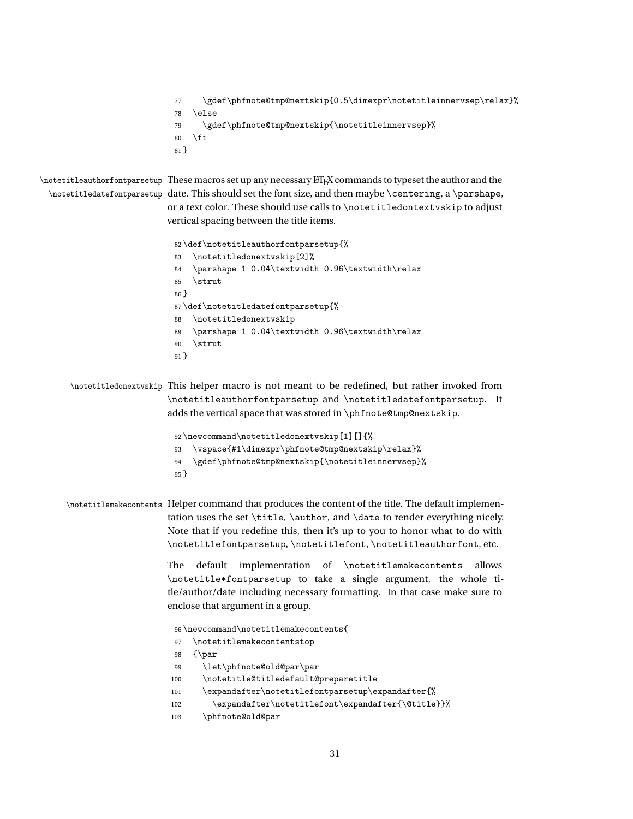```
77 \gdef\phfnote@tmp@nextskip{0.5\dimexpr\notetitleinnervsep\relax}%
78 \else
79 \gdef\phfnote@tmp@nextskip{\notetitleinnervsep}%
80 \setminusfi
81 }
```
 $\backslash$ notetitleauthorfontparsetup  $\;$  These macros set up any necessary  $\mathbb{B}$ TEX commands to typeset the author and the  $\boldsymbol{\lambda}$  )  $\boldsymbol{\lambda}$  are the font size, and then maybe  $\boldsymbol{\lambda}$  and  $\boldsymbol{\lambda}$  are shape, or a text color. These should use calls to \notetitledontextvskip to adjust vertical spacing between the title items.

```
82 \def\notetitleauthorfontparsetup{%
83 \notetitledonextvskip[2]%
84 \parshape 1 0.04\textwidth 0.96\textwidth\relax
85 \strut
86 }
87 \def\notetitledatefontparsetup{%
88 \notetitledonextvskip
89 \parshape 1 0.04\textwidth 0.96\textwidth\relax
90 \strut
91 }
```
\notetitledonextvskip This helper macro is not meant to be redefined, but rather invoked from \notetitleauthorfontparsetup and \notetitledatefontparsetup. It adds the vertical space that was stored in \phfnote@tmp@nextskip.

```
92 \newcommand\notetitledonextvskip[1][]{%
93 \vspace{#1\dimexpr\phfnote@tmp@nextskip\relax}%
94 \gdef\phfnote@tmp@nextskip{\notetitleinnervsep}%
95 }
```
\notetitlemakecontents Helper command that produces the content of the title. The default implementation uses the set \title, \author, and \date to render everything nicely. Note that if you redefine this, then it's up to you to honor what to do with \notetitlefontparsetup, \notetitlefont, \notetitleauthorfont, etc.

> The default implementation of \notetitlemakecontents allows \notetitle\*fontparsetup to take a single argument, the whole title/author/date including necessary formatting. In that case make sure to enclose that argument in a group.

```
96 \newcommand\notetitlemakecontents{
97 \notetitlemakecontentstop
98 {\par
99 \let\phfnote@old@par\par
100 \notetitle@titledefault@preparetitle
101 \expandafter\notetitlefontparsetup\expandafter{%
102 \expandafter\notetitlefont\expandafter{\@title}}%
103 \phfnote@old@par
```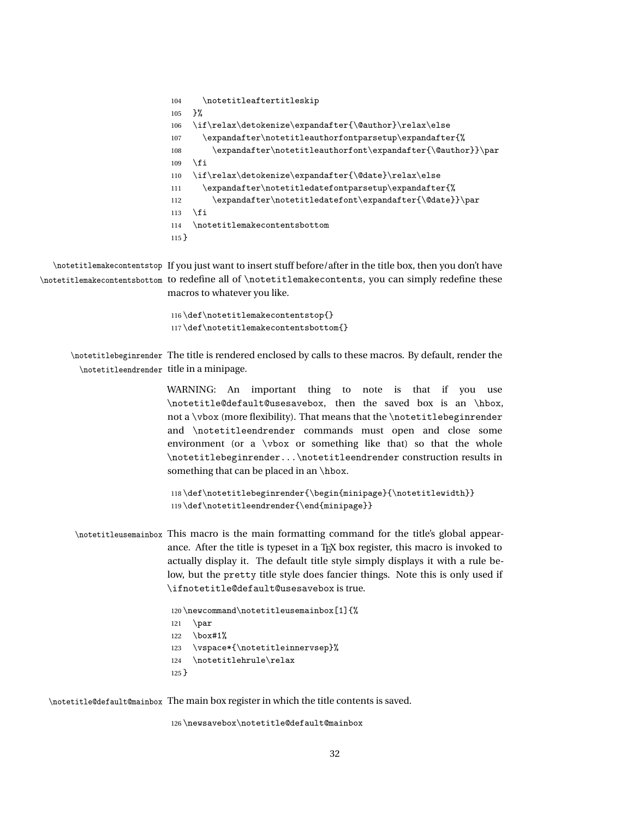```
104 \notetitleaftertitleskip
105 }%
106 \if\relax\detokenize\expandafter{\@author}\relax\else
107 \expandafter\notetitleauthorfontparsetup\expandafter{%
108 \expandafter\notetitleauthorfont\expandafter{\@author}}\par
109 \foralli
110 \if\relax\detokenize\expandafter{\@date}\relax\else
111 \expandafter\notetitledatefontparsetup\expandafter{%
112 \expandafter\notetitledatefont\expandafter{\@date}}\par
113 \fi
114 \notetitlemakecontentsbottom
115 }
```
\notetitlemakecontentstop If you just want to insert stuff before/after in the title box, then you don't have \notetitlemakecontentsbottom to redefine all of \notetitlemakecontents, you can simply redefine these macros to whatever you like.

```
116 \def\notetitlemakecontentstop{}
117 \def\notetitlemakecontentsbottom{}
```
\notetitlebeginrender The title is rendered enclosed by calls to these macros. By default, render the \notetitleendrender title in a minipage.

> WARNING: An important thing to note is that if you use \notetitle@default@usesavebox, then the saved box is an \hbox, not a \vbox (more flexibility). That means that the \notetitlebeginrender and \notetitleendrender commands must open and close some environment (or a \vbox or something like that) so that the whole \notetitlebeginrender...\notetitleendrender construction results in something that can be placed in an \hbox.

```
118 \def\notetitlebeginrender{\begin{minipage}{\notetitlewidth}}
119 \def\notetitleendrender{\end{minipage}}
```

```
\notetitleusemainbox This macro is the main formatting command for the title's global appear-
                     ance. After the title is typeset in a TEX box register, this macro is invoked to
                     actually display it. The default title style simply displays it with a rule be-
                     low, but the pretty title style does fancier things. Note this is only used if
                     \ifnotetitle@default@usesavebox is true.
```

```
120 \newcommand\notetitleusemainbox[1]{%
121 \par
122 \box#1%
123 \vspace*{\notetitleinnervsep}%
124 \notetitlehrule\relax
125 }
```
\notetitle@default@mainbox The main box register in which the title contents is saved.

126 \newsavebox\notetitle@default@mainbox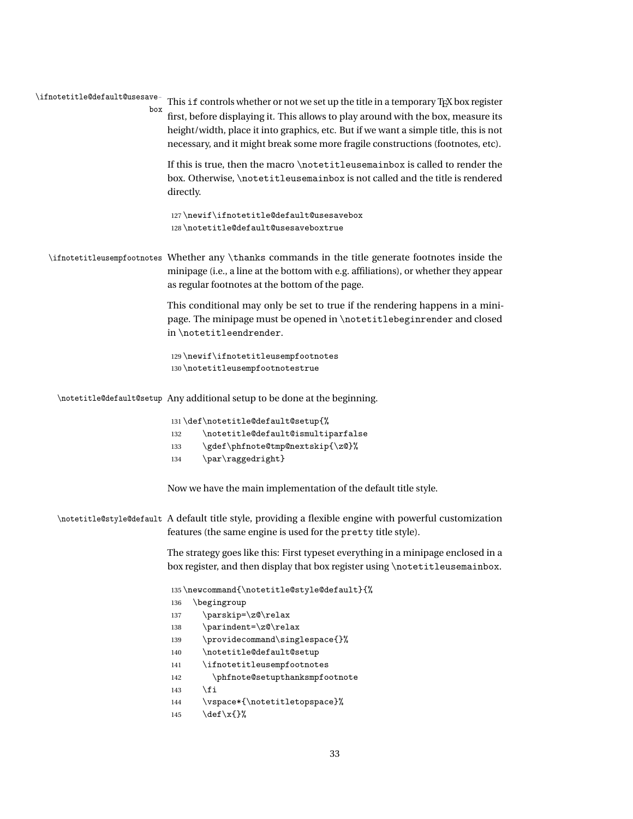\ifnotetitle@default@usesavebox This if controls whether or not we set up the title in a temporary T<sub>F</sub>X box register

first, before displaying it. This allows to play around with the box, measure its height/width, place it into graphics, etc. But if we want a simple title, this is not necessary, and it might break some more fragile constructions (footnotes, etc).

If this is true, then the macro \notetitleusemainbox is called to render the box. Otherwise, \notetitleusemainbox is not called and the title is rendered directly.

127 \newif\ifnotetitle@default@usesavebox 128 \notetitle@default@usesaveboxtrue

\ifnotetitleusempfootnotes Whether any \thanks commands in the title generate footnotes inside the minipage (i.e., a line at the bottom with e.g. affiliations), or whether they appear as regular footnotes at the bottom of the page.

> This conditional may only be set to true if the rendering happens in a minipage. The minipage must be opened in \notetitlebeginrender and closed in \notetitleendrender.

129 \newif\ifnotetitleusempfootnotes 130 \notetitleusempfootnotestrue

\notetitle@default@setup Any additional setup to be done at the beginning.

|     | 131\def\notetitle@default@setup{%  |
|-----|------------------------------------|
| 132 | \notetitle@default@ismultiparfalse |
| 133 | \gdef\phfnote@tmp@nextskip{\z@}%   |
| 134 | \par\raggedright}                  |

Now we have the main implementation of the default title style.

\notetitle@style@default A default title style, providing a flexible engine with powerful customization features (the same engine is used for the pretty title style).

> The strategy goes like this: First typeset everything in a minipage enclosed in a box register, and then display that box register using \notetitleusemainbox.

```
135 \newcommand{\notetitle@style@default}{%
136 \begingroup
137 \parskip=\z@\relax
138 \parindent=\z@\relax
139 \providecommand\singlespace{}%
140 \notetitle@default@setup
141 \ifnotetitleusempfootnotes
142 \phfnote@setupthanksmpfootnote
143 \{f_i\}144 \vspace*{\notetitletopspace}%
145 \det\{x\}
```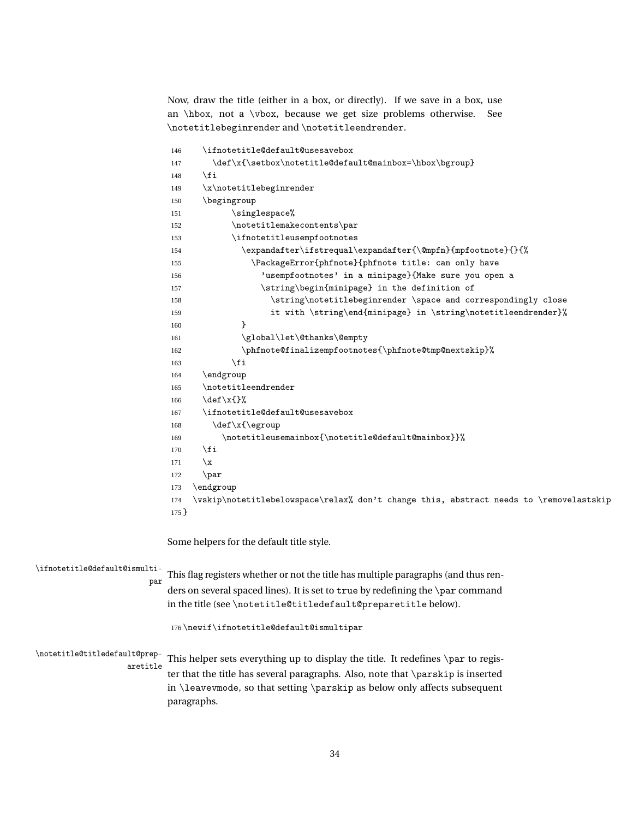Now, draw the title (either in a box, or directly). If we save in a box, use an \hbox, not a \vbox, because we get size problems otherwise. See \notetitlebeginrender and \notetitleendrender.

|                               | \ifnotetitle@default@usesavebox<br>146                                                        |  |  |
|-------------------------------|-----------------------------------------------------------------------------------------------|--|--|
|                               | \def\x{\setbox\notetitle@default@mainbox=\hbox\bgroup}<br>147                                 |  |  |
|                               | \fi<br>148                                                                                    |  |  |
|                               | \x\notetitlebeginrender<br>149                                                                |  |  |
|                               | \begingroup<br>150                                                                            |  |  |
|                               | \singlespace%<br>151                                                                          |  |  |
|                               | \notetitlemakecontents\par<br>152                                                             |  |  |
|                               | \ifnotetitleusempfootnotes<br>153                                                             |  |  |
|                               | \expandafter\ifstrequal\expandafter{\@mpfn}{mpfootnote}{}{%<br>154                            |  |  |
|                               | \PackageError{phfnote}{phfnote title: can only have<br>155                                    |  |  |
|                               | 'usempfootnotes' in a minipage} {Make sure you open a<br>156                                  |  |  |
|                               | \string\begin{minipage} in the definition of<br>157                                           |  |  |
|                               | \string\notetitlebeginrender \space and correspondingly close<br>158                          |  |  |
|                               | it with \string\end{minipage} in \string\notetitleendrender}%<br>159                          |  |  |
|                               | }<br>160                                                                                      |  |  |
|                               | \global\let\@thanks\@empty<br>161                                                             |  |  |
|                               | \phfnote@finalizempfootnotes{\phfnote@tmp@nextskip}%<br>162                                   |  |  |
|                               | \fi<br>163                                                                                    |  |  |
|                               | \endgroup<br>164                                                                              |  |  |
|                               | \notetitleendrender<br>165                                                                    |  |  |
|                               | $\def\ x{\}$<br>166                                                                           |  |  |
|                               | \ifnotetitle@default@usesavebox<br>167                                                        |  |  |
|                               | \def\x{\egroup<br>168                                                                         |  |  |
|                               | \notetitleusemainbox{\notetitle@default@mainbox}}%<br>169                                     |  |  |
|                               | \fi<br>170                                                                                    |  |  |
|                               | $\chi$<br>171                                                                                 |  |  |
|                               | \par<br>172                                                                                   |  |  |
|                               | \endgroup<br>173                                                                              |  |  |
|                               | \vskip\notetitlebelowspace\relax% don't change this, abstract needs to \removelastskip<br>174 |  |  |
|                               | $175$ }                                                                                       |  |  |
|                               | Some helpers for the default title style.                                                     |  |  |
| \ifnotetitle@default@ismulti- |                                                                                               |  |  |
| par                           | This flag registers whether or not the title has multiple paragraphs (and thus ren-           |  |  |
|                               | ders on several spaced lines). It is set to true by redefining the \par command               |  |  |
|                               | in the title (see \notetitle@titledefault@preparetitle below).                                |  |  |
|                               | 176\newif\ifnotetitle@default@ismultipar                                                      |  |  |
| \notetitle@titledefault@prep- | This helper sets everything up to display the title. It redefines \par to regis-              |  |  |
| aretitle                      | ter that the title has several paragraphs. Also, note that \parskip is inserted               |  |  |
|                               |                                                                                               |  |  |
|                               | in \leavevmode, so that setting \parskip as below only affects subsequent<br>paragraphs.      |  |  |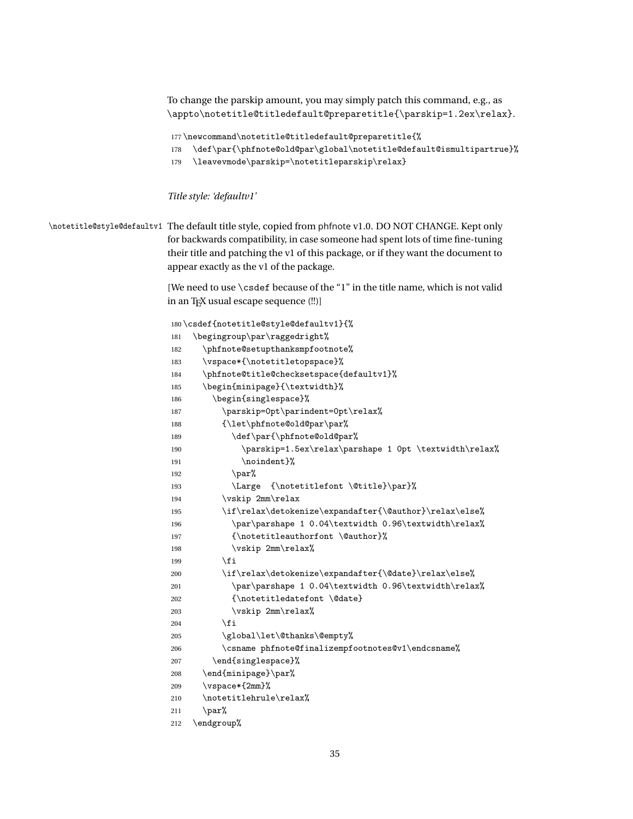To change the parskip amount, you may simply patch this command, e.g., as \appto\notetitle@titledefault@preparetitle{\parskip=1.2ex\relax}.

```
177 \newcommand\notetitle@titledefault@preparetitle{%
```
- 178 \def\par{\phfnote@old@par\global\notetitle@default@ismultipartrue}%
- 179 \leavevmode\parskip=\notetitleparskip\relax}

#### *Title style: 'defaultv1'*

\notetitle@style@defaultv1 The default title style, copied from phfnote v1.0. DO NOT CHANGE. Kept only for backwards compatibility, in case someone had spent lots of time fine-tuning their title and patching the v1 of this package, or if they want the document to appear exactly as the v1 of the package.

> [We need to use \csdef because of the "1" in the title name, which is not valid in an TEX usual escape sequence (!!)]

```
180 \csdef{notetitle@style@defaultv1}{%
181 \begingroup\par\raggedright%
182 \phfnote@setupthanksmpfootnote%
183 \vspace*{\notetitletopspace}%
184 \phfnote@title@checksetspace{defaultv1}%
185 \begin{minipage}{\textwidth}%
186 \begin{singlespace}%
187 \parskip=0pt\parindent=0pt\relax%
188 {\let\phfnote@old@par\par%
189 \def\par{\phfnote@old@par%
190 \parskip=1.5ex\relax\parshape 1 0pt \textwidth\relax%
191 \noindent }%
192 \qquad \qquad \text{par\textdegree}193 \Large {\notetitlefont \@title}\par}%
194 \vskip 2mm\relax
195 \if\relax\detokenize\expandafter{\@author}\relax\else%
196 \par\parshape 1 0.04\textwidth 0.96\textwidth\relax%
197 {\notetitleauthorfont \@author}%
198 \vskip 2mm\relax%
199 \quad \text{tri}200 \if\relax\detokenize\expandafter{\@date}\relax\else%
201 \par\parshape 1 0.04\textwidth 0.96\textwidth\relax%
202 {\notetitledatefont \@date}
203 \vskip 2mm\relax%
204 \qquad \qquad \fi
205 \global\let\@thanks\@empty%
206 \csname phfnote@finalizempfootnotes@v1\endcsname%
207 \end{singlespace}%
208 \end{minipage}\par%
209 \vspace*{2mm}%
210 \notetitlehrule\relax%
211 \parrow212 \endgroup%
```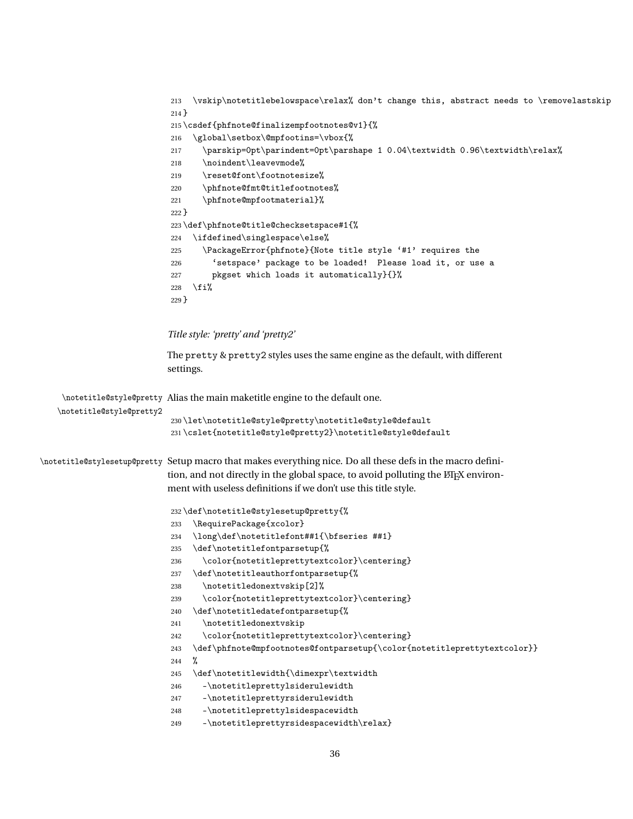```
213 \vskip\notetitlebelowspace\relax% don't change this, abstract needs to \removelastskip
214 }
215 \csdef{phfnote@finalizempfootnotes@v1}{%
216 \global\setbox\@mpfootins=\vbox{%
217 \parskip=0pt\parindent=0pt\parshape 1 0.04\textwidth 0.96\textwidth\relax%
218 \noindent\leavevmode%
219 \reset@font\footnotesize%
220 \phfnote@fmt@titlefootnotes%
221 \phfnote@mpfootmaterial}%
222 }
223 \def\phfnote@title@checksetspace#1{%
224 \ifdefined\singlespace\else%
225 \PackageError{phfnote}{Note title style '#1' requires the
226 'setspace' package to be loaded! Please load it, or use a
227 pkgset which loads it automatically}{}%
228 \fi%
229 }
```
#### *Title style: 'pretty' and 'pretty2'*

The pretty & pretty2 styles uses the same engine as the default, with different settings.

```
\notetitle@style@pretty
Alias the main maketitle engine to the default one.
   \notetitle@style@pretty2
                           230 \let\notetitle@style@pretty\notetitle@style@default
                           231 \cslet{notetitle@style@pretty2}\notetitle@style@default
\notetitle@stylesetup@pretty Setup macro that makes everything nice. Do all these defs in the macro defini-
                           tion, and not directly in the global space, to avoid polluting the LATEX environ-
                          ment with useless definitions if we don't use this title style.
                           232 \def\notetitle@stylesetup@pretty{%
                           233 \RequirePackage{xcolor}
                           234 \long\def\notetitlefont##1{\bfseries ##1}
                           235 \def\notetitlefontparsetup{%
                           236 \color{notetitleprettytextcolor}\centering}
                           237 \def\notetitleauthorfontparsetup{%
                           238 \notetitledonextvskip[2]%
                           239 \color{notetitleprettytextcolor}\centering}
                           240 \def\notetitledatefontparsetup{%
                           241 \notetitledonextvskip
                           242 \color{notetitleprettytextcolor}\centering}
                           243 \def\phfnote@mpfootnotes@fontparsetup{\color{notetitleprettytextcolor}}
                           244 %
                           245 \def\notetitlewidth{\dimexpr\textwidth
                           246 -\notetitleprettylsiderulewidth
                           247 -\notetitleprettyrsiderulewidth
                           248 -\notetitleprettylsidespacewidth
                           249 -\notetitleprettyrsidespacewidth\relax}
```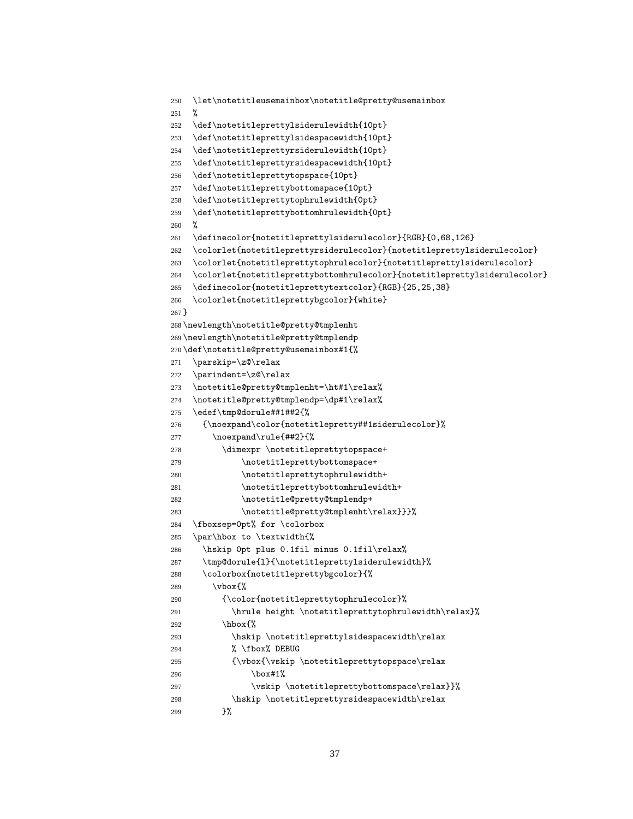```
250 \let\notetitleusemainbox\notetitle@pretty@usemainbox
251 \frac{9}{25}252 \def\notetitleprettylsiderulewidth{10pt}
253 \def\notetitleprettylsidespacewidth{10pt}
254 \def\notetitleprettyrsiderulewidth{10pt}
255 \def\notetitleprettyrsidespacewidth{10pt}
256 \def\notetitleprettytopspace{10pt}
257 \def\notetitleprettybottomspace{10pt}
258 \def\notetitleprettytophrulewidth{0pt}
259 \def\notetitleprettybottomhrulewidth{0pt}
260 %
261 \definecolor{notetitleprettylsiderulecolor}{RGB}{0,68,126}
262 \colorlet{notetitleprettyrsiderulecolor}{notetitleprettylsiderulecolor}
263 \colorlet{notetitleprettytophrulecolor}{notetitleprettylsiderulecolor}
264 \colorlet{notetitleprettybottomhrulecolor}{notetitleprettylsiderulecolor}
265 \definecolor{notetitleprettytextcolor}{RGB}{25,25,38}
266 \colorlet{notetitleprettybgcolor}{white}
267 }
268 \newlength\notetitle@pretty@tmplenht
269 \newlength\notetitle@pretty@tmplendp
270 \def\notetitle@pretty@usemainbox#1{%
271 \parskip=\z@\relax
272 \parindent=\z@\relax
273 \notetitle@pretty@tmplenht=\ht#1\relax%
274 \notetitle@pretty@tmplendp=\dp#1\relax%
275 \edef\tmp@dorule##1##2{%
276 {\noexpand\color{notetitlepretty##1siderulecolor}%
277 \noexpand\rule{##2}{%
278 \dimexpr \notetitleprettytopspace+
279 \notetitleprettybottomspace+
280 \notetitleprettytophrulewidth+
281 \notetitleprettybottomhrulewidth+
282 \notetitle@pretty@tmplendp+
283 \notetitle@pretty@tmplenht\relax}}}%
284 \fboxsep=0pt% for \colorbox
285 \par\hbox to \textwidth{%
286 \hskip 0pt plus 0.1fil minus 0.1fil\relax%
287 \tmp@dorule{l}{\notetitleprettylsiderulewidth}%
288 \colorbox{notetitleprettybgcolor}{%
289 \vbox{%
290 {\color{notetitleprettytophrulecolor}%
291 \hrule height \notetitleprettytophrulewidth\relax}%
292 \hbar\hbarox\{%
293 \hskip \notetitleprettylsidespacewidth\relax
294 % \fbox% DEBUG
295 {\vbox{\vskip \notetitleprettytopspace\relax
296 \text{box#1%}297 \vskip \notetitleprettybottomspace\relax}}%
298 \hskip \notetitleprettyrsidespacewidth\relax
299 }%
```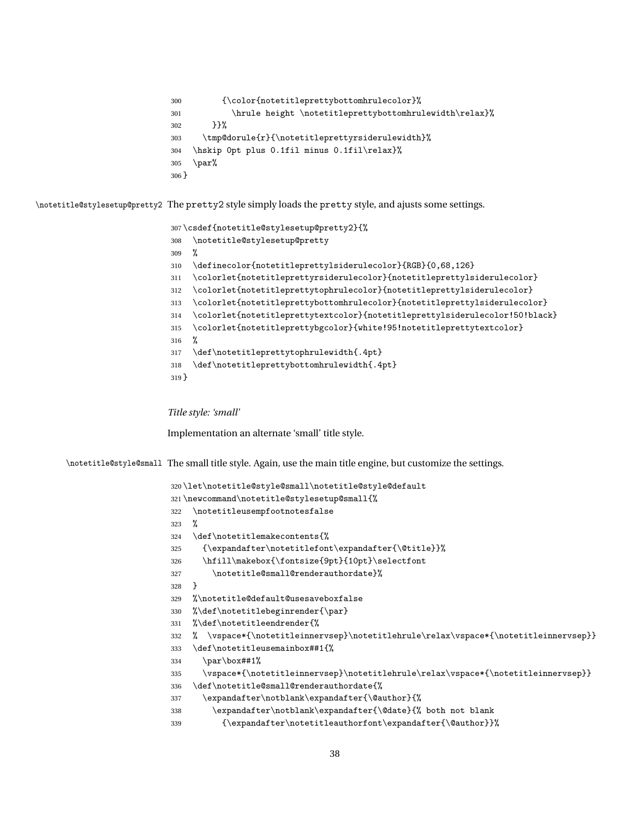```
300 {\color{notetitleprettybottomhrulecolor}%
301 \hrule height \notetitleprettybottomhrulewidth\relax}%
302 }}%
303 \tmp@dorule{r}{\notetitleprettyrsiderulewidth}%
304 \hskip 0pt plus 0.1fil minus 0.1fil\relax}%
305 \par%
306 }
```
\notetitle@stylesetup@pretty2 The pretty2 style simply loads the pretty style, and ajusts some settings.

```
307 \csdef{notetitle@stylesetup@pretty2}{%
308 \notetitle@stylesetup@pretty
309 %
310 \definecolor{notetitleprettylsiderulecolor}{RGB}{0,68,126}
311 \colorlet{notetitleprettyrsiderulecolor}{notetitleprettylsiderulecolor}
312 \colorlet{notetitleprettytophrulecolor}{notetitleprettylsiderulecolor}
313 \colorlet{notetitleprettybottomhrulecolor}{notetitleprettylsiderulecolor}
314 \colorlet{notetitleprettytextcolor}{notetitleprettylsiderulecolor!50!black}
315 \colorlet{notetitleprettybgcolor}{white!95!notetitleprettytextcolor}
316 %
317 \def\notetitleprettytophrulewidth{.4pt}
318 \def\notetitleprettybottomhrulewidth{.4pt}
319 }
```
*Title style: 'small'*

Implementation an alternate 'small' title style.

\notetitle@style@small The small title style. Again, use the main title engine, but customize the settings.

```
320 \let\notetitle@style@small\notetitle@style@default
321 \newcommand\notetitle@stylesetup@small{%
322 \notetitleusempfootnotesfalse
323 %
324 \def\notetitlemakecontents{%
325 {\expandafter\notetitlefont\expandafter{\@title}}%
326 \hfill\makebox{\fontsize{9pt}{10pt}\selectfont
327 \notetitle@small@renderauthordate}%
328 }
329 %\notetitle@default@usesaveboxfalse
330 %\def\notetitlebeginrender{\par}
331 %\def\notetitleendrender{%
332 % \vspace*{\notetitleinnervsep}\notetitlehrule\relax\vspace*{\notetitleinnervsep}}
333 \def\notetitleusemainbox##1{%
334 \par\box##1%
335 \vspace*{\notetitleinnervsep}\notetitlehrule\relax\vspace*{\notetitleinnervsep}}
336 \def\notetitle@small@renderauthordate{%
337 \expandafter\notblank\expandafter{\@author}{%
338 \expandafter\notblank\expandafter{\@date}{% both not blank
339 {\expandafter\notetitleauthorfont\expandafter{\@author}}%
```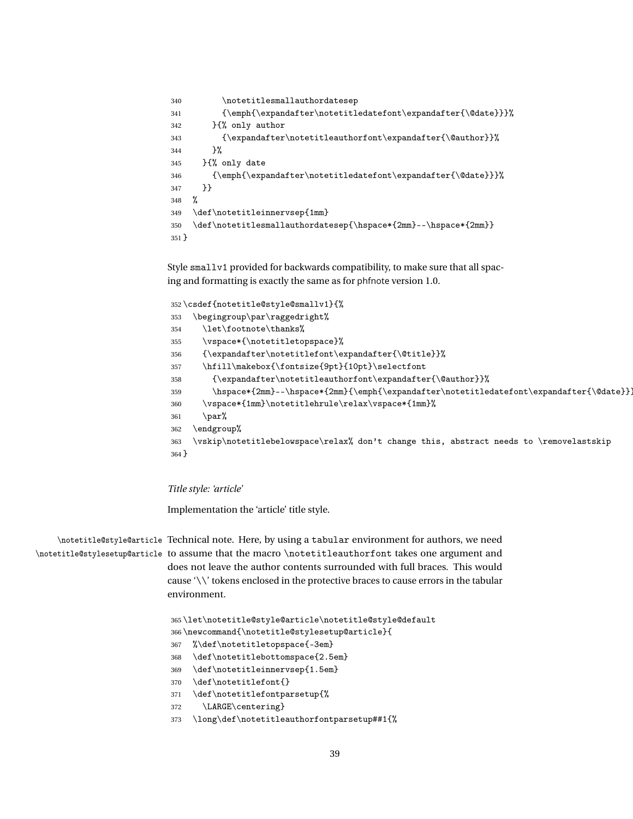```
340 \notetitlesmallauthordatesep
341 {\emph{\expandafter\notetitledatefont\expandafter{\@date}}}%
342 }{% only author
343 {\expandafter\notetitleauthorfont\expandafter{\@author}}%
344 }%
345 }{% only date
346 {\emph{\expandafter\notetitledatefont\expandafter{\@date}}}%
347 }}
348 %
349 \def\notetitleinnervsep{1mm}
350 \def\notetitlesmallauthordatesep{\hspace*{2mm}--\hspace*{2mm}}
351 }
```
Style smallv1 provided for backwards compatibility, to make sure that all spacing and formatting is exactly the same as for phfnote version 1.0.

```
352 \csdef{notetitle@style@smallv1}{%
353 \begingroup\par\raggedright%
354 \let\footnote\thanks%
355 \vspace*{\notetitletopspace}%
356 {\expandafter\notetitlefont\expandafter{\@title}}%
357 \hfill\makebox{\fontsize{9pt}{10pt}\selectfont
358 {\expandafter\notetitleauthorfont\expandafter{\@author}}%
359 \hspace*{2mm}--\hspace*{2mm}{\emph{\expandafter\notetitledatefont\expandafter{\@date}}}
360 \vspace*{1mm}\notetitlehrule\relax\vspace*{1mm}%
361 \par%
362 \endgroup%
363 \vskip\notetitlebelowspace\relax% don't change this, abstract needs to \removelastskip
364 }
```
*Title style: 'article'*

Implementation the 'article' title style.

\notetitle@style@article Technical note. Here, by using a tabular environment for authors, we need \notetitle@stylesetup@article to assume that the macro \notetitleauthorfont takes one argument and does not leave the author contents surrounded with full braces. This would cause '\\' tokens enclosed in the protective braces to cause errors in the tabular environment.

```
365 \let\notetitle@style@article\notetitle@style@default
366 \newcommand{\notetitle@stylesetup@article}{
367 %\def\notetitletopspace{-3em}
368 \def\notetitlebottomspace{2.5em}
369 \def\notetitleinnervsep{1.5em}
370 \def\notetitlefont{}
371 \def\notetitlefontparsetup{%
372 \LARGE\centering}
373 \long\def\notetitleauthorfontparsetup##1{%
```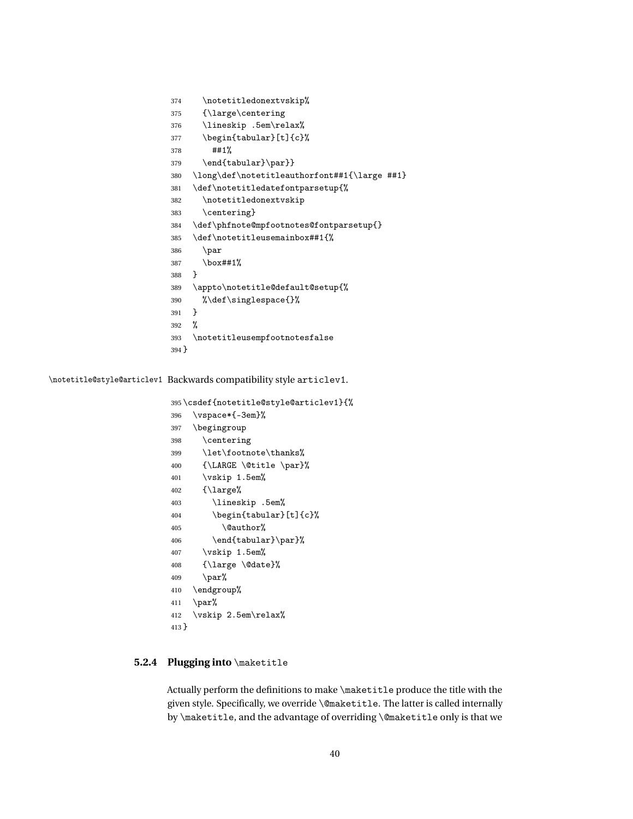```
374 \notetitledonextvskip%
375 {\large\centering
376 \lineskip .5em\relax%
377 \begin{tabular}[t]{c}%
378 ##1%
379 \end{tabular}\par}}
380 \long\def\notetitleauthorfont##1{\large ##1}
381 \def\notetitledatefontparsetup{%
382 \notetitledonextvskip
383 \centering}
384 \def\phfnote@mpfootnotes@fontparsetup{}
385 \def\notetitleusemainbox##1{%
386 \par
387 \box##1%
388 }
389 \appto\notetitle@default@setup{%
390 %\def\singlespace{}%
391 }
392 %
393 \notetitleusempfootnotesfalse
394 }
```
\notetitle@style@articlev1 Backwards compatibility style articlev1.

```
395 \csdef{notetitle@style@articlev1}{%
396 \vspace*{-3em}%
397 \begingroup
398 \centering
399 \let\footnote\thanks%
400 {\LARGE \@title \par}%
401 \vskip 1.5em%
402 {\large%
403 \lineskip .5em%
404 \begin{tabular}[t]{c}%
405 \@author%
406 \end{tabular}\par}%
407 \vskip 1.5em%
408 {\large \@date}%
409 \qquad \text{par}\%410 \endgroup%
411 \par%
412 \vskip 2.5em\relax%
413 }
```
### **5.2.4 Plugging into** \maketitle

Actually perform the definitions to make \maketitle produce the title with the given style. Specifically, we override \@maketitle. The latter is called internally by \maketitle, and the advantage of overriding \@maketitle only is that we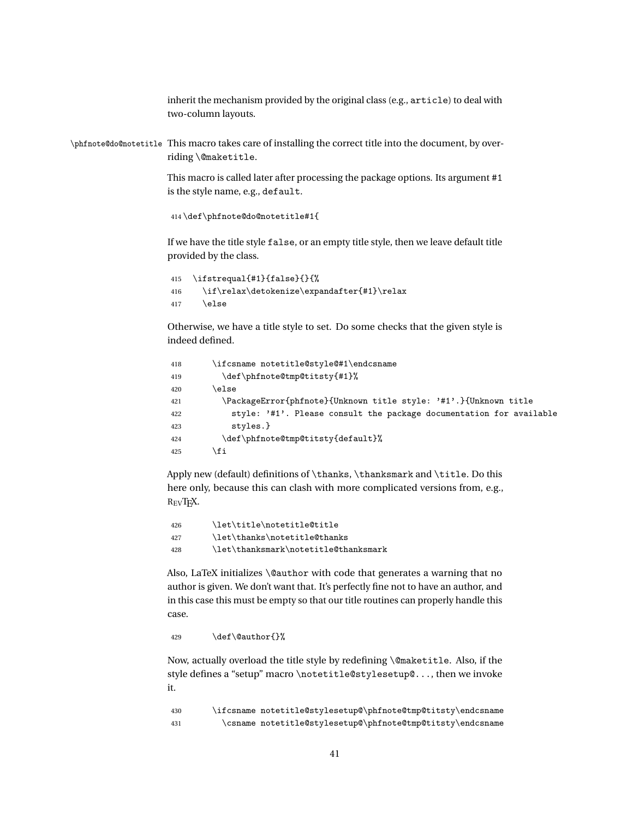inherit the mechanism provided by the original class (e.g., article) to deal with two-column layouts.

```
\phfnote@do@notetitle This macro takes care of installing the correct title into the document, by over-
                      riding \@maketitle.
```
This macro is called later after processing the package options. Its argument #1 is the style name, e.g., default.

414 \def\phfnote@do@notetitle#1{

If we have the title style false, or an empty title style, then we leave default title provided by the class.

```
415 \ifstrequal{#1}{false}{}{%
416 \if\relax\detokenize\expandafter{#1}\relax
417 \else
```
Otherwise, we have a title style to set. Do some checks that the given style is indeed defined.

```
418 \ifcsname notetitle@style@#1\endcsname
419 \def\phfnote@tmp@titsty{#1}%
420 \else
421 \PackageError{phfnote}{Unknown title style: '#1'.}{Unknown title
422 style: '#1'. Please consult the package documentation for available
423 styles.}
424 \def\phfnote@tmp@titsty{default}%
425 \setminusfi
```
Apply new (default) definitions of \thanks, \thanksmark and \title. Do this here only, because this can clash with more complicated versions from, e.g., REVTEX.

```
426 \let\title\notetitle@title
427 \let\thanks\notetitle@thanks
428 \let\thanksmark\notetitle@thanksmark
```
Also, LaTeX initializes \@author with code that generates a warning that no author is given. We don't want that. It's perfectly fine not to have an author, and in this case this must be empty so that our title routines can properly handle this case.

429 \def\@author{}%

Now, actually overload the title style by redefining \@maketitle. Also, if the style defines a "setup" macro \notetitle@stylesetup@..., then we invoke it.

430 \ifcsname notetitle@stylesetup@\phfnote@tmp@titsty\endcsname 431 \csname notetitle@stylesetup@\phfnote@tmp@titsty\endcsname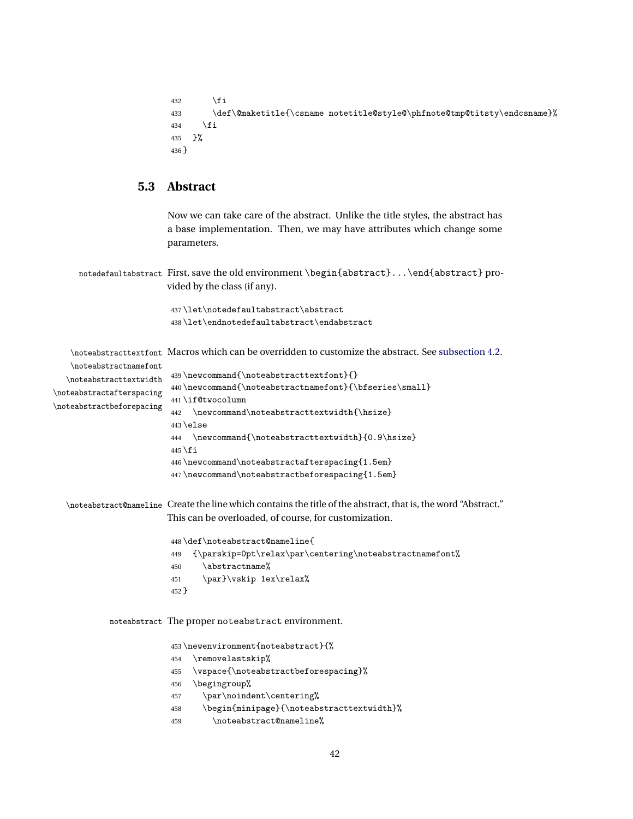```
432 \qquad \qquad \fi
433 \def\@maketitle{\csname notetitle@style@\phfnote@tmp@titsty\endcsname}%
434 \fi
435 }%
436 }
```
### **5.3 Abstract**

Now we can take care of the abstract. Unlike the title styles, the abstract has a base implementation. Then, we may have attributes which change some parameters.

notedefaultabstract First, save the old environment \begin{abstract}...\end{abstract} provided by the class (if any).

```
437 \let\notedefaultabstract\abstract
438 \let\endnotedefaultabstract\endabstract
```
\noteabstracttextfont Macros which can be overridden to customize the abstract. See [subsection 4.2.](#page-11-0) \noteabstractnamefont \noteabstracttextwidth \noteabstractafterspacing \noteabstractbeforepacing \newcommand{\noteabstracttextfont}{} \newcommand{\noteabstractnamefont}{\bfseries\small} \if@twocolumn \newcommand\noteabstracttextwidth{\hsize} \else \newcommand{\noteabstracttextwidth}{0.9\hsize}  $\overline{1}$  \newcommand\noteabstractafterspacing{1.5em} \newcommand\noteabstractbeforespacing{1.5em} \noteabstract@nameline Create the line which contains the title of the abstract, that is, the word "Abstract." This can be overloaded, of course, for customization. \def\noteabstract@nameline{ {\parskip=0pt\relax\par\centering\noteabstractnamefont% \abstractname% 451 \par}\vskip 1ex\relax% } noteabstract The proper noteabstract environment. \newenvironment{noteabstract}{% \removelastskip% \vspace{\noteabstractbeforespacing}% \begingroup% \par\noindent\centering%

- \begin{minipage}{\noteabstracttextwidth}%
- \noteabstract@nameline%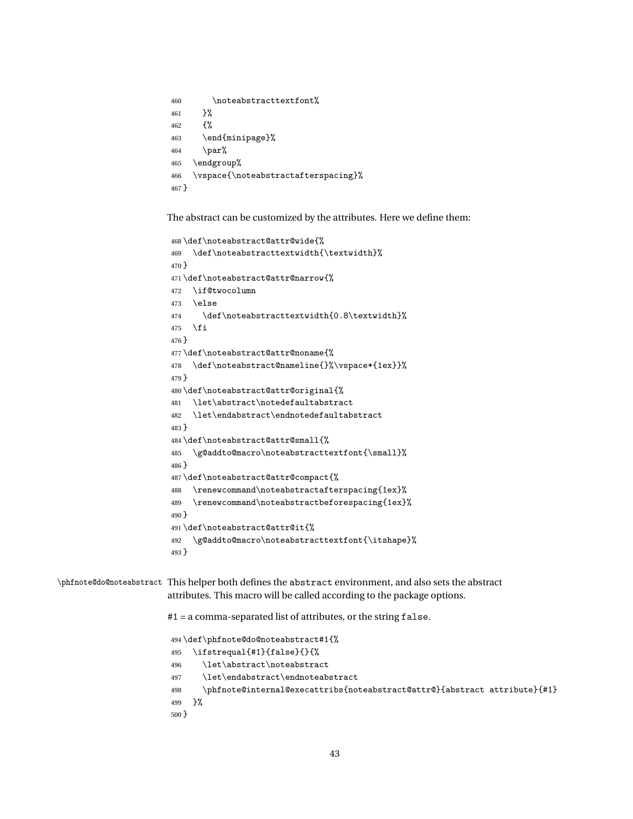```
460 \noteabstracttextfont%
461 }%
462 {%
463 \end{minipage}%
464 \quad \text{par\text{\textbackslash}}465 \endgroup%
466 \vspace{\noteabstractafterspacing}%
467 }
```
The abstract can be customized by the attributes. Here we define them:

```
468 \def\noteabstract@attr@wide{%
469 \def\noteabstracttextwidth{\textwidth}%
470 }
471 \def\noteabstract@attr@narrow{%
472 \if@twocolumn
473 \else
474 \def\noteabstracttextwidth{0.8\textwidth}%
475 \fi
476 }
477 \def\noteabstract@attr@noname{%
478 \def\noteabstract@nameline{}%\vspace*{1ex}}%
479 }
480 \def\noteabstract@attr@original{%
481 \let\abstract\notedefaultabstract
482 \let\endabstract\endnotedefaultabstract
483 }
484 \def\noteabstract@attr@small{%
485 \g@addto@macro\noteabstracttextfont{\small}%
486 }
487 \def\noteabstract@attr@compact{%
488 \renewcommand\noteabstractafterspacing{1ex}%
489 \renewcommand\noteabstractbeforespacing{1ex}%
490 }
491 \def\noteabstract@attr@it{%
492 \g@addto@macro\noteabstracttextfont{\itshape}%
493 }
```
\phfnote@do@noteabstract This helper both defines the abstract environment, and also sets the abstract attributes. This macro will be called according to the package options.

#1 = a comma-separated list of attributes, or the string false.

```
494 \def\phfnote@do@noteabstract#1{%
495 \ifstrequal{#1}{false}{}{%
496 \let\abstract\noteabstract
497 \let\endabstract\endnoteabstract
498 \phfnote@internal@execattribs{noteabstract@attr@}{abstract attribute}{#1}
499 }%
500 }
```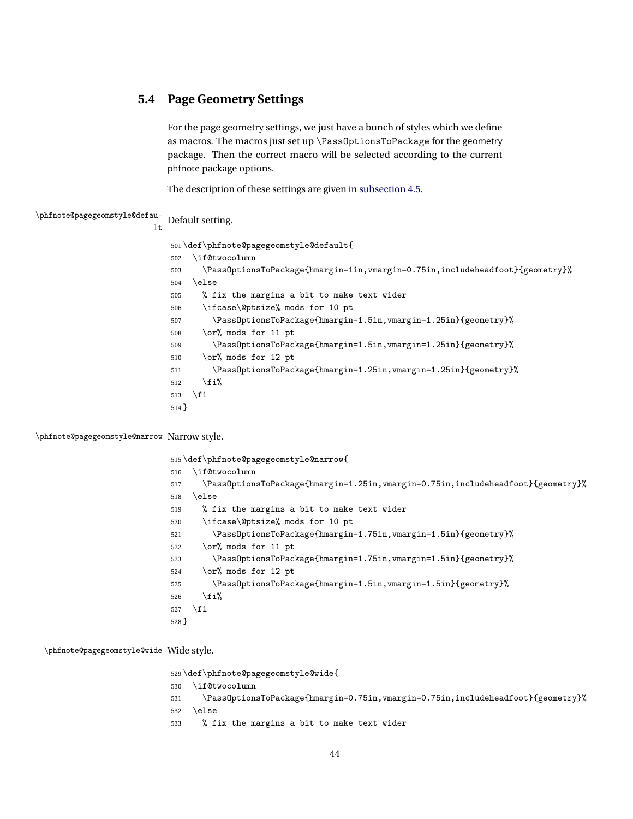### **5.4 Page Geometry Settings**

For the page geometry settings, we just have a bunch of styles which we define as macros. The macros just set up \PassOptionsToPackage for the geometry package. Then the correct macro will be selected according to the current phfnote package options.

The description of these settings are given in [subsection 4.5.](#page-14-0)

\phfnote@pagegeomstyle@default Default setting. \def\phfnote@pagegeomstyle@default{ \if@twocolumn \PassOptionsToPackage{hmargin=1in,vmargin=0.75in,includeheadfoot}{geometry}% \else % fix the margins a bit to make text wider \ifcase\@ptsize% mods for 10 pt \PassOptionsToPackage{hmargin=1.5in,vmargin=1.25in}{geometry}% \or% mods for 11 pt \PassOptionsToPackage{hmargin=1.5in,vmargin=1.25in}{geometry}% \or% mods for 12 pt \PassOptionsToPackage{hmargin=1.25in,vmargin=1.25in}{geometry}%  $\overrightarrow{fi}$  $\overline{f}$ }

\phfnote@pagegeomstyle@narrow Narrow style.

 \def\phfnote@pagegeomstyle@narrow{ \if@twocolumn \PassOptionsToPackage{hmargin=1.25in,vmargin=0.75in,includeheadfoot}{geometry}% \else % fix the margins a bit to make text wider \ifcase\@ptsize% mods for 10 pt \PassOptionsToPackage{hmargin=1.75in,vmargin=1.5in}{geometry}% \or% mods for 11 pt \PassOptionsToPackage{hmargin=1.75in,vmargin=1.5in}{geometry}% \or% mods for 12 pt \PassOptionsToPackage{hmargin=1.5in,vmargin=1.5in}{geometry}% 526 \fi% \fi }

\phfnote@pagegeomstyle@wide Wide style.

\def\phfnote@pagegeomstyle@wide{

- \if@twocolumn
- \PassOptionsToPackage{hmargin=0.75in,vmargin=0.75in,includeheadfoot}{geometry}%
- $532 \text{ }\lambda$ else
- % fix the margins a bit to make text wider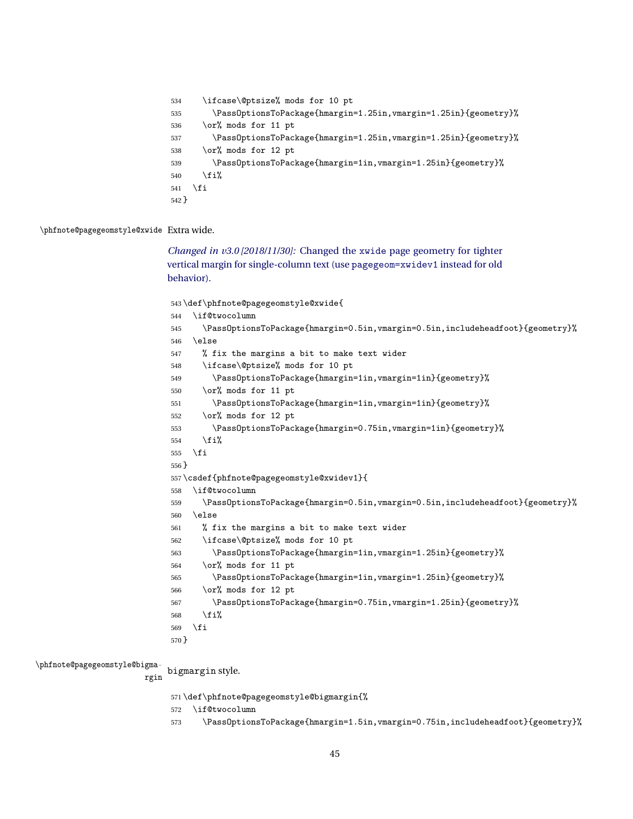| 534     | \ifcase\@ptsize% mods for 10 pt                                  |
|---------|------------------------------------------------------------------|
| 535     | \PassOptionsToPackage{hmargin=1.25in, vmargin=1.25in}{geometry}% |
| 536     | \or% mods for 11 pt                                              |
| 537     | \PassOptionsToPackage{hmargin=1.25in, vmargin=1.25in}{geometry}% |
| 538     | \or% mods for 12 pt                                              |
| 539     | \PassOptionsToPackage{hmargin=1in, vmargin=1.25in}{geometry}%    |
| 540     | \fi%                                                             |
| 541     | \fi                                                              |
| $542$ } |                                                                  |

\phfnote@pagegeomstyle@xwide Extra wide.

*[Changed in v3.0 \[2018/11/30\]:](#page-15-0)* Changed the xwide page geometry for tighter [vertical margin for single-column text \(use](#page-15-0) pagegeom=xwidev1 instead for old [behavior\).](#page-15-0)

 \def\phfnote@pagegeomstyle@xwide{ \if@twocolumn \PassOptionsToPackage{hmargin=0.5in,vmargin=0.5in,includeheadfoot}{geometry}% \else % fix the margins a bit to make text wider \ifcase\@ptsize% mods for 10 pt \PassOptionsToPackage{hmargin=1in,vmargin=1in}{geometry}% \or% mods for 11 pt \PassOptionsToPackage{hmargin=1in,vmargin=1in}{geometry}% \or% mods for 12 pt \PassOptionsToPackage{hmargin=0.75in,vmargin=1in}{geometry}% 554 \fi% \fi } \csdef{phfnote@pagegeomstyle@xwidev1}{ \if@twocolumn \PassOptionsToPackage{hmargin=0.5in,vmargin=0.5in,includeheadfoot}{geometry}% \else % fix the margins a bit to make text wider \ifcase\@ptsize% mods for 10 pt \PassOptionsToPackage{hmargin=1in,vmargin=1.25in}{geometry}% \or% mods for 11 pt \PassOptionsToPackage{hmargin=1in,vmargin=1.25in}{geometry}% \or% mods for 12 pt \PassOptionsToPackage{hmargin=0.75in,vmargin=1.25in}{geometry}% \fi% \fi }

\phfnote@pagegeomstyle@bigma-

rgin bigmargin style.

\def\phfnote@pagegeomstyle@bigmargin{%

\if@twocolumn

573 \PassOptionsToPackage{hmargin=1.5in, vmargin=0.75in, includeheadfoot}{geometry}%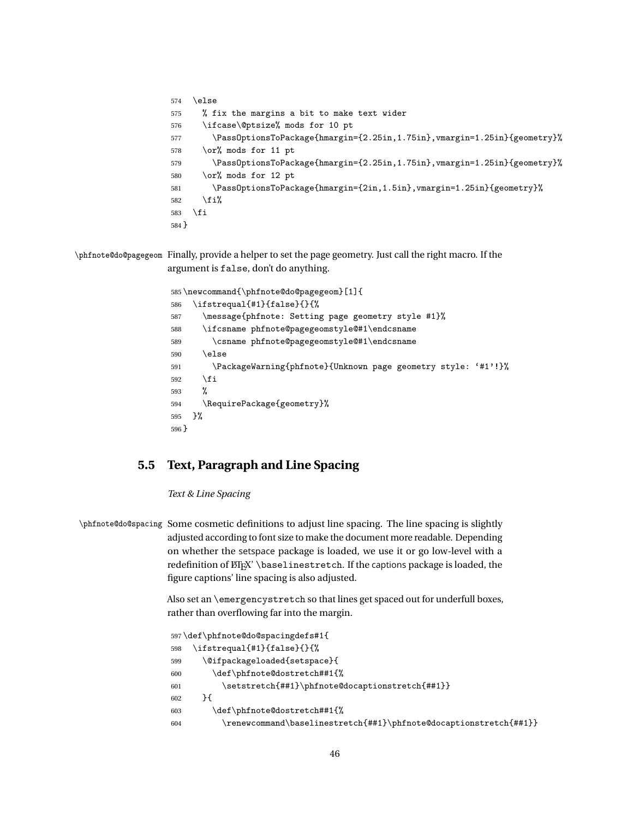```
574 \else
575 % fix the margins a bit to make text wider
576 \ifcase\@ptsize% mods for 10 pt
577 \PassOptionsToPackage{hmargin={2.25in,1.75in},vmargin=1.25in}{geometry}%
578 \or% mods for 11 pt
579 \PassOptionsToPackage{hmargin={2.25in,1.75in},vmargin=1.25in}{geometry}%
580 \or% mods for 12 pt
581 \PassOptionsToPackage{hmargin={2in,1.5in},vmargin=1.25in}{geometry}%
582 \overrightarrow{fi}583 \fi
584 }
```
\phfnote@do@pagegeom Finally, provide a helper to set the page geometry. Just call the right macro. If the argument is false, don't do anything.

```
585 \newcommand{\phfnote@do@pagegeom}[1]{
586 \ifstrequal{#1}{false}{}{%
587 \message{phfnote: Setting page geometry style #1}%
588 \ifcsname phfnote@pagegeomstyle@#1\endcsname
589 \csname phfnote@pagegeomstyle@#1\endcsname
590 \else
591 \PackageWarning{phfnote}{Unknown page geometry style: '#1'!}%
592 \forallfi
593 %
594 \RequirePackage{geometry}%
595 }%
596 }
```
## **5.5 Text, Paragraph and Line Spacing**

*Text & Line Spacing*

\phfnote@do@spacing Some cosmetic definitions to adjust line spacing. The line spacing is slightly adjusted according to font size to make the document more readable. Depending on whether the setspace package is loaded, we use it or go low-level with a redefinition of  $\Epsilon$ <sup>X'</sup> \baselinestretch. If the captions package is loaded, the figure captions' line spacing is also adjusted.

> Also set an \emergencystretch so that lines get spaced out for underfull boxes, rather than overflowing far into the margin.

```
597 \def\phfnote@do@spacingdefs#1{
598 \ifstrequal{#1}{false}{}{%
599 \@ifpackageloaded{setspace}{
600 \def\phfnote@dostretch##1{%
601 \setstretch{##1}\phfnote@docaptionstretch{##1}}
602 }{
603 \def\phfnote@dostretch##1{%
604 \renewcommand\baselinestretch{##1}\phfnote@docaptionstretch{##1}}
```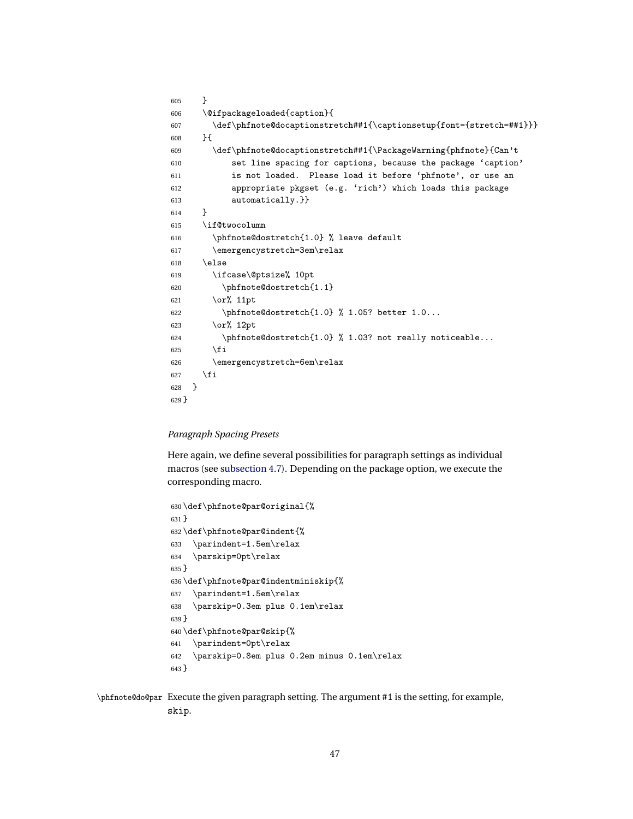```
605 }
606 \@ifpackageloaded{caption}{
607 \def\phfnote@docaptionstretch##1{\captionsetup{font={stretch=##1}}}
608 }{
609 \def\phfnote@docaptionstretch##1{\PackageWarning{phfnote}{Can't
610 set line spacing for captions, because the package 'caption'
611 is not loaded. Please load it before 'phfnote', or use an
612 appropriate pkgset (e.g. 'rich') which loads this package
613 automatically.}}
614 }
615 \if@twocolumn
616 \phfnote@dostretch{1.0} % leave default
617 \emergencystretch=3em\relax
618 \else
619 \ifcase\@ptsize% 10pt
620 \phfnote@dostretch{1.1}
621 \or% 11pt
622 \phi \phfnote@dostretch{1.0} % 1.05? better 1.0...
623 \or% 12pt
624 \phfnote@dostretch{1.0} % 1.03? not really noticeable...
625 \fi
626 \emergencystretch=6em\relax
627 \bigcupfi
628 }
629 }
```
#### *Paragraph Spacing Presets*

Here again, we define several possibilities for paragraph settings as individual macros (see [subsection 4.7\)](#page-18-0). Depending on the package option, we execute the corresponding macro.

```
630 \def\phfnote@par@original{%
631 }
632 \def\phfnote@par@indent{%
633 \parindent=1.5em\relax
634 \parskip=0pt\relax
635 }
636 \def\phfnote@par@indentminiskip{%
637 \parindent=1.5em\relax
638 \parskip=0.3em plus 0.1em\relax
639 }
640 \def\phfnote@par@skip{%
641 \parindent=0pt\relax
642 \parskip=0.8em plus 0.2em minus 0.1em\relax
643 }
```
\phfnote@do@par Execute the given paragraph setting. The argument #1 is the setting, for example, skip.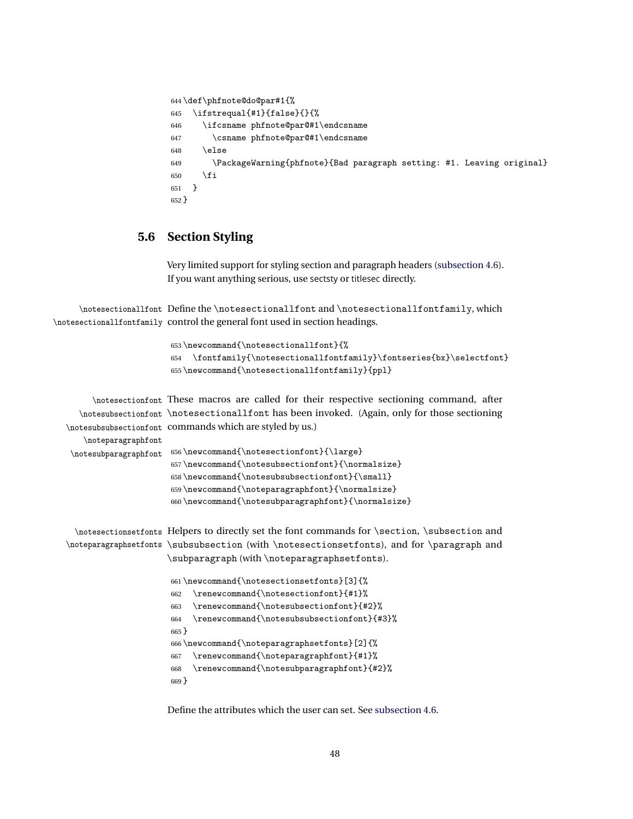```
644 \def\phfnote@do@par#1{%
645 \ifstrequal{#1}{false}{{}646 \ifcsname phfnote@par@#1\endcsname
647 \csname phfnote@par@#1\endcsname
648 \else
649 \PackageWarning{phfnote}{Bad paragraph setting: #1. Leaving original}
650 \fi
651 }
652 }
```
## **5.6 Section Styling**

Very limited support for styling section and paragraph headers [\(subsection 4.6\)](#page-15-1). If you want anything serious, use sectsty or titlesec directly.

\notesectionallfont Define the \notesectionallfont and \notesectionallfontfamily, which \notesectionallfontfamily control the general font used in section headings.

```
653 \newcommand{\notesectionallfont}{%
654 \fontfamily{\notesectionallfontfamily}\fontseries{bx}\selectfont}
655 \newcommand{\notesectionallfontfamily}{ppl}
```

```
\notesectionfont
These macros are called for their respective sectioning command, after
  \notesubsectionfont
\notesectionallfont has been invoked. (Again, only for those sectioning
\notesubsubsectionfont
commands which are styled by us.)
   \noteparagraphfont
\notesubparagraphfont
                      656 \newcommand{\notesectionfont}{\large}
                      657 \newcommand{\notesubsectionfont}{\normalsize}
                      658 \newcommand{\notesubsubsectionfont}{\small}
                      659 \newcommand{\noteparagraphfont}{\normalsize}
                      660 \newcommand{\notesubparagraphfont}{\normalsize}
 \notesectionsetfonts
Helpers to directly set the font commands for \section, \subsection and
\noteparagraphsetfonts \subsubsection (with \notesectionsetfonts), and for \paragraph and
                     \subparagraph (with \noteparagraphsetfonts).
                      661 \newcommand{\notesectionsetfonts}[3]{%
                      662 \renewcommand{\notesectionfont}{#1}%
                      663 \renewcommand{\notesubsectionfont}{#2}%
                      664 \renewcommand{\notesubsubsectionfont}{#3}%
                      665 }
```

```
666 \newcommand{\noteparagraphsetfonts}[2]{%
667 \renewcommand{\noteparagraphfont}{#1}%
```

```
668 \renewcommand{\notesubparagraphfont}{#2}%
```
}

Define the attributes which the user can set. See [subsection 4.6.](#page-15-1)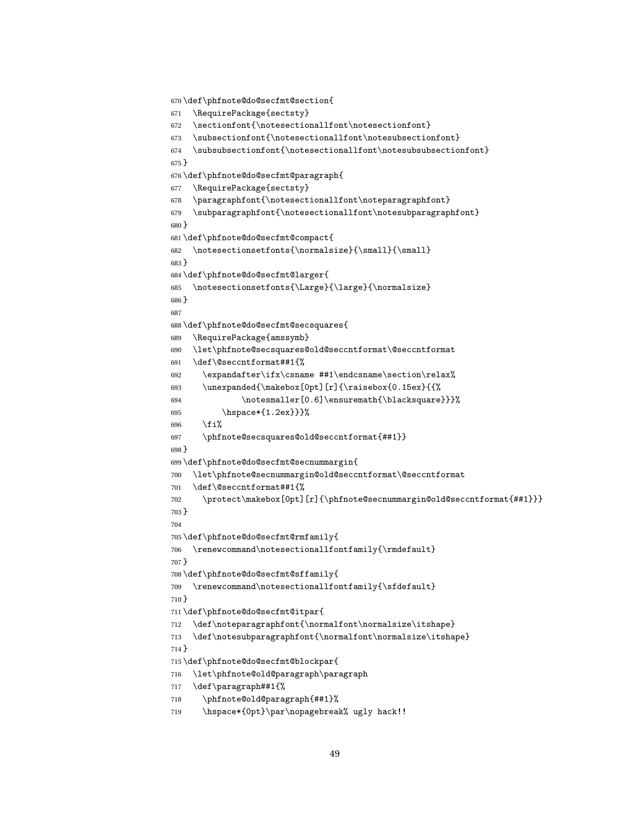```
670 \def\phfnote@do@secfmt@section{
671 \RequirePackage{sectsty}
672 \sectionfont{\notesectionallfont\notesectionfont}
673 \subsectionfont{\notesectionallfont\notesubsectionfont}
674 \subsubsectionfont{\notesectionallfont\notesubsubsectionfont}
675 }
676 \def\phfnote@do@secfmt@paragraph{
677 \RequirePackage{sectsty}
678 \paragraphfont{\notesectionallfont\noteparagraphfont}
679 \subparagraphfont{\notesectionallfont\notesubparagraphfont}
680 }
681 \def\phfnote@do@secfmt@compact{
682 \notesectionsetfonts{\normalsize}{\small}{\small}
683 }
684 \def\phfnote@do@secfmt@larger{
685 \notesectionsetfonts{\Large}{\large}{\normalsize}
686 }
687
688 \def\phfnote@do@secfmt@secsquares{
689 \RequirePackage{amssymb}
690 \let\phfnote@secsquares@old@seccntformat\@seccntformat
691 \def\@seccntformat##1{%
692 \expandafter\ifx\csname ##1\endcsname\section\relax%
693 \unexpanded{\makebox[0pt][r]{\raisebox{0.15ex}{{%
694 \notesmaller[0.6]\ensuremath{\blacksquare}}}%
695 \hspace*{1.2ex}}}%
696 \fi%
697 \phfnote@secsquares@old@seccntformat{##1}}
698 }
699 \def\phfnote@do@secfmt@secnummargin{
700 \let\phfnote@secnummargin@old@seccntformat\@seccntformat
701 \def\@seccntformat##1{%
702 \protect\makebox[0pt][r]{\phfnote@secnummargin@old@seccntformat{##1}}}
703 }
704
705 \def\phfnote@do@secfmt@rmfamily{
706 \renewcommand\notesectionallfontfamily{\rmdefault}
707 }
708 \def\phfnote@do@secfmt@sffamily{
709 \renewcommand\notesectionallfontfamily{\sfdefault}
710 }
711 \def\phfnote@do@secfmt@itpar{
712 \def\noteparagraphfont{\normalfont\normalsize\itshape}
713 \def\notesubparagraphfont{\normalfont\normalsize\itshape}
714 }
715 \def\phfnote@do@secfmt@blockpar{
716 \let\phfnote@old@paragraph\paragraph
717 \def\paragraph##1{%
718 \phfnote@old@paragraph{##1}%
719 \hspace*{0pt}\par\nopagebreak% ugly hack!!
```

```
49
```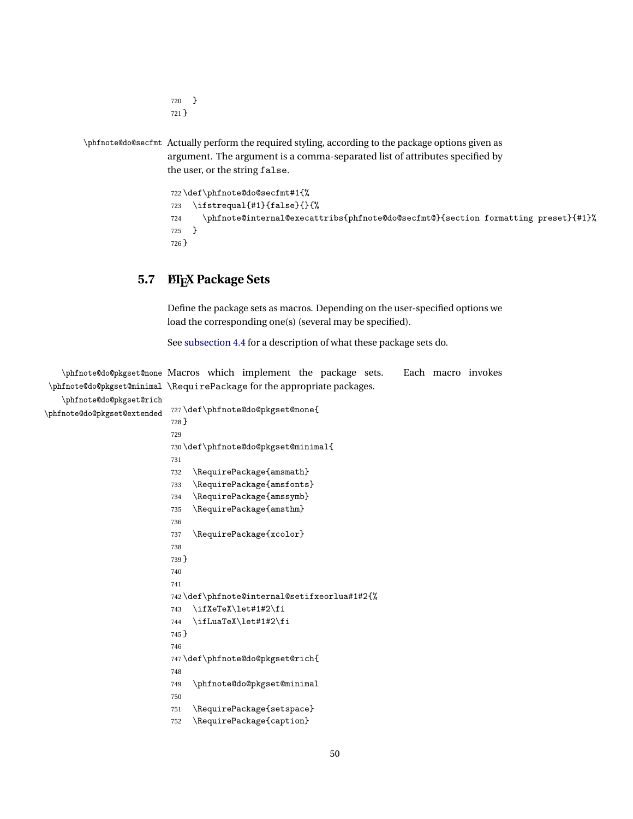```
720 }
721 }
```
\phfnote@do@secfmt Actually perform the required styling, according to the package options given as argument. The argument is a comma-separated list of attributes specified by the user, or the string false.

```
722 \def\phfnote@do@secfmt#1{%
723 \ifstrequal{#1}{false}{}{%
724 \phfnote@internal@execattribs{phfnote@do@secfmt@}{section formatting preset}{#1}%
725 }
726 }
```
# **5.7 LATEX Package Sets**

Define the package sets as macros. Depending on the user-specified options we load the corresponding one(s) (several may be specified).

See [subsection 4.4](#page-14-1) for a description of what these package sets do.

```
\phfnote@do@pkgset@none
Macros which implement the package sets. Each macro invokes
 \phfnote@do@pkgset@minimal
\RequirePackage for the appropriate packages.
   \phfnote@do@pkgset@rich
\phfnote@do@pkgset@extended
                          727 \def\phfnote@do@pkgset@none{
                           728 }
                           729
                           730 \def\phfnote@do@pkgset@minimal{
                           731
                           732 \RequirePackage{amsmath}
                           733 \RequirePackage{amsfonts}
                           734 \RequirePackage{amssymb}
                           735 \RequirePackage{amsthm}
                           736
                           737 \RequirePackage{xcolor}
                           738
                           739 }
                           740
                           741
                           742 \def\phfnote@internal@setifxeorlua#1#2{%
                           743 \ifXeTeX\let#1#2\fi
                           744 \ifLuaTeX\let#1#2\fi
                           745 }
                           746
                           747 \def\phfnote@do@pkgset@rich{
                           748
                           749 \phfnote@do@pkgset@minimal
                           750
                           751 \RequirePackage{setspace}
                           752 \RequirePackage{caption}
```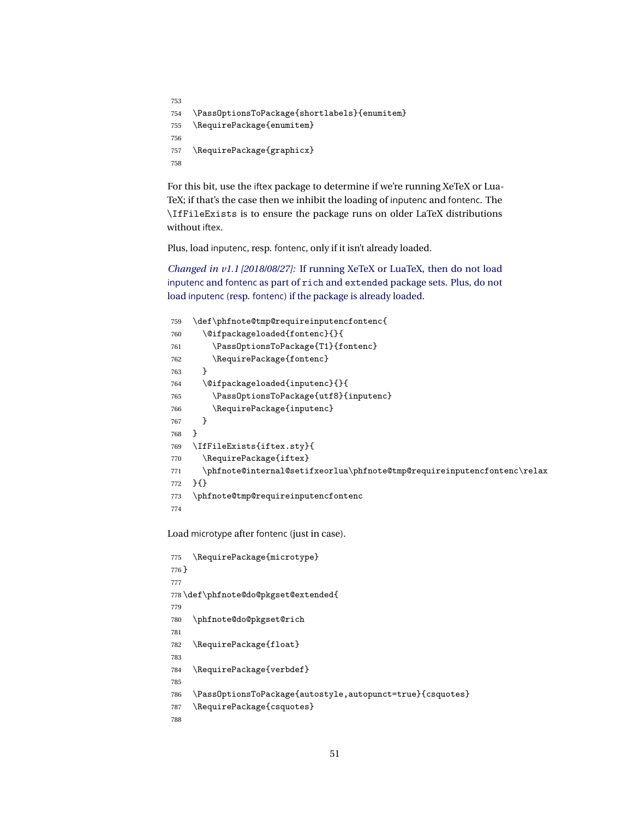```
753
754 \PassOptionsToPackage{shortlabels}{enumitem}
755 \RequirePackage{enumitem}
756
757 \RequirePackage{graphicx}
758
```
For this bit, use the iftex package to determine if we're running XeTeX or Lua-TeX; if that's the case then we inhibit the loading of inputenc and fontenc. The \IfFileExists is to ensure the package runs on older LaTeX distributions without iftex.

Plus, load inputenc, resp. fontenc, only if it isn't already loaded.

*Changed in v1.1 [2018/08/27]:* [If running XeTeX or LuaTeX, then do not load](#page-14-2) inputenc and fontenc as part of rich and extended [package sets. Plus, do not](#page-14-2) load inputenc (resp. fontenc[\) if the package is already loaded.](#page-14-2)

```
759 \def\phfnote@tmp@requireinputencfontenc{
760 \@ifpackageloaded{fontenc}{}{
761 \PassOptionsToPackage{T1}{fontenc}
762 \RequirePackage{fontenc}
763 }
764 \@ifpackageloaded{inputenc}{}{
765 \PassOptionsToPackage{utf8}{inputenc}
766 \RequirePackage{inputenc}
767 }
768 }
769 \IfFileExists{iftex.sty}{
770 \RequirePackage{iftex}
771 \phfnote@internal@setifxeorlua\phfnote@tmp@requireinputencfontenc\relax
772 }{}
773 \phfnote@tmp@requireinputencfontenc
774
```
Load microtype after fontenc (just in case).

```
775 \RequirePackage{microtype}
776 }
777
778 \def\phfnote@do@pkgset@extended{
779
780 \phfnote@do@pkgset@rich
781
782 \RequirePackage{float}
783
784 \RequirePackage{verbdef}
785
786 \PassOptionsToPackage{autostyle,autopunct=true}{csquotes}
787 \RequirePackage{csquotes}
788
```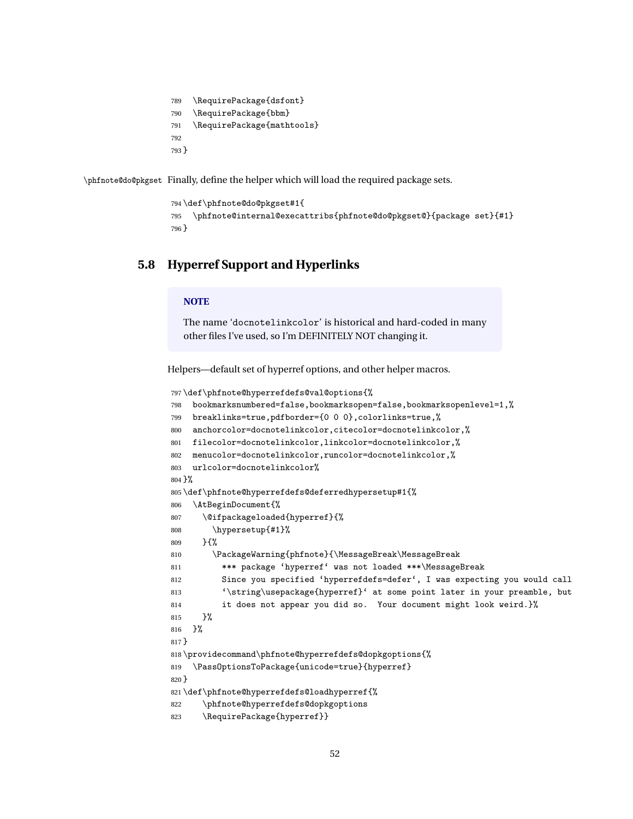\RequirePackage{dsfont} \RequirePackage{bbm} \RequirePackage{mathtools} }

\phfnote@do@pkgset Finally, define the helper which will load the required package sets.

```
794 \def\phfnote@do@pkgset#1{
795 \phfnote@internal@execattribs{phfnote@do@pkgset@}{package set}{#1}
796 }
```
### **5.8 Hyperref Support and Hyperlinks**

#### **NOTE**

The name 'docnotelinkcolor' is historical and hard-coded in many other files I've used, so I'm DEFINITELY NOT changing it.

Helpers—default set of hyperref options, and other helper macros.

```
797 \def\phfnote@hyperrefdefs@val@options{%
798 bookmarksnumbered=false,bookmarksopen=false,bookmarksopenlevel=1,%
799 breaklinks=true,pdfborder={0 0 0},colorlinks=true,%
800 anchorcolor=docnotelinkcolor,citecolor=docnotelinkcolor,%
801 filecolor=docnotelinkcolor,linkcolor=docnotelinkcolor,%
802 menucolor=docnotelinkcolor,runcolor=docnotelinkcolor,%
803 urlcolor=docnotelinkcolor%
804 }%
805 \def\phfnote@hyperrefdefs@deferredhypersetup#1{%
806 \AtBeginDocument{%
807 \@ifpackageloaded{hyperref}{%
808 \hypersetup{#1}%
809 }{%
810 \PackageWarning{phfnote}{\MessageBreak\MessageBreak
811 *** package 'hyperref' was not loaded ***\MessageBreak
812 Since you specified 'hyperrefdefs=defer', I was expecting you would call
813 '\string\usepackage{hyperref}' at some point later in your preamble, but
814 it does not appear you did so. Your document might look weird.}%
815 }%
816 }%
817 }
818 \providecommand\phfnote@hyperrefdefs@dopkgoptions{%
819 \PassOptionsToPackage{unicode=true}{hyperref}
820 }
821 \def\phfnote@hyperrefdefs@loadhyperref{%
822 \phfnote@hyperrefdefs@dopkgoptions
823 \RequirePackage{hyperref}}
```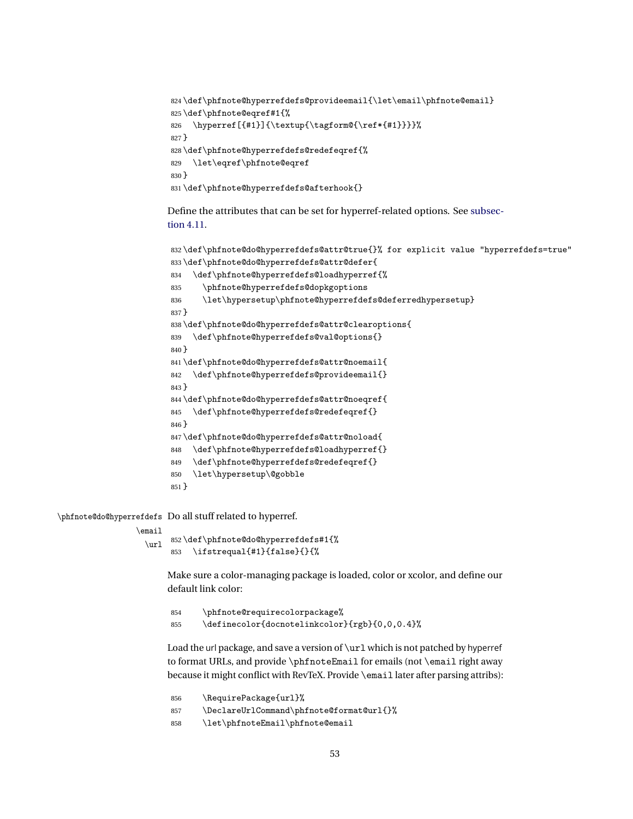```
824 \def\phfnote@hyperrefdefs@provideemail{\let\email\phfnote@email}
825 \def\phfnote@eqref#1{%
826 \hyperref[{#1}]{\textup{\tagform@{\ref*{#1}}}}}
827 }
828 \def\phfnote@hyperrefdefs@redefeqref{%
829 \let\eqref\phfnote@eqref
830 }
831 \def\phfnote@hyperrefdefs@afterhook{}
```
Define the attributes that can be set for hyperref-related options. See [subsec](#page-20-0)[tion 4.11.](#page-20-0)

```
832 \def\phfnote@do@hyperrefdefs@attr@true{}% for explicit value "hyperrefdefs=true"
833 \def\phfnote@do@hyperrefdefs@attr@defer{
834 \def\phfnote@hyperrefdefs@loadhyperref{%
835 \phfnote@hyperrefdefs@dopkgoptions
836 \let\hypersetup\phfnote@hyperrefdefs@deferredhypersetup}
837 }
838 \def\phfnote@do@hyperrefdefs@attr@clearoptions{
839 \def\phfnote@hyperrefdefs@val@options{}
840 }
841 \def\phfnote@do@hyperrefdefs@attr@noemail{
842 \def\phfnote@hyperrefdefs@provideemail{}
843 }
844 \def\phfnote@do@hyperrefdefs@attr@noeqref{
845 \def\phfnote@hyperrefdefs@redefeqref{}
846 }
847 \def\phfnote@do@hyperrefdefs@attr@noload{
848 \def\phfnote@hyperrefdefs@loadhyperref{}
849 \def\phfnote@hyperrefdefs@redefeqref{}
850 \let\hypersetup\@gobble
851 }
```
\phfnote@do@hyperrefdefs Do all stuff related to hyperref.

```
\email
```
\url \def\phfnote@do@hyperrefdefs#1{% \ifstrequal{#1}{false}{}{%

> Make sure a color-managing package is loaded, color or xcolor, and define our default link color:

```
854 \phfnote@requirecolorpackage%
855 \definecolor{docnotelinkcolor}{rgb}{0,0,0.4}%
```
Load the url package, and save a version of \url which is not patched by hyperref to format URLs, and provide \phfnoteEmail for emails (not \email right away because it might conflict with RevTeX. Provide \email later after parsing attribs):

856 \RequirePackage{url}% \DeclareUrlCommand\phfnote@format@url{}% \let\phfnoteEmail\phfnote@email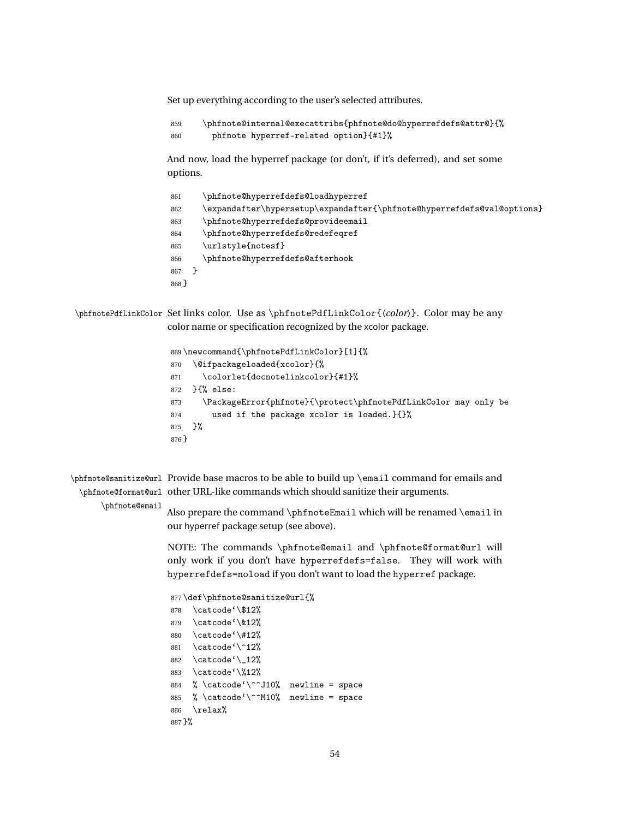Set up everything according to the user's selected attributes.

 \phfnote@internal@execattribs{phfnote@do@hyperrefdefs@attr@}{% phfnote hyperref-related option}{#1}%

And now, load the hyperref package (or don't, if it's deferred), and set some options.

| 861     | \phfnote@hyperrefdefs@loadhyperref                                     |
|---------|------------------------------------------------------------------------|
| 862     | \expandafter\hypersetup\expandafter{\phfnote@hyperrefdefs@val@options} |
| 863     | \phfnote@hyperrefdefs@provideemail                                     |
| 864     | \phfnote@hyperrefdefs@redefeqref                                       |
| 865     | \urlstyle{notesf}                                                      |
| 866     | \phfnote@hyperrefdefs@afterhook                                        |
| 867     |                                                                        |
| $868$ } |                                                                        |

\phfnotePdfLinkColor Set links color. Use as \phfnotePdfLinkColor{〈*color*〉}. Color may be any color name or specification recognized by the xcolor package.

```
869 \newcommand{\phfnotePdfLinkColor}[1]{%
870 \@ifpackageloaded{xcolor}{%
871 \colorlet{docnotelinkcolor}{#1}%
872 }{% else:
873 \PackageError{phfnote}{\protect\phfnotePdfLinkColor may only be
874 used if the package xcolor is loaded.}{}%
875 }%
876 }
```
\phfnote@sanitize@url Provide base macros to be able to build up \email command for emails and \phfnote@format@url other URL-like commands which should sanitize their arguments.

#### \phfnote@email

Also prepare the command \phfnoteEmail which will be renamed \email in our hyperref package setup (see above).

NOTE: The commands \phfnote@email and \phfnote@format@url will only work if you don't have hyperrefdefs=false. They will work with hyperrefdefs=noload if you don't want to load the hyperref package.

```
877 \def\phfnote@sanitize@url{%
878 \catcode'\$12%
879 \catcode'\&12%
880 \catcode'\#12%
881 \catcode'\^12%
882 \catcode'\_12%
883 \catcode'\%12%
884 % \catcode'\^^J10% newline = space
885 % \catcode' ^^M10% newline = space
886 \relax%
887 }%
```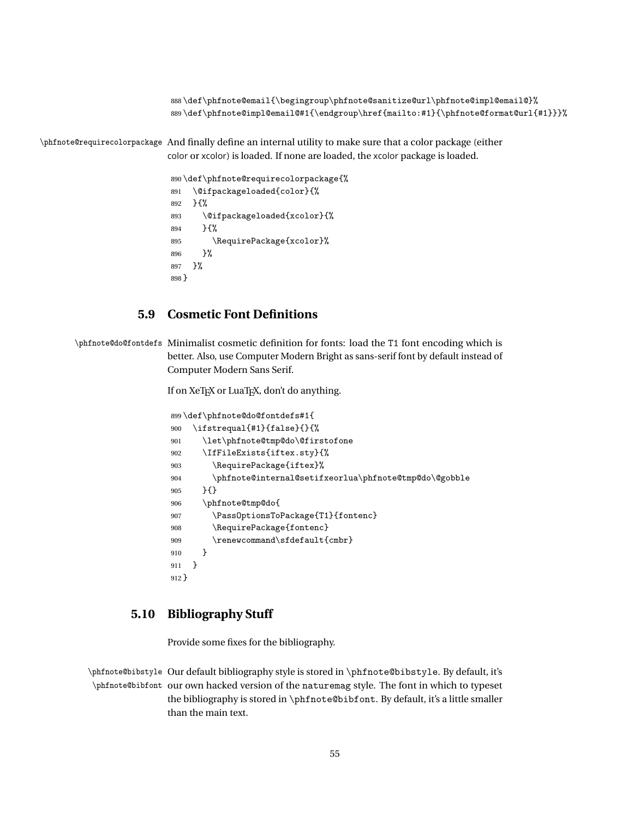\def\phfnote@email{\begingroup\phfnote@sanitize@url\phfnote@impl@email@}% \def\phfnote@impl@email@#1{\endgroup\href{mailto:#1}{\phfnote@format@url{#1}}}%

\phfnote@requirecolorpackage And finally define an internal utility to make sure that a color package (either color or xcolor) is loaded. If none are loaded, the xcolor package is loaded.

```
890 \def\phfnote@requirecolorpackage{%
891 \@ifpackageloaded{color}{%
892 }{%
893 \@ifpackageloaded{xcolor}{%
894 }{%
895 \RequirePackage{xcolor}%
896 }%
897 }%
898 }
```
## **5.9 Cosmetic Font Definitions**

\phfnote@do@fontdefs Minimalist cosmetic definition for fonts: load the T1 font encoding which is better. Also, use Computer Modern Bright as sans-serif font by default instead of Computer Modern Sans Serif.

If on XeTEX or LuaTEX, don't do anything.

|         | 899\def\phfnote@do@fontdefs#1{                        |
|---------|-------------------------------------------------------|
| 900     | \ifstrequal{#1}{false}{}{%                            |
| 901     | \let\phfnote@tmp@do\@firstofone                       |
| 902     | \IfFileExists{iftex.sty}{%                            |
| 903     | \RequirePackage{iftex}%                               |
| 904     | \phfnote@internal@setifxeorlua\phfnote@tmp@do\@gobble |
| 905     | H                                                     |
| 906     | \phfnote@tmp@do{                                      |
| 907     | \Pass0ptionsToPackage{T1}{fontenc}                    |
| 908     | \RequirePackage{fontenc}                              |
| 909     | \renewcommand\sfdefault{cmbr}                         |
| 910     | ጉ                                                     |
| 911     | ł                                                     |
| $912$ } |                                                       |

## **5.10 Bibliography Stuff**

Provide some fixes for the bibliography.

\phfnote@bibstyle Our default bibliography style is stored in \phfnote@bibstyle. By default, it's \phfnote@bibfont our own hacked version of the naturemag style. The font in which to typeset the bibliography is stored in \phfnote@bibfont. By default, it's a little smaller than the main text.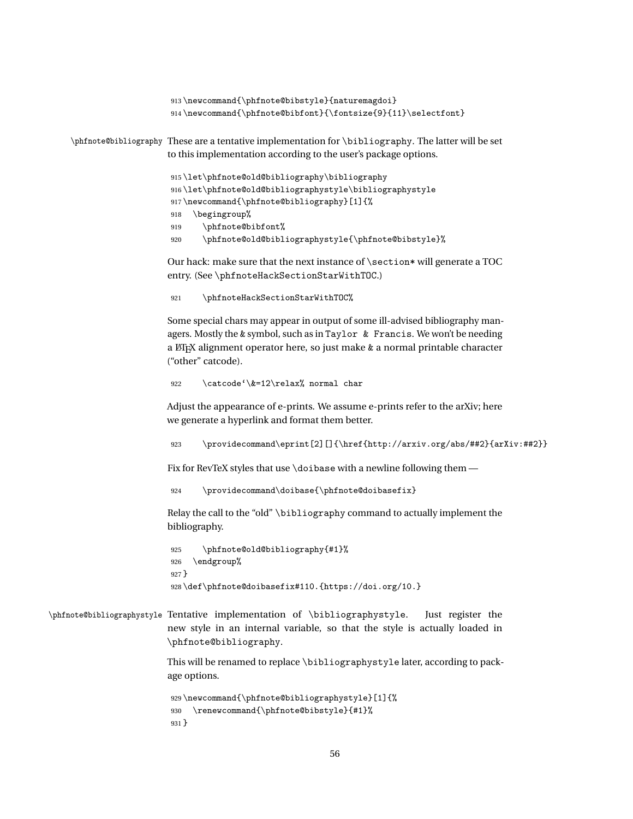```
913 \newcommand{\phfnote@bibstyle}{naturemagdoi}
                     914 \newcommand{\phfnote@bibfont}{\fontsize{9}{11}\selectfont}
\phfnote@bibliography These are a tentative implementation for \bibliography. The latter will be set
                    to this implementation according to the user's package options.
                     915 \let\phfnote@old@bibliography\bibliography
                     916 \let\phfnote@old@bibliographystyle\bibliographystyle
                     917 \newcommand{\phfnote@bibliography}[1]{%
                     918 \begingroup%
                     919 \phfnote@bibfont%
                     920 \phfnote@old@bibliographystyle{\phfnote@bibstyle}%
                    Our hack: make sure that the next instance of \section* will generate a TOC
                    entry. (See \phfnoteHackSectionStarWithTOC.)
                     921 \phfnoteHackSectionStarWithTOC%
                    Some special chars may appear in output of some ill-advised bibliography man-
                    agers. Mostly the & symbol, such as in Taylor & Francis. We won't be needing
                    a LATEX alignment operator here, so just make & a normal printable character
                    ("other" catcode).
                     922 \catcode'\&=12\relax% normal char
```
Adjust the appearance of e-prints. We assume e-prints refer to the arXiv; here we generate a hyperlink and format them better.

923 \providecommand\eprint[2][]{\href{http://arxiv.org/abs/##2}{arXiv:##2}}

Fix for RevTeX styles that use \doibase with a newline following them —

924 \providecommand\doibase{\phfnote@doibasefix}

Relay the call to the "old" \bibliography command to actually implement the bibliography.

```
925 \phfnote@old@bibliography{#1}%
926 \endgroup%
927 }
928 \def\phfnote@doibasefix#110.{https://doi.org/10.}
```
\phfnote@bibliographystyle Tentative implementation of \bibliographystyle. Just register the new style in an internal variable, so that the style is actually loaded in \phfnote@bibliography.

> This will be renamed to replace \bibliographystyle later, according to package options.

```
929 \newcommand{\phfnote@bibliographystyle}[1]{%
930 \renewcommand{\phfnote@bibstyle}{#1}%
931 }
```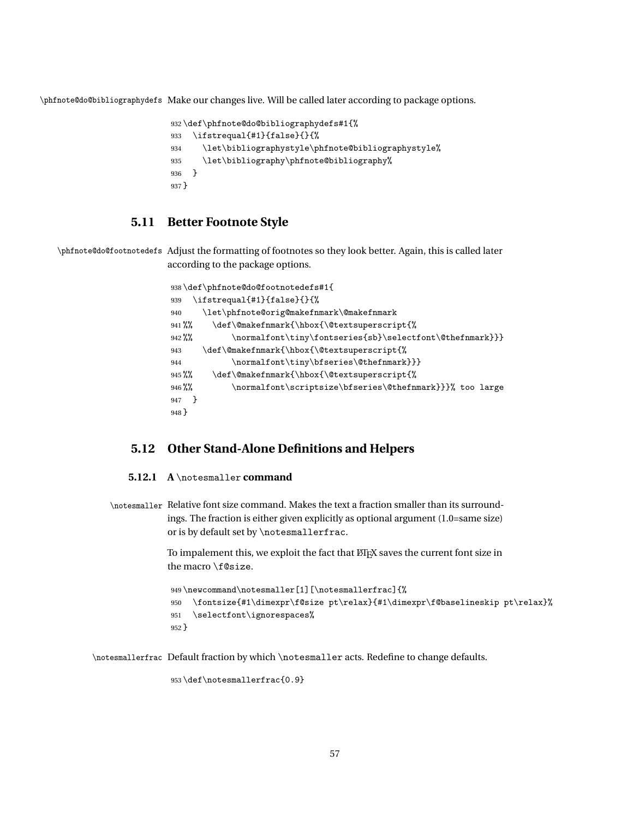\phfnote@do@bibliographydefs Make our changes live. Will be called later according to package options.

```
932 \def\phfnote@do@bibliographydefs#1{%
933 \ifstrequal{#1}{false}{}{%
934 \let\bibliographystyle\phfnote@bibliographystyle%
935 \let\bibliography\phfnote@bibliography%
936 }
937 }
```
### **5.11 Better Footnote Style**

\phfnote@do@footnotedefs Adjust the formatting of footnotes so they look better. Again, this is called later according to the package options.

| 938\def\phfnote@do@footnotedefs#1{ |                                                          |  |
|------------------------------------|----------------------------------------------------------|--|
| \ifstrequal{#1}{false}{}{%<br>939  |                                                          |  |
| 940                                | \let\phfnote@orig@makefnmark\@makefnmark                 |  |
| $941\,\%$ %                        | \def\@makefnmark{\hbox{\@textsuperscript{%               |  |
| $942\%$                            | \normalfont\tiny\fontseries{sb}\selectfont\@thefnmark}}} |  |
| 943                                | \def\@makefnmark{\hbox{\@textsuperscript{%               |  |
| 944                                | \normalfont\tiny\bfseries\@thefnmark}}}                  |  |
| $945 \%$                           | \def\@makefnmark{\hbox{\@textsuperscript{%               |  |
| $946 \%$                           | \normalfont\scriptsize\bfseries\@thefnmark}}}% too large |  |
| - 1-<br>947                        |                                                          |  |
| $948$ }                            |                                                          |  |

## **5.12 Other Stand-Alone Definitions and Helpers**

#### **5.12.1 A** \notesmaller **command**

\notesmaller Relative font size command. Makes the text a fraction smaller than its surroundings. The fraction is either given explicitly as optional argument (1.0=same size) or is by default set by \notesmallerfrac.

> To impalement this, we exploit the fact that LATEX saves the current font size in the macro \f@size.

```
949 \newcommand\notesmaller[1][\notesmallerfrac]{%
950 \fontsize{#1\dimexpr\f@size pt\relax}{#1\dimexpr\f@baselineskip pt\relax}%
951 \selectfont\ignorespaces%
952 }
```
\notesmallerfrac Default fraction by which \notesmaller acts. Redefine to change defaults.

```
953 \def\notesmallerfrac{0.9}
```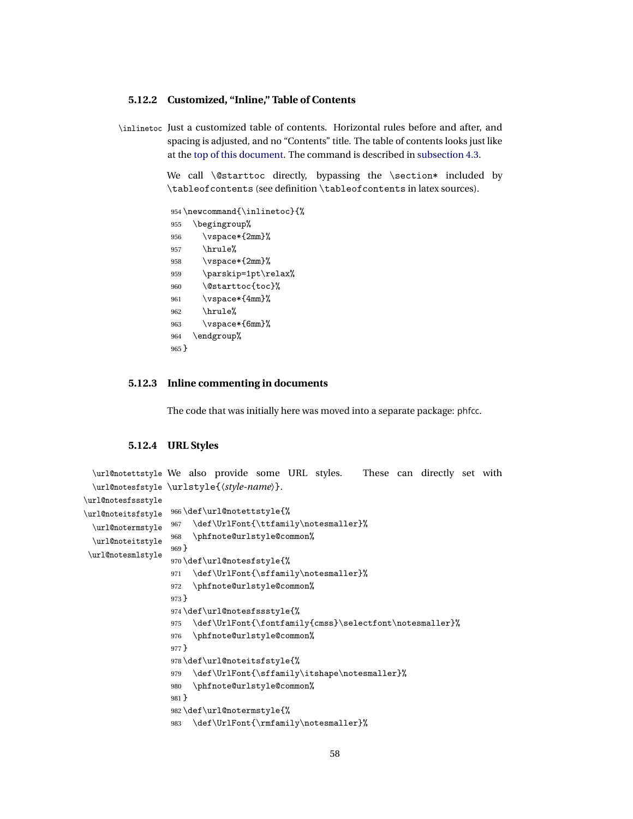#### **5.12.2 Customized, "Inline," Table of Contents**

\inlinetoc Just a customized table of contents. Horizontal rules before and after, and spacing is adjusted, and no "Contents" title. The table of contents looks just like at the [top of this document.](#page-0-0) The command is described in [subsection 4.3.](#page-13-0)

> We call \@starttoc directly, bypassing the \section\* included by \tableofcontents (see definition \tableofcontents in latex sources).

```
954 \newcommand{\inlinetoc}{%
955 \begingroup%
956 \vspace*{2mm}%
957 \hrule%
958 \vspace*{2mm}%
959 \parskip=1pt\relax%
960 \@starttoc{toc}%
961 \vspace*{4mm}%
962 \hrule%
963 \vspace*{6mm}%
964 \endgroup%
965 }
```
#### **5.12.3 Inline commenting in documents**

The code that was initially here was moved into a separate package: phfcc.

#### **5.12.4 URL Styles**

```
\url@notettstyle
We also provide some URL styles. These can directly set with
 \url@notesfstyle
\urlstyle{〈style-name〉}.
\url@notesfssstyle
\url@noteitsfstyle
 \url@notermstyle
 \url@noteitstyle
\url@notesmlstyle
                  966 \def\url@notettstyle{%
                  967 \def\UrlFont{\ttfamily\notesmaller}%
                  968 \phfnote@urlstyle@common%
                  969 }
                  970 \def\url@notesfstyle{%
                  971 \def\UrlFont{\sffamily\notesmaller}%
                  972 \phfnote@urlstyle@common%
                  973 }
                  974 \def\url@notesfssstyle{%
                  975 \def\UrlFont{\fontfamily{cmss}\selectfont\notesmaller}%
                  976 \phfnote@urlstyle@common%
                  977 }
                  978 \def\url@noteitsfstyle{%
                  979 \def\UrlFont{\sffamily\itshape\notesmaller}%
                  980 \phfnote@urlstyle@common%
                  981 }
                  982 \def\url@notermstyle{%
                  983 \def\UrlFont{\rmfamily\notesmaller}%
```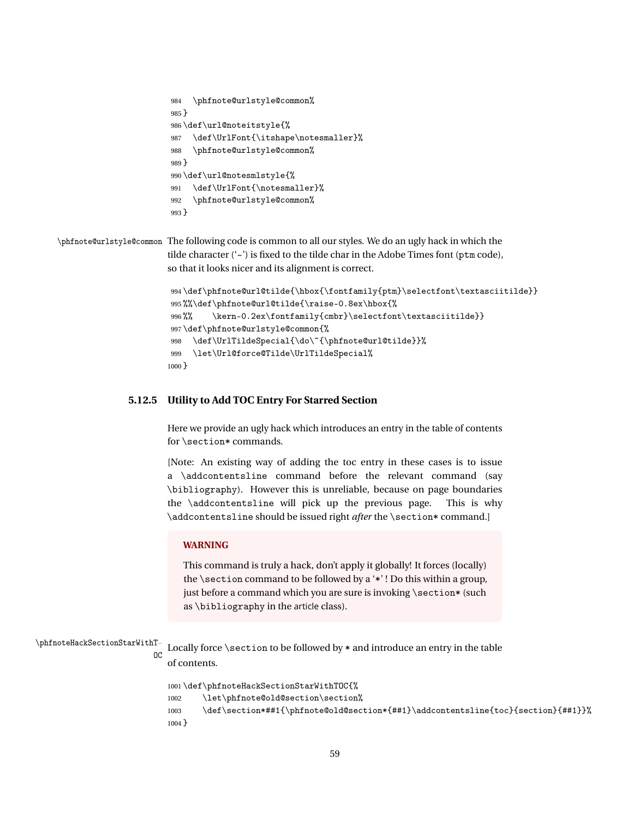```
984 \phfnote@urlstyle@common%
985 }
986 \def\url@noteitstyle{%
987 \def\UrlFont{\itshape\notesmaller}%
988 \phfnote@urlstyle@common%
989 }
990 \def\url@notesmlstyle{%
991 \def\UrlFont{\notesmaller}%
992 \phfnote@urlstyle@common%
993 }
```
\phfnote@urlstyle@common The following code is common to all our styles. We do an ugly hack in which the tilde character ('~') is fixed to the tilde char in the Adobe Times font (ptm code), so that it looks nicer and its alignment is correct.

```
994 \def\phfnote@url@tilde{\hbox{\fontfamily{ptm}\selectfont\textasciitilde}}
995 %%\def\phfnote@url@tilde{\raise-0.8ex\hbox{%
996 %% \kern-0.2ex\fontfamily{cmbr}\selectfont\textasciitilde}}
997 \def\phfnote@urlstyle@common{%
998 \def\UrlTildeSpecial{\do\~{\phfnote@url@tilde}}%
999 \let\Url@force@Tilde\UrlTildeSpecial%
1000 }
```
#### **5.12.5 Utility to Add TOC Entry For Starred Section**

Here we provide an ugly hack which introduces an entry in the table of contents for \section\* commands.

[Note: An existing way of adding the toc entry in these cases is to issue a \addcontentsline command before the relevant command (say \bibliography). However this is unreliable, because on page boundaries the \addcontentsline will pick up the previous page. This is why \addcontentsline should be issued right *after* the \section\* command.]

#### **WARNING**

This command is truly a hack, don't apply it globally! It forces (locally) the \section command to be followed by a '\*' ! Do this within a group, just before a command which you are sure is invoking \section\* (such as \bibliography in the article class).

#### \phfnoteHackSectionStarWithT-

OC Locally force \section to be followed by \* and introduce an entry in the table of contents.

```
1001 \def\phfnoteHackSectionStarWithTOC{%
1002 \let\phfnote@old@section\section%
1003 \def\section*##1{\phfnote@old@section*{##1}\addcontentsline{toc}{section}{##1}}%
1004 }
```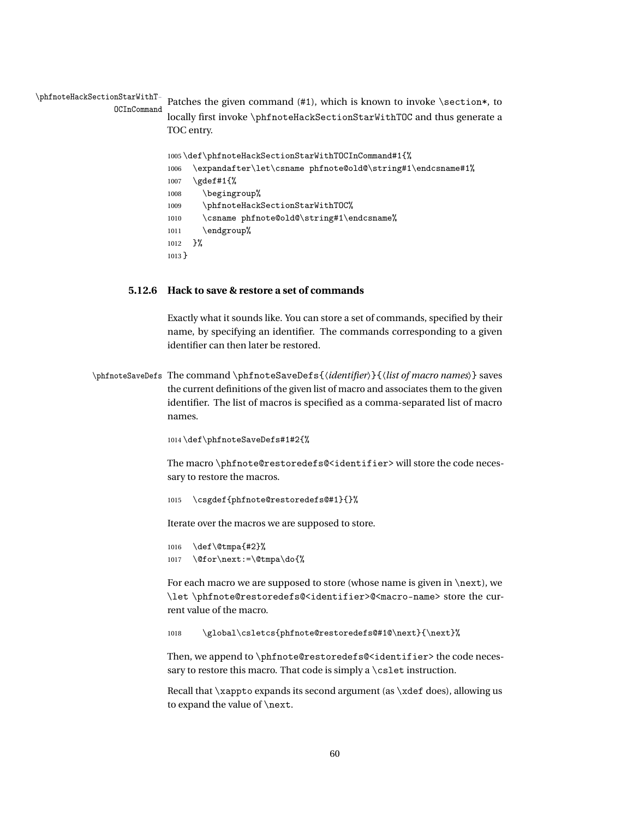\phfnoteHackSectionStarWithT-OCInCommand Patches the given command  $(41)$ , which is known to invoke \section\*, to locally first invoke \phfnoteHackSectionStarWithTOC and thus generate a TOC entry.

```
1005 \def\phfnoteHackSectionStarWithTOCInCommand#1{%
1006 \expandafter\let\csname phfnote@old@\string#1\endcsname#1%
1007 \gdef#1{%
1008 \begingroup%
1009 \phfnoteHackSectionStarWithTOC%
1010 \csname phfnote@old@\string#1\endcsname%
1011 \endgroup%
1012 }%
1013 }
```
#### **5.12.6 Hack to save & restore a set of commands**

Exactly what it sounds like. You can store a set of commands, specified by their name, by specifying an identifier. The commands corresponding to a given identifier can then later be restored.

\phfnoteSaveDefs The command \phfnoteSaveDefs{〈*identifier*〉}{〈*list of macro names*〉} saves the current definitions of the given list of macro and associates them to the given identifier. The list of macros is specified as a comma-separated list of macro names.

1014 \def\phfnoteSaveDefs#1#2{%

The macro \phfnote@restoredefs@<identifier> will store the code necessary to restore the macros.

1015 \csgdef{phfnote@restoredefs@#1}{}%

Iterate over the macros we are supposed to store.

```
1016 \def\@tmpa{#2}%
1017 \@for\next:=\@tmpa\do{%
```
For each macro we are supposed to store (whose name is given in  $\net$ next), we \let \phfnote@restoredefs@<identifier>@<macro-name> store the current value of the macro.

1018 \global\csletcs{phfnote@restoredefs@#1@\next}{\next}%

Then, we append to \phfnote@restoredefs@<identifier> the code necessary to restore this macro. That code is simply a \cslet instruction.

Recall that \xappto expands its second argument (as \xdef does), allowing us to expand the value of \next.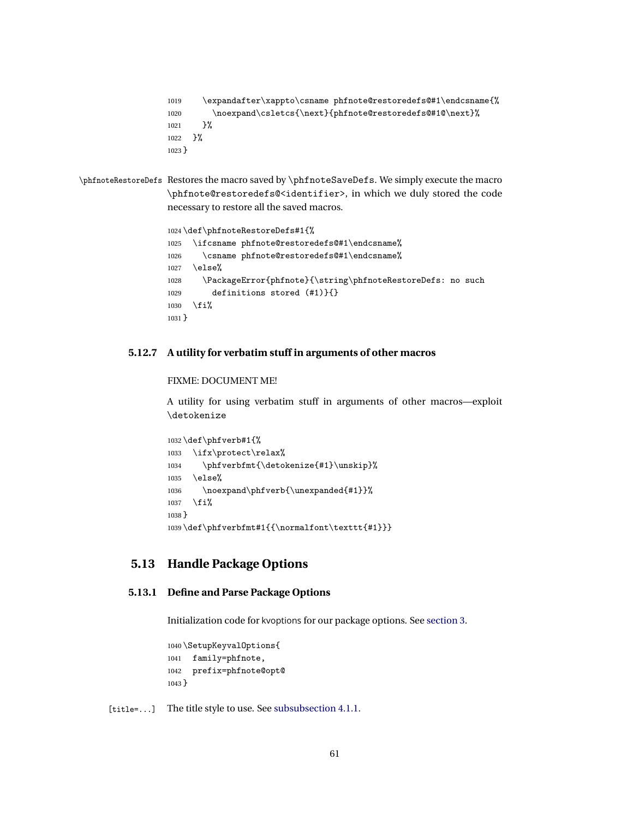```
1019 \expandafter\xappto\csname phfnote@restoredefs@#1\endcsname{%
1020 \noexpand\csletcs{\next}{phfnote@restoredefs@#1@\next}%
1021 }%
1022 }%
1023 }
```

```
\phfnoteRestoreDefs Restores the macro saved by \phfnoteSaveDefs. We simply execute the macro
                   \phfnote@restoredefs@<identifier>, in which we duly stored the code
                   necessary to restore all the saved macros.
```

```
1024 \def\phfnoteRestoreDefs#1{%
1025 \ifcsname phfnote@restoredefs@#1\endcsname%
1026 \csname phfnote@restoredefs@#1\endcsname%
1027 \else%
1028 \PackageError{phfnote}{\string\phfnoteRestoreDefs: no such
1029 definitions stored (#1)}{}
1030 \fi%
1031 }
```
### **5.12.7 A utility for verbatim stuff in arguments of other macros**

#### FIXME: DOCUMENT ME!

A utility for using verbatim stuff in arguments of other macros—exploit \detokenize

```
1032 \def\phfverb#1{%
1033 \ifx\protect\relax%
1034 \phfverbfmt{\detokenize{#1}\unskip}%
1035 \else%
1036 \noexpand\phfverb{\unexpanded{#1}}%
1037 \fi%
1038 }
1039 \def\phfverbfmt#1{{\normalfont\texttt{#1}}}
```
## **5.13 Handle Package Options**

#### **5.13.1 Define and Parse Package Options**

Initialization code for kvoptions for our package options. See [section 3.](#page-4-0)

```
1040 \SetupKeyvalOptions{
1041 family=phfnote,
1042 prefix=phfnote@opt@
1043 }
```
[title=...] The title style to use. See [subsubsection 4.1.1.](#page-6-0)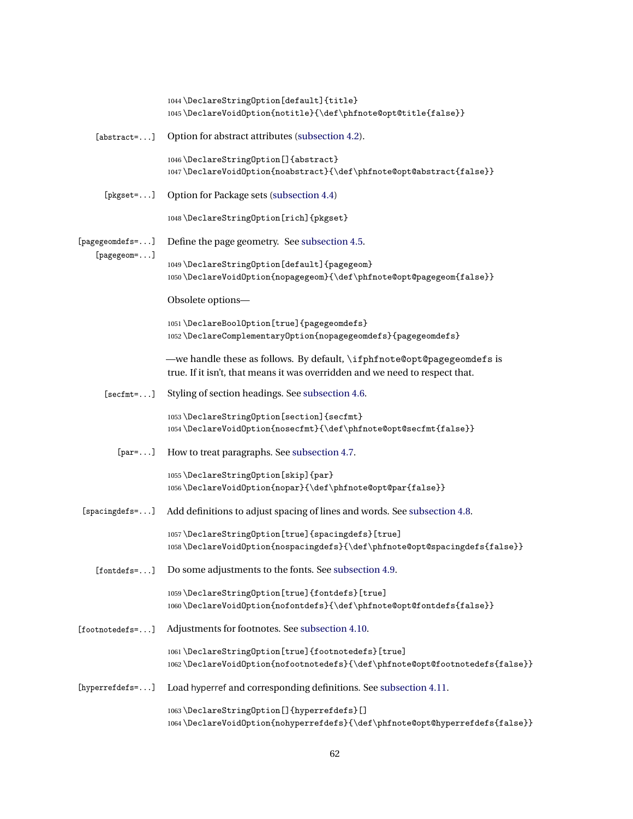|                               | 1044 \DeclareStringOption[default]{title}<br>1045\DeclareVoidOption{notitle}{\def\phfnote@opt@title{false}}                                             |
|-------------------------------|---------------------------------------------------------------------------------------------------------------------------------------------------------|
| $[abstract=]$                 | Option for abstract attributes (subsection 4.2).                                                                                                        |
|                               | 1046 \DeclareStringOption[] {abstract}<br>1047\DeclareVoidOption{noabstract}{\def\phfnote@opt@abstract{false}}                                          |
| $[$ pkgset= $\dots]$          | Option for Package sets (subsection 4.4)                                                                                                                |
|                               | 1048\DeclareStringOption[rich]{pkgset}                                                                                                                  |
| [pagegeomdefs=]               | Define the page geometry. See subsection 4.5.                                                                                                           |
| [pagegeom=]                   | 1049 \DeclareStringOption[default] {pagegeom}<br>1050\DeclareVoidOption{nopagegeom}{\def\phfnote@opt@pagegeom{false}}                                   |
|                               | Obsolete options-                                                                                                                                       |
|                               | 1051\DeclareBoolOption[true]{pagegeomdefs}<br>1052\DeclareComplementaryOption{nopagegeomdefs}{pagegeomdefs}                                             |
|                               | -we handle these as follows. By default, \ifphfnote@opt@pagegeomdefs is<br>true. If it isn't, that means it was overridden and we need to respect that. |
| $[sectmt = ]$                 | Styling of section headings. See subsection 4.6.                                                                                                        |
|                               | 1053\DeclareStringOption[section]{secfmt}<br>1054\DeclareVoidOption{nosecfmt}{\def\phfnote@opt@secfmt{false}}                                           |
| $[par=]$                      | How to treat paragraphs. See subsection 4.7.                                                                                                            |
|                               | 1055\DeclareStringOption[skip]{par}<br>1056\DeclareVoidOption{nopar}{\def\phfnote@opt@par{false}}                                                       |
| [spacingdefs=]                | Add definitions to adjust spacing of lines and words. See subsection 4.8.                                                                               |
|                               | 1057\DeclareStringOption[true]{spacingdefs}[true]<br>1058\DeclareVoidOption{nospacingdefs}{\def\phfnote@opt@spacingdefs{false}}                         |
| $[font \texttt{defs-} \dots]$ | Do some adjustments to the fonts. See subsection 4.9.                                                                                                   |
|                               | 1059\DeclareStringOption[true]{fontdefs}[true]<br>1060\DeclareVoidOption{nofontdefs}{\def\phfnote@opt@fontdefs{false}}                                  |
| [footnoteser.]                | Adjustments for footnotes. See subsection 4.10.                                                                                                         |
|                               | 1061\DeclareStringOption[true]{footnotedefs}[true]<br>1062\DeclareVoidOption{nofootnotedefs}{\def\phfnote@opt@footnotedefs{false}}                      |
| $[hyperrefdefs=]$             | Load hyperref and corresponding definitions. See subsection 4.11.                                                                                       |
|                               | 1063\DeclareStringOption[]{hyperrefdefs}[]<br>1064\DeclareVoidOption{nohyperrefdefs}{\def\phfnote@opt@hyperrefdefs{false}}                              |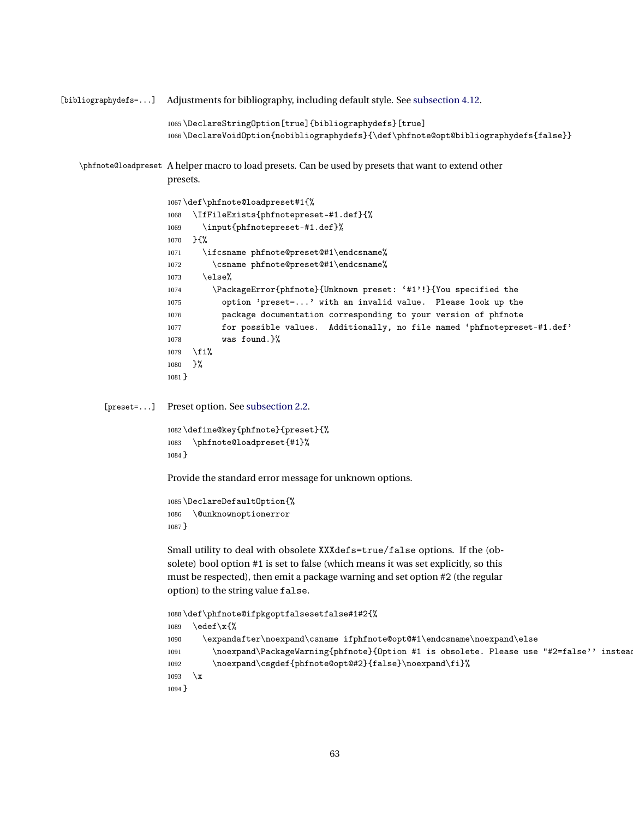```
[bibliographydefs=...] Adjustments for bibliography, including default style. See subsection 4.12.
                      1065 \DeclareStringOption[true]{bibliographydefs}[true]
                      1066 \DeclareVoidOption{nobibliographydefs}{\def\phfnote@opt@bibliographydefs{false}}
   \phfnote@loadpreset A helper macro to load presets. Can be used by presets that want to extend other
                      presets.
                      1067 \def\phfnote@loadpreset#1{%
                      1068 \IfFileExists{phfnotepreset-#1.def}{%
                      1069 \input{phfnotepreset-#1.def}%
                      1070 }{%
                      1071 \ifcsname phfnote@preset@#1\endcsname%
                      1072 \csname phfnote@preset@#1\endcsname%
                      1073 \else%
                      1074 \PackageError{phfnote}{Unknown preset: '#1'!}{You specified the
                      1075 option 'preset=...' with an invalid value. Please look up the
                      1076 package documentation corresponding to your version of phfnote
                      1077 for possible values. Additionally, no file named 'phfnotepreset-#1.def'
                      1078 was found.}%
                      1079 \fi%
                      1080 }%
                      1081 }
         [preset=...] Preset option. See subsection 2.2.
                      1082 \define@key{phfnote}{preset}{%
                      1083 \phfnote@loadpreset{#1}%
                      1084 }
                      Provide the standard error message for unknown options.
                      1085 \DeclareDefaultOption{%
                      1086 \@unknownoptionerror
                      1087 }
                      Small utility to deal with obsolete XXXdefs=true/false options. If the (ob-
                      solete) bool option #1 is set to false (which means it was set explicitly, so this
                      must be respected), then emit a package warning and set option #2 (the regular
                      option) to the string value false.
                      1088 \def\phfnote@ifpkgoptfalsesetfalse#1#2{%
                      1089 \edef\x{%
                      1090 \expandafter\noexpand\csname ifphfnote@opt@#1\endcsname\noexpand\else
                      1091 \noexpand\PackageWarning{phfnote}{Option #1 is obsolete. Please use "#2=false'' instead
                      1092 \noexpand\csgdef{phfnote@opt@#2}{false}\noexpand\fi}%
                      1093 \chi1094 }
```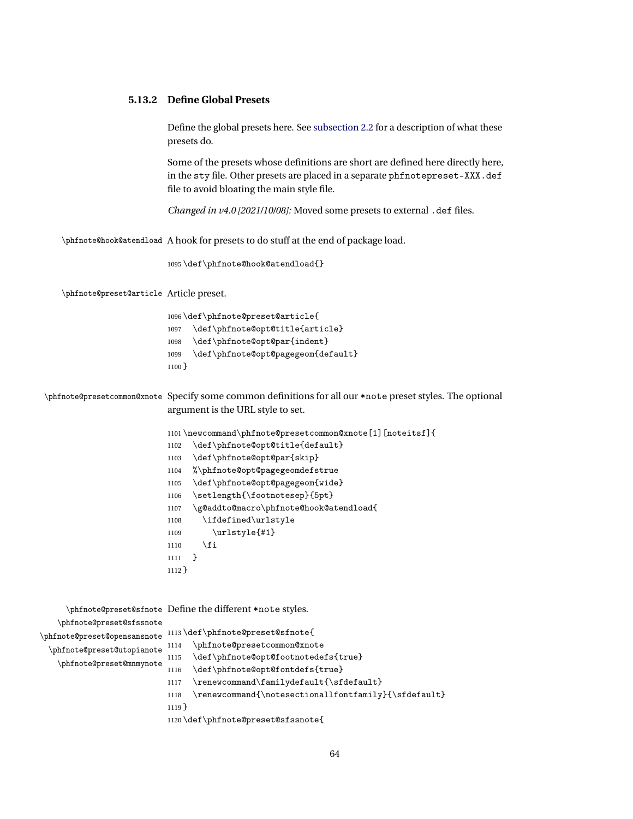#### **5.13.2 Define Global Presets**

Define the global presets here. See [subsection 2.2](#page-2-0) for a description of what these presets do.

Some of the presets whose definitions are short are defined here directly here, in the sty file. Other presets are placed in a separate phfnotepreset-XXX.def file to avoid bloating the main style file.

*Changed in v4.0 [2021/10/08]:* Moved some presets to external .def files.

\phfnote@hook@atendload A hook for presets to do stuff at the end of package load.

\def\phfnote@hook@atendload{}

\phfnote@preset@article Article preset.

| 1096\def\phfnote@preset@article{ |                                      |  |
|----------------------------------|--------------------------------------|--|
|                                  | 1097 \def\phfnote@opt@title{article} |  |
| 1098                             | \def\phfnote@opt@par{indent}         |  |
| 1099                             | \def\phfnote@opt@pagegeom{default}   |  |
| $1100$ }                         |                                      |  |

\phfnote@presetcommon@xnote Specify some common definitions for all our \*note preset styles. The optional argument is the URL style to set.

```
1101 \newcommand\phfnote@presetcommon@xnote[1][noteitsf]{
1102 \def\phfnote@opt@title{default}
1103 \def\phfnote@opt@par{skip}
1104 %\phfnote@opt@pagegeomdefstrue
1105 \def\phfnote@opt@pagegeom{wide}
1106 \setlength{\footnotesep}{5pt}
1107 \g@addto@macro\phfnote@hook@atendload{
1108 \ifdefined\urlstyle
1109 \urlstyle{\#1}1110 \fi
1111 }
1112 }
```

|                                                            | \phfnote@preset@sfnote Define the different *note styles.                                  |
|------------------------------------------------------------|--------------------------------------------------------------------------------------------|
| \phfnote@preset@sfssnote                                   | 1113 \def \phfnote@preset@sfnote{                                                          |
| \phfnote@preset@opensansnote<br>\phfnote@preset@utopianote | \phfnote@presetcommon@xnote<br>1114                                                        |
| \phfnote@preset@mnmynote                                   | \def\phfnote@opt@footnotedefs{true}<br>1115                                                |
|                                                            | \def\phfnote@opt@fontdefs{true}<br>1116<br>\renewcommand\familydefault{\sfdefault}<br>1117 |
|                                                            | \renewcommand{\notesectionallfontfamily}{\sfdefault}<br>1118                               |
|                                                            | $1119$ }                                                                                   |
|                                                            | 1120 \def \phfnote@preset@sfssnote{                                                        |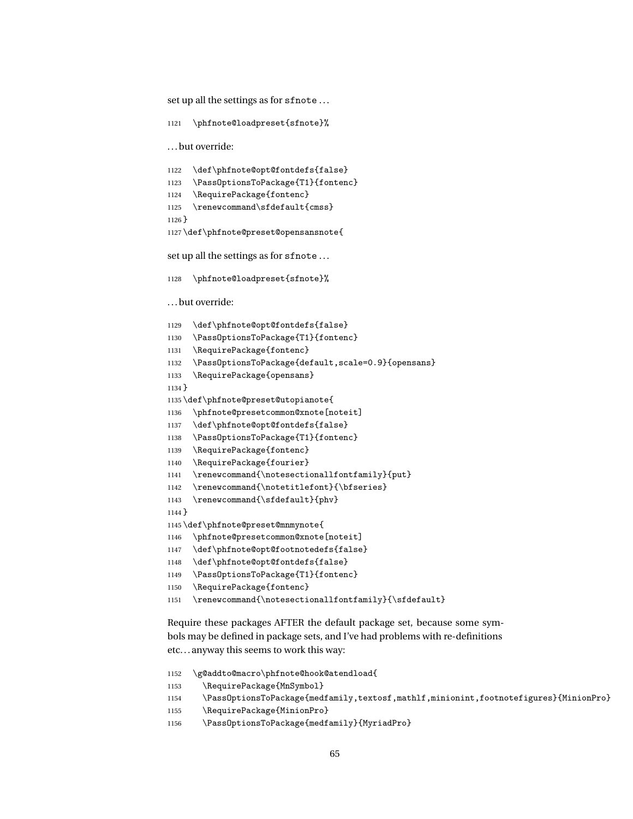set up all the settings as for sfnote . . .

```
1121 \phfnote@loadpreset{sfnote}%
```
. . . but override:

```
1122 \def\phfnote@opt@fontdefs{false}
1123 \PassOptionsToPackage{T1}{fontenc}
1124 \RequirePackage{fontenc}
1125 \renewcommand\sfdefault{cmss}
1126 }
```
\def\phfnote@preset@opensansnote{

set up all the settings as for sfnote . . .

```
1128 \phfnote@loadpreset{sfnote}%
```
. . . but override:

```
1129 \def\phfnote@opt@fontdefs{false}
```
- \PassOptionsToPackage{T1}{fontenc}
- \RequirePackage{fontenc}
- \PassOptionsToPackage{default,scale=0.9}{opensans}
- \RequirePackage{opensans}
- }

\def\phfnote@preset@utopianote{

- \phfnote@presetcommon@xnote[noteit]
- \def\phfnote@opt@fontdefs{false}
- \PassOptionsToPackage{T1}{fontenc}
- \RequirePackage{fontenc}
- \RequirePackage{fourier}
- \renewcommand{\notesectionallfontfamily}{put}
- 1142 \renewcommand{\notetitlefont}{\bfseries}
- \renewcommand{\sfdefault}{phv}
- }
- \def\phfnote@preset@mnmynote{
- \phfnote@presetcommon@xnote[noteit]
- \def\phfnote@opt@footnotedefs{false}
- \def\phfnote@opt@fontdefs{false}
- \PassOptionsToPackage{T1}{fontenc}
- \RequirePackage{fontenc}
- \renewcommand{\notesectionallfontfamily}{\sfdefault}

Require these packages AFTER the default package set, because some symbols may be defined in package sets, and I've had problems with re-definitions etc. . . anyway this seems to work this way:

- \g@addto@macro\phfnote@hook@atendload{
- 1153 \RequirePackage{MnSymbol}
- \PassOptionsToPackage{medfamily,textosf,mathlf,minionint,footnotefigures}{MinionPro}
- \RequirePackage{MinionPro}
- \PassOptionsToPackage{medfamily}{MyriadPro}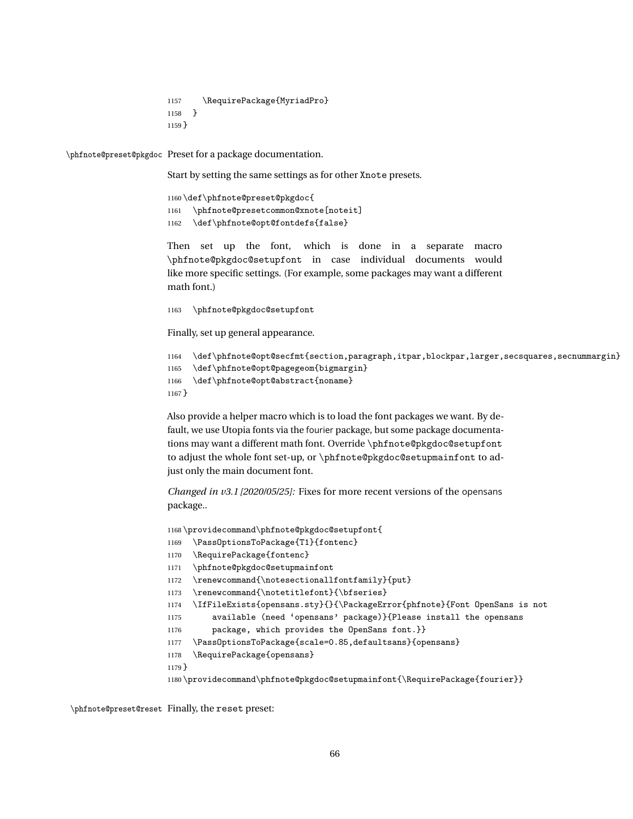1157 \RequirePackage{MyriadPro} 1158 } 1159 }

\phfnote@preset@pkgdoc Preset for a package documentation.

Start by setting the same settings as for other Xnote presets.

1160 \def\phfnote@preset@pkgdoc{ 1161 \phfnote@presetcommon@xnote[noteit] 1162 \def\phfnote@opt@fontdefs{false}

Then set up the font, which is done in a separate macro \phfnote@pkgdoc@setupfont in case individual documents would like more specific settings. (For example, some packages may want a different math font.)

1163 \phfnote@pkgdoc@setupfont

Finally, set up general appearance.

```
1164 \def\phfnote@opt@secfmt{section,paragraph,itpar,blockpar,larger,secsquares,secnummargin}
1165 \def\phfnote@opt@pagegeom{bigmargin}
1166 \def\phfnote@opt@abstract{noname}
1167 }
```
Also provide a helper macro which is to load the font packages we want. By default, we use Utopia fonts via the fourier package, but some package documentations may want a different math font. Override \phfnote@pkgdoc@setupfont to adjust the whole font set-up, or \phfnote@pkgdoc@setupmainfont to adjust only the main document font.

*Changed in v3.1 [2020/05/25]:* Fixes for more recent versions of the opensans package..

```
1168 \providecommand\phfnote@pkgdoc@setupfont{
1169 \PassOptionsToPackage{T1}{fontenc}
1170 \RequirePackage{fontenc}
1171 \phfnote@pkgdoc@setupmainfont
1172 \renewcommand{\notesectionallfontfamily}{put}
1173 \renewcommand{\notetitlefont}{\bfseries}
1174 \IfFileExists{opensans.sty}{}{\PackageError{phfnote}{Font OpenSans is not
1175 available (need 'opensans' package)}{Please install the opensans
1176 package, which provides the OpenSans font.}}
1177 \PassOptionsToPackage{scale=0.85,defaultsans}{opensans}
1178 \RequirePackage{opensans}
1179 }
1180 \providecommand\phfnote@pkgdoc@setupmainfont{\RequirePackage{fourier}}
```
\phfnote@preset@reset Finally, the reset preset: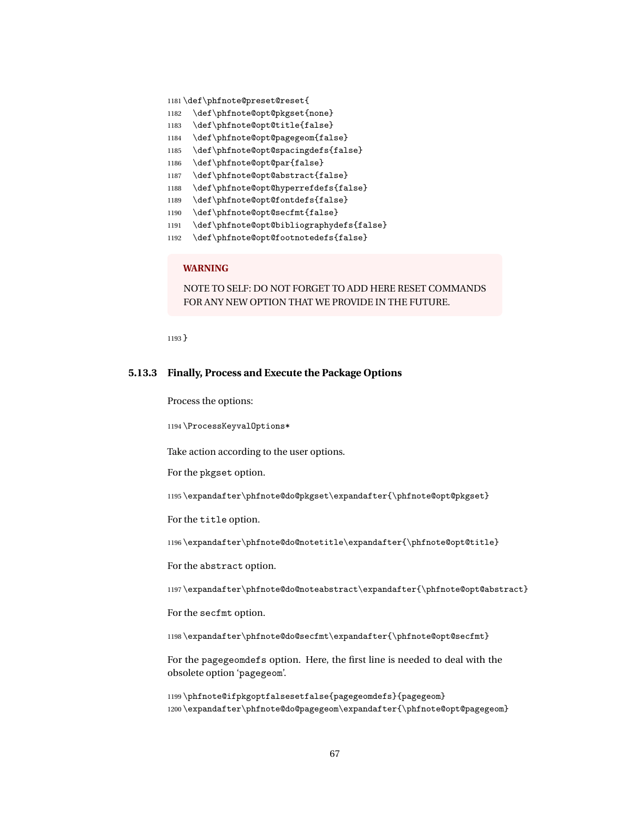\def\phfnote@preset@reset{

- \def\phfnote@opt@pkgset{none}
- \def\phfnote@opt@title{false}
- \def\phfnote@opt@pagegeom{false}
- \def\phfnote@opt@spacingdefs{false}
- \def\phfnote@opt@par{false}
- \def\phfnote@opt@abstract{false}
- \def\phfnote@opt@hyperrefdefs{false}
- \def\phfnote@opt@fontdefs{false}
- \def\phfnote@opt@secfmt{false}
- \def\phfnote@opt@bibliographydefs{false}
- \def\phfnote@opt@footnotedefs{false}

### **WARNING**

NOTE TO SELF: DO NOT FORGET TO ADD HERE RESET COMMANDS FOR ANY NEW OPTION THAT WE PROVIDE IN THE FUTURE.

}

#### **5.13.3 Finally, Process and Execute the Package Options**

Process the options:

\ProcessKeyvalOptions\*

Take action according to the user options.

For the pkgset option.

\expandafter\phfnote@do@pkgset\expandafter{\phfnote@opt@pkgset}

For the title option.

\expandafter\phfnote@do@notetitle\expandafter{\phfnote@opt@title}

For the abstract option.

\expandafter\phfnote@do@noteabstract\expandafter{\phfnote@opt@abstract}

For the secfmt option.

\expandafter\phfnote@do@secfmt\expandafter{\phfnote@opt@secfmt}

For the pagegeomdefs option. Here, the first line is needed to deal with the obsolete option 'pagegeom'.

 \phfnote@ifpkgoptfalsesetfalse{pagegeomdefs}{pagegeom} \expandafter\phfnote@do@pagegeom\expandafter{\phfnote@opt@pagegeom}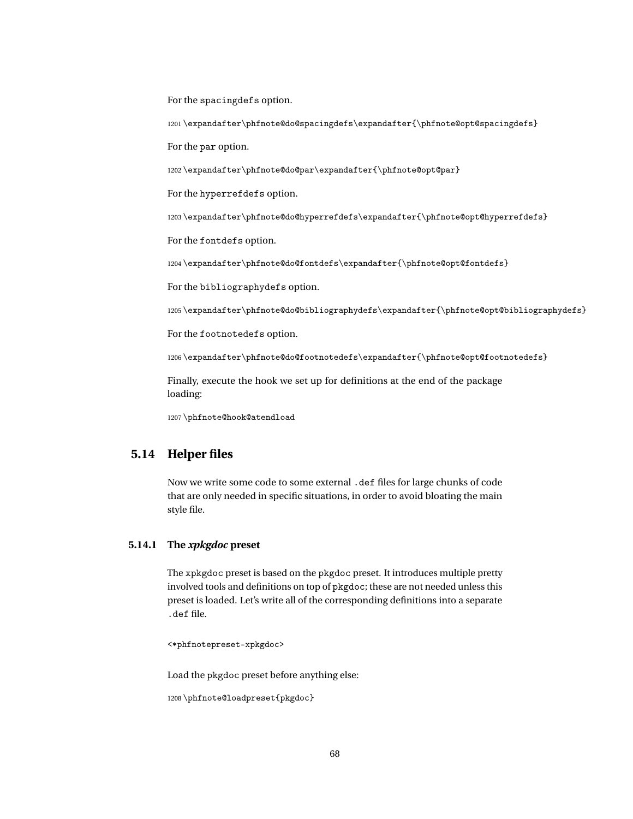For the spacingdefs option.

1201 \expandafter\phfnote@do@spacingdefs\expandafter{\phfnote@opt@spacingdefs}

For the par option.

1202 \expandafter\phfnote@do@par\expandafter{\phfnote@opt@par}

For the hyperrefdefs option.

1203 \expandafter\phfnote@do@hyperrefdefs\expandafter{\phfnote@opt@hyperrefdefs}

For the fontdefs option.

1204 \expandafter\phfnote@do@fontdefs\expandafter{\phfnote@opt@fontdefs}

For the bibliographydefs option.

1205 \expandafter\phfnote@do@bibliographydefs\expandafter{\phfnote@opt@bibliographydefs}

For the footnotedefs option.

1206 \expandafter\phfnote@do@footnotedefs\expandafter{\phfnote@opt@footnotedefs}

Finally, execute the hook we set up for definitions at the end of the package loading:

1207 \phfnote@hook@atendload

## **5.14 Helper files**

Now we write some code to some external .def files for large chunks of code that are only needed in specific situations, in order to avoid bloating the main style file.

#### **5.14.1 The** *xpkgdoc* **preset**

The xpkgdoc preset is based on the pkgdoc preset. It introduces multiple pretty involved tools and definitions on top of pkgdoc; these are not needed unless this preset is loaded. Let's write all of the corresponding definitions into a separate .def file.

<\*phfnotepreset-xpkgdoc>

Load the pkgdoc preset before anything else:

1208 \phfnote@loadpreset{pkgdoc}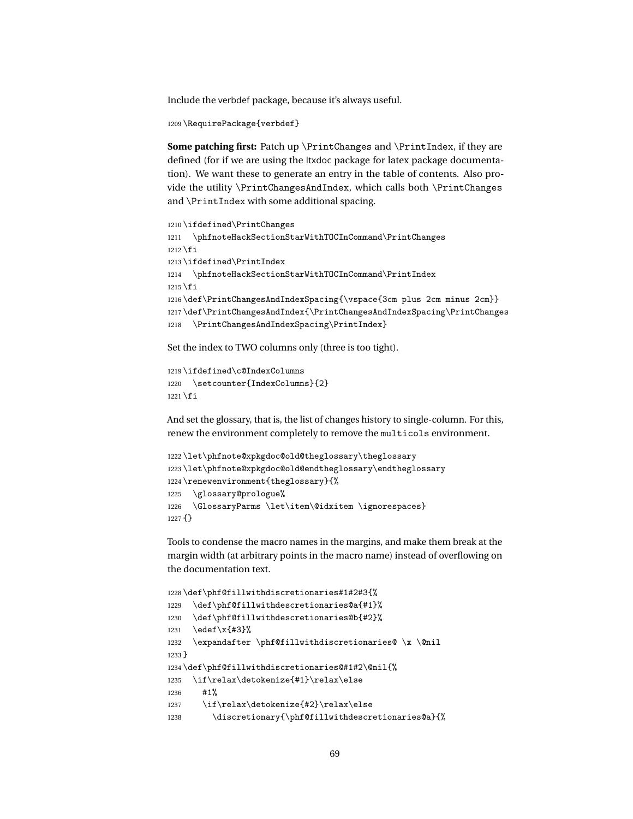Include the verbdef package, because it's always useful.

```
1209 \RequirePackage{verbdef}
```
**Some patching first:** Patch up \PrintChanges and \PrintIndex, if they are defined (for if we are using the ltxdoc package for latex package documentation). We want these to generate an entry in the table of contents. Also provide the utility \PrintChangesAndIndex, which calls both \PrintChanges and \PrintIndex with some additional spacing.

```
1210 \ifdefined\PrintChanges
1211 \phfnoteHackSectionStarWithTOCInCommand\PrintChanges
1212 \fi
1213 \ifdefined\PrintIndex
1214 \phfnoteHackSectionStarWithTOCInCommand\PrintIndex
1215 \text{ t}1216 \def\PrintChangesAndIndexSpacing{\vspace{3cm plus 2cm minus 2cm}}
1217 \def\PrintChangesAndIndex{\PrintChangesAndIndexSpacing\PrintChanges
1218 \PrintChangesAndIndexSpacing\PrintIndex}
```
Set the index to TWO columns only (three is too tight).

```
1219 \ifdefined\c@IndexColumns
1220 \setcounter{IndexColumns}{2}
1221 \fi
```
And set the glossary, that is, the list of changes history to single-column. For this, renew the environment completely to remove the multicols environment.

```
1222 \let\phfnote@xpkgdoc@old@theglossary\theglossary
1223 \let\phfnote@xpkgdoc@old@endtheglossary\endtheglossary
1224 \renewenvironment{theglossary}{%
1225 \glossary@prologue%
1226 \GlossaryParms \let\item\@idxitem \ignorespaces}
1227 {}
```
Tools to condense the macro names in the margins, and make them break at the margin width (at arbitrary points in the macro name) instead of overflowing on the documentation text.

```
1228 \def\phf@fillwithdiscretionaries#1#2#3{%
1229 \def\phf@fillwithdescretionaries@a{#1}%
1230 \def\phf@fillwithdescretionaries@b{#2}%
1231 \edef\x{#3}%
1232 \expandafter \phf@fillwithdiscretionaries@ \x \@nil
1233 }
1234 \def\phf@fillwithdiscretionaries@#1#2\@nil{%
1235 \if\relax\detokenize{#1}\relax\else
1236 #1%
1237 \if\relax\detokenize{#2}\relax\else
1238 \discretionary{\phf@fillwithdescretionaries@a}{%
```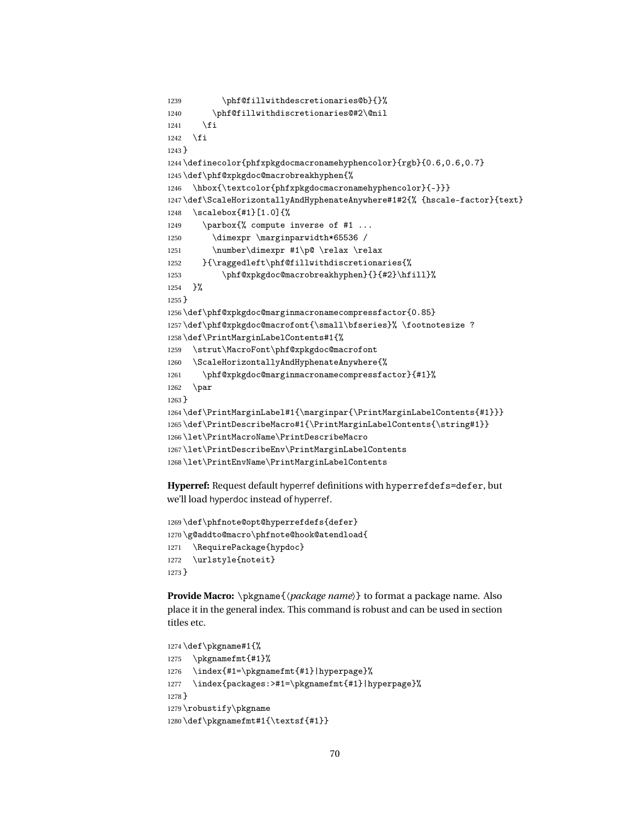```
1239 \phf@fillwithdescretionaries@b}{}%
1240 \phf@fillwithdiscretionaries@#2\@nil
1241 \fi
1242 \fi
1243 }
1244 \definecolor{phfxpkgdocmacronamehyphencolor}{rgb}{0.6,0.6,0.7}
1245 \def\phf@xpkgdoc@macrobreakhyphen{%
1246 \hbox{\textcolor{phfxpkgdocmacronamehyphencolor}{-}}}
1247 \def\ScaleHorizontallyAndHyphenateAnywhere#1#2{% {hscale-factor}{text}
1248 \scalebox{#1}[1.0]{%
1249 \parbox{% compute inverse of #1 ...
1250 \dimexpr \marginparwidth*65536 /
1251 \number\dimexpr #1\p@ \relax \relax
1252 }{\raggedleft\phf@fillwithdiscretionaries{%
1253 \phf@xpkgdoc@macrobreakhyphen}{}{#2}\hfill}%
1254 }%
1255 }
1256 \def\phf@xpkgdoc@marginmacronamecompressfactor{0.85}
1257 \def\phf@xpkgdoc@macrofont{\small\bfseries}% \footnotesize ?
1258 \def\PrintMarginLabelContents#1{%
1259 \strut\MacroFont\phf@xpkgdoc@macrofont
1260 \ScaleHorizontallyAndHyphenateAnywhere{%
1261 \phf@xpkgdoc@marginmacronamecompressfactor}{#1}%
1262 \par
1263 }
1264 \def\PrintMarginLabel#1{\marginpar{\PrintMarginLabelContents{#1}}}
1265 \def\PrintDescribeMacro#1{\PrintMarginLabelContents{\string#1}}
1266 \let\PrintMacroName\PrintDescribeMacro
1267 \let\PrintDescribeEnv\PrintMarginLabelContents
1268 \let\PrintEnvName\PrintMarginLabelContents
```
**Hyperref:** Request default hyperref definitions with hyperrefdefs=defer, but we'll load hyperdoc instead of hyperref.

```
1269 \def\phfnote@opt@hyperrefdefs{defer}
1270 \g@addto@macro\phfnote@hook@atendload{
1271 \RequirePackage{hypdoc}
1272 \urlstyle{noteit}
1273 }
```
**Provide Macro:** \pkgname{〈*package name*〉} to format a package name. Also place it in the general index. This command is robust and can be used in section titles etc.

```
1274 \def\pkgname#1{%
1275 \pkgnamefmt{#1}%
1276 \index{#1=\pkgnamefmt{#1}|hyperpage}%
1277 \index{packages:>#1=\pkgnamefmt{#1}|hyperpage}%
1278 }
1279 \robustify\pkgname
1280 \def\pkgnamefmt#1{\textsf{#1}}
```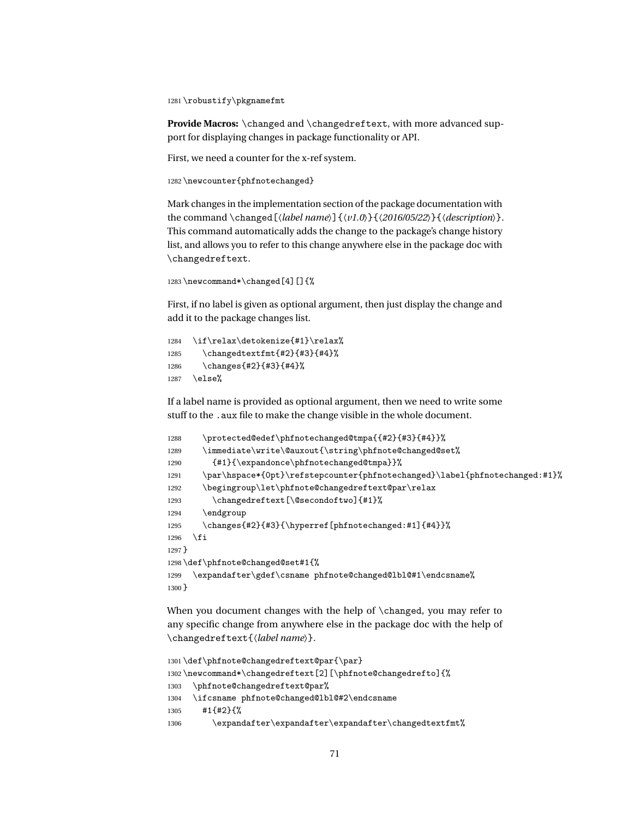1281 \robustify\pkgnamefmt

**Provide Macros:** \changed and \changedreftext, with more advanced support for displaying changes in package functionality or API.

First, we need a counter for the x-ref system.

1282 \newcounter{phfnotechanged}

Mark changes in the implementation section of the package documentation with the command \changed[〈*label name*〉]{〈*v1.0*〉}{〈*2016/05/22*〉}{〈*description*〉}. This command automatically adds the change to the package's change history list, and allows you to refer to this change anywhere else in the package doc with \changedreftext.

```
1283 \newcommand*\changed[4][]{%
```
First, if no label is given as optional argument, then just display the change and add it to the package changes list.

```
1284 \if\relax\detokenize{#1}\relax%
1285 \changedtextfmt{#2}{#3}{#4}%
1286 \changes{#2}{#3}{#4}%
1287 \else%
```
If a label name is provided as optional argument, then we need to write some stuff to the .aux file to make the change visible in the whole document.

```
1288 \protected@edef\phfnotechanged@tmpa{{#2}{#3}{#4}}%
1289 \immediate\write\@auxout{\string\phfnote@changed@set%
1290 {#1}{\expandonce\phfnotechanged@tmpa}}%
1291 \par\hspace*{0pt}\refstepcounter{phfnotechanged}\label{phfnotechanged:#1}%
1292 \begingroup\let\phfnote@changedreftext@par\relax
1293 \changedreftext[\@secondoftwo]{#1}%
1294 \endgroup
1295 \changes{#2}{#3}{\hyperref[phfnotechanged:#1]{#4}}%
1296 \fi
1297 }
1298 \def\phfnote@changed@set#1{%
1299 \expandafter\gdef\csname phfnote@changed@lbl@#1\endcsname%
1300 }
```
When you document changes with the help of \changed, you may refer to any specific change from anywhere else in the package doc with the help of \changedreftext{〈*label name*〉}.

```
1301 \def\phfnote@changedreftext@par{\par}
1302 \newcommand*\changedreftext[2][\phfnote@changedrefto]{%
1303 \phfnote@changedreftext@par%
1304 \ifcsname phfnote@changed@lbl@#2\endcsname
1305 #1{#2}{%
1306 \expandafter\expandafter\expandafter\changedtextfmt%
```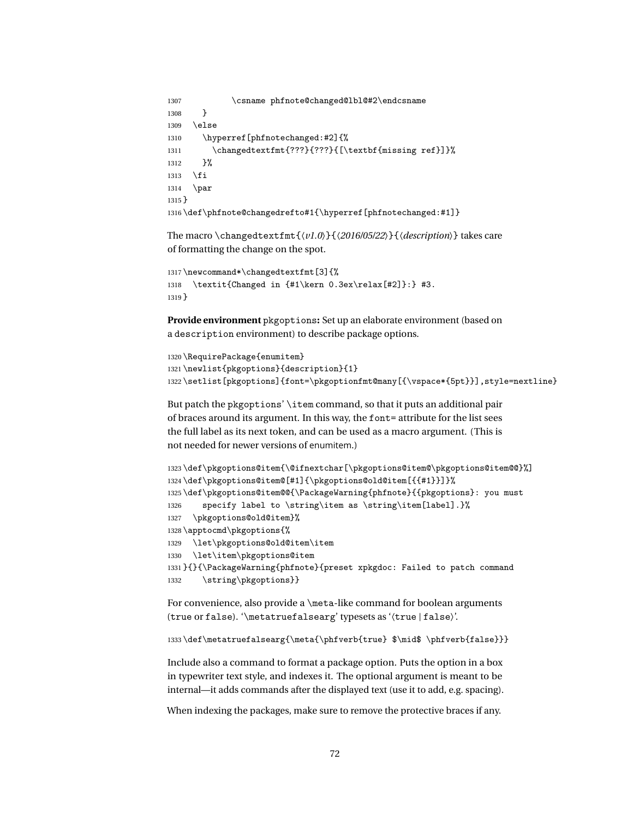```
1307 \csname phfnote@changed@lbl@#2\endcsname
1308 }
1309 \else
1310 \hyperref[phfnotechanged:#2]{%
1311 \changedtextfmt{???}{???}{[\textbf{missing ref}]}%
1312 }%
1313 \fi
1314 \par
1315 }
1316 \def\phfnote@changedrefto#1{\hyperref[phfnotechanged:#1]}
```
The macro \changedtextfmt{〈*v1.0*〉}{〈*2016/05/22*〉}{〈*description*〉} takes care of formatting the change on the spot.

```
1317 \newcommand*\changedtextfmt[3]{%
1318 \textit{Changed in {#1\kern 0.3ex\relax[#2]}:} #3.
1319 }
```
**Provide environment** pkgoptions**:** Set up an elaborate environment (based on a description environment) to describe package options.

```
1320 \RequirePackage{enumitem}
1321 \newlist{pkgoptions}{description}{1}
1322 \setlist[pkgoptions]{font=\pkgoptionfmt@many[{\vspace*{5pt}}],style=nextline}
```
But patch the pkgoptions' \item command, so that it puts an additional pair of braces around its argument. In this way, the font= attribute for the list sees the full label as its next token, and can be used as a macro argument. (This is not needed for newer versions of enumitem.)

```
1323 \def\pkgoptions@item{\@ifnextchar[\pkgoptions@item@\pkgoptions@item@@}%]
1324 \def\pkgoptions@item@[#1]{\pkgoptions@old@item[{{#1}}]}%
1325 \def\pkgoptions@item@@{\PackageWarning{phfnote}{{pkgoptions}: you must
1326 specify label to \string\item as \string\item[label].}%
1327 \pkgoptions@old@item}%
1328 \apptocmd\pkgoptions{%
1329 \let\pkgoptions@old@item\item
1330 \let\item\pkgoptions@item
1331 }{}{\PackageWarning{phfnote}{preset xpkgdoc: Failed to patch command
1332 \string\pkgoptions}}
```
For convenience, also provide a \meta-like command for boolean arguments (true or false). '\metatruefalsearg' typesets as '〈true | false〉'.

```
1333 \def\metatruefalsearg{\meta{\phfverb{true} $\mid$ \phfverb{false}}}
```
Include also a command to format a package option. Puts the option in a box in typewriter text style, and indexes it. The optional argument is meant to be internal—it adds commands after the displayed text (use it to add, e.g. spacing).

When indexing the packages, make sure to remove the protective braces if any.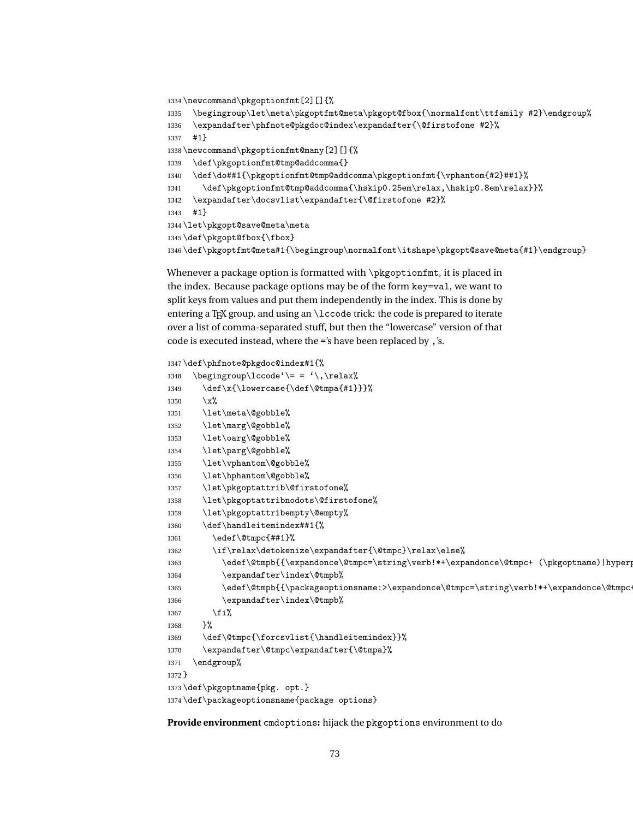```
1334 \newcommand\pkgoptionfmt[2][]{%
1335 \begingroup\let\meta\pkgoptfmt@meta\pkgopt@fbox{\normalfont\ttfamily #2}\endgroup%
1336 \expandafter\phfnote@pkgdoc@index\expandafter{\@firstofone #2}%
1337 #1}
1338 \newcommand\pkgoptionfmt@many[2][]{%
1339 \def\pkgoptionfmt@tmp@addcomma{}
1340 \def\do##1{\pkgoptionfmt@tmp@addcomma\pkgoptionfmt{\vphantom{#2}##1}%
1341 \def\pkgoptionfmt@tmp@addcomma{\hskip0.25em\relax,\hskip0.8em\relax}}%
1342 \expandafter\docsvlist\expandafter{\@firstofone #2}%
1343 #1}
1344 \let\pkgopt@save@meta\meta
1345 \def\pkgopt@fbox{\fbox}
1346 \def\pkgoptfmt@meta#1{\begingroup\normalfont\itshape\pkgopt@save@meta{#1}\endgroup}
```
<span id="page-72-33"></span><span id="page-72-27"></span><span id="page-72-25"></span><span id="page-72-22"></span><span id="page-72-3"></span>Whenever a package option is formatted with \pkgoptionfmt, it is placed in the index. Because package options may be of the form key=val, we want to split keys from values and put them independently in the index. This is done by entering a T<sub>E</sub>X group, and using an  $\lceil$  code trick: the code is prepared to iterate over a list of comma-separated stuff, but then the "lowercase" version of that code is executed instead, where the ='s have been replaced by ,'s.

```
1347 \def\phfnote@pkgdoc@index#1{%
1348 \begingroup\lccode'\= = '\,\relax%
1349 \det\x{\l{overcase}\def\@tmpa{#1}}\1350 \chi\%1351 \let\meta\@gobble%
1352 \let\marg\@gobble%
1353 \let\oarg\@gobble%
1354 \let\parg\@gobble%
1355 \let\vphantom\@gobble%
1356 \let\hphantom\@gobble%
1357 \let\pkgoptattrib\@firstofone%
1358 \let\pkgoptattribnodots\@firstofone%
1359 \let\pkgoptattribempty\@empty%
1360 \def\handleitemindex##1{%
1361 \edef\@tmpc{##1}%
1362 \if\relax\detokenize\expandafter{\@tmpc}\relax\else%
1363 \edef\@tmpb{{\expandonce\@tmpc=\string\verb!*+\expandonce\@tmpc+ (\pkgoptname)|hyperp
1364 \expandafter\index\@tmpb%
1365 \edef\@tmpb{{\packageoptionsname:>\expandonce\@tmpc=\string\verb!*+\expandonce\@tmpc-
1366 \expandafter\index\@tmpb%
1367 \{f_i\}1368 }%
1369 \def\@tmpc{\forcsvlist{\handleitemindex}}%
1370 \expandafter\@tmpc\expandafter{\@tmpa}%
1371 \endgroup%
1372 }
1373 \def\pkgoptname{pkg. opt.}
1374 \def\packageoptionsname{package options}
```
<span id="page-72-34"></span><span id="page-72-28"></span><span id="page-72-24"></span><span id="page-72-20"></span><span id="page-72-19"></span><span id="page-72-17"></span><span id="page-72-16"></span><span id="page-72-15"></span><span id="page-72-14"></span><span id="page-72-13"></span>**Provide environment** cmdoptions**:** hijack the pkgoptions environment to do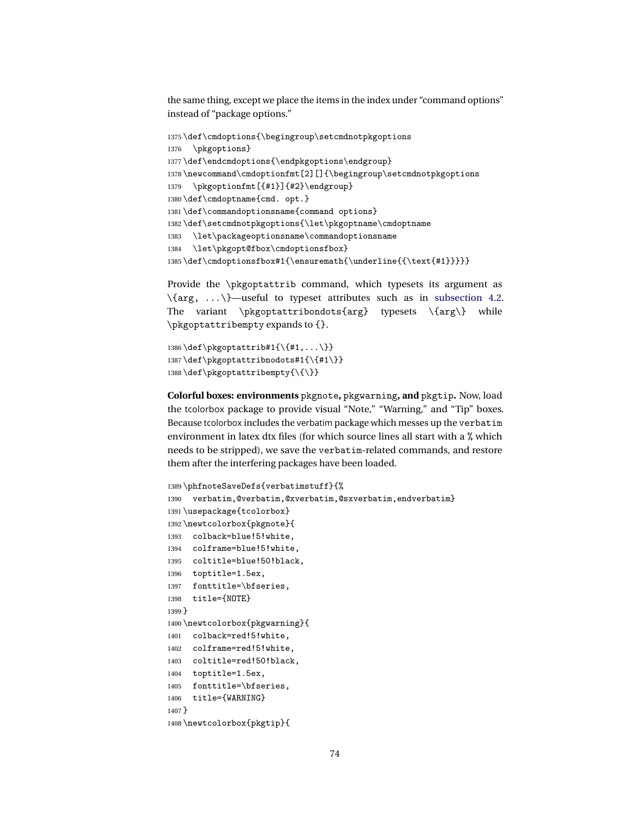<span id="page-73-18"></span>the same thing, except we place the items in the index under "command options" instead of "package options."

```
1375 \def\cmdoptions{\begingroup\setcmdnotpkgoptions
1376 \pkgoptions}
1377 \def\endcmdoptions{\endpkgoptions\endgroup}
1378 \newcommand\cmdoptionfmt[2][]{\begingroup\setcmdnotpkgoptions
1379 \pkgoptionfmt[{#1}]{#2}\endgroup}
1380 \def\cmdoptname{cmd. opt.}
1381 \def\commandoptionsname{command options}
1382 \def\setcmdnotpkgoptions{\let\pkgoptname\cmdoptname
1383 \let\packageoptionsname\commandoptionsname
1384 \let\pkgopt@fbox\cmdoptionsfbox}
1385\def\cmdoptionsfbox#1{\ensuremath{\underline{{\text{#1}}}}}
```
<span id="page-73-12"></span><span id="page-73-10"></span><span id="page-73-8"></span><span id="page-73-7"></span>Provide the \pkgoptattrib command, which typesets its argument as  $\{\arg, \ldots\}$ —useful to typeset attributes such as in [subsection 4.2.](#page-11-0) The variant \pkgoptattribondots{arg} typesets \{arg\} while \pkgoptattribempty expands to {}.

```
1386 \def\pkgoptattrib#1{\{#1,...\}}
1387 \def\pkgoptattribnodots#1{\{#1\}}
1388 \def\pkgoptattribempty{\{\}}
```
**Colorful boxes: environments** pkgnote**,** pkgwarning**, and** pkgtip**.** Now, load the tcolorbox package to provide visual "Note," "Warning," and "Tip" boxes. Because tcolorbox includes the verbatim package which messes up the verbatim environment in latex dtx files (for which source lines all start with a % which needs to be stripped), we save the verbatim-related commands, and restore them after the interfering packages have been loaded.

```
1389 \phfnoteSaveDefs{verbatimstuff}{%
1390 verbatim,@verbatim,@xverbatim,@sxverbatim,endverbatim}
1391 \usepackage{tcolorbox}
1392 \newtcolorbox{pkgnote}{
1393 colback=blue!5!white,
1394 colframe=blue!5!white,
1395 coltitle=blue!50!black,
1396 toptitle=1.5ex,
1397 fonttitle=\bfseries,
1398 title={NOTE}
1399 }
1400 \newtcolorbox{pkgwarning}{
1401 colback=red!5!white,
1402 colframe=red!5!white,
1403 coltitle=red!50!black,
1404 toptitle=1.5ex,
1405 fonttitle=\bfseries,
1406 title={WARNING}
1407 }
1408 \newtcolorbox{pkgtip}{
```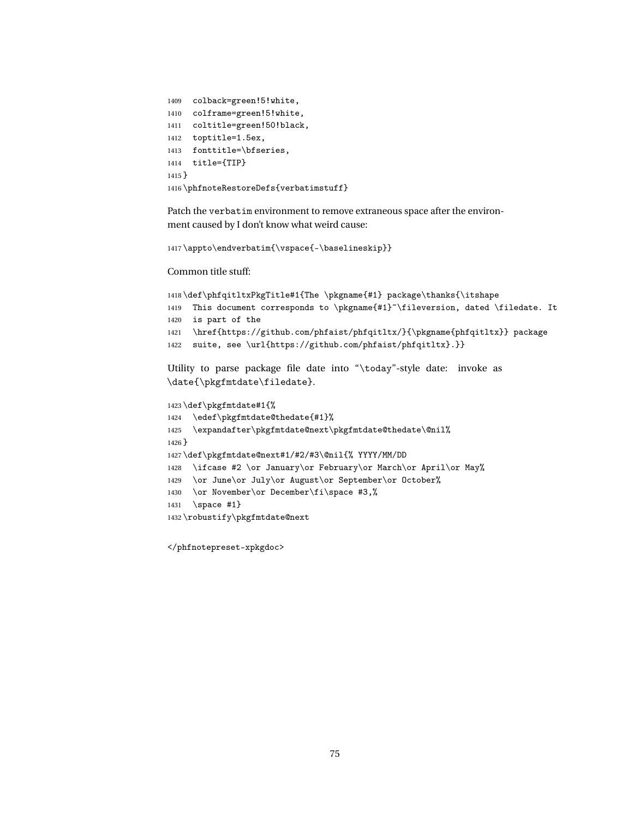```
1409 colback=green!5!white,
1410 colframe=green!5!white,
1411 coltitle=green!50!black,
1412 toptitle=1.5ex,
1413 fonttitle=\bfseries,
1414 title={TIP}
1415 }
1416 \phfnoteRestoreDefs{verbatimstuff}
```
<span id="page-74-10"></span>Patch the verbatim environment to remove extraneous space after the environment caused by I don't know what weird cause:

```
1417 \appto\endverbatim{\vspace{-\baselineskip}}
```
Common title stuff:

```
1418 \def\phfqitltxPkgTitle#1{The \pkgname{#1} package\thanks{\itshape
1419 This document corresponds to \pkgname{#1}~\fileversion, dated \filedate. It
1420 is part of the
1421 \href{https://github.com/phfaist/phfqitltx/}{\pkgname{phfqitltx}} package
1422 suite, see \url{https://github.com/phfaist/phfqitltx}.}}
Utility to parse package file date into "\today"-style date: invoke as
\date{\pkgfmtdate\filedate}.
```

```
1423 \def\pkgfmtdate#1{%
1424 \edef\pkgfmtdate@thedate{#1}%
1425 \expandafter\pkgfmtdate@next\pkgfmtdate@thedate\@nil%
1426 }
1427 \def\pkgfmtdate@next#1/#2/#3\@nil{% YYYY/MM/DD
1428 \ifcase #2 \or January\or February\or March\or April\or May%
1429 \or June\or July\or August\or September\or October%
1430 \or November\or December\fi\space #3,%
1431 \space #1}
1432 \robustify\pkgfmtdate@next
```
<span id="page-74-14"></span><span id="page-74-12"></span><span id="page-74-9"></span><span id="page-74-8"></span></phfnotepreset-xpkgdoc>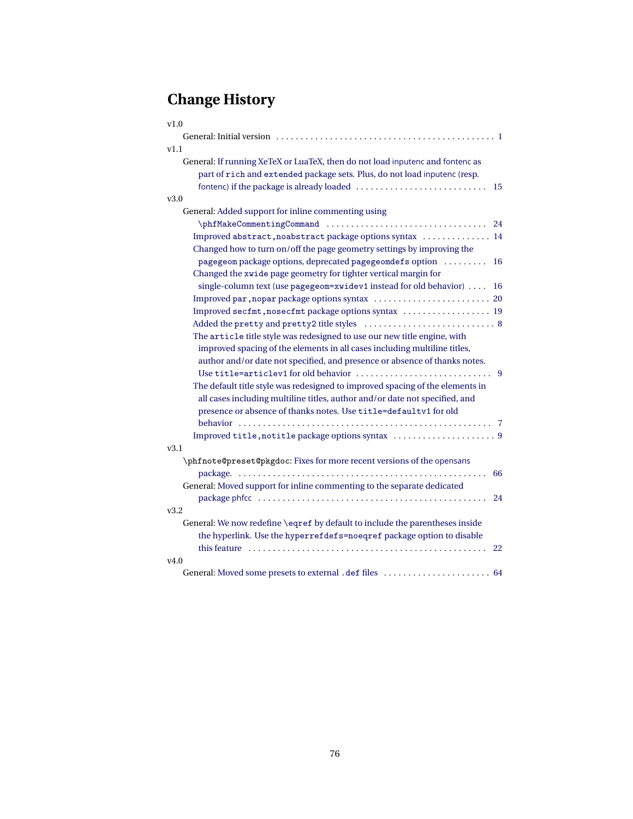# **Change History**

| v1.0                                                                          |
|-------------------------------------------------------------------------------|
|                                                                               |
| v1.1                                                                          |
| General: If running XeTeX or LuaTeX, then do not load inputenc and fontenc as |
| part of rich and extended package sets. Plus, do not load inputenc (resp.     |
| 15                                                                            |
| v3.0                                                                          |
| General: Added support for inline commenting using                            |
| \phfMakeCommentingCommand<br>24                                               |
| Improved abstract, noabstract package options syntax  14                      |
| Changed how to turn on/off the page geometry settings by improving the        |
| pagegeom package options, deprecated pagegeomdefs option<br>16                |
| Changed the xwide page geometry for tighter vertical margin for               |
| single-column text (use pagegeom=xwidev1 instead for old behavior)<br>16      |
|                                                                               |
| Improved secfmt, nosecfmt package options syntax  19                          |
|                                                                               |
| The article title style was redesigned to use our new title engine, with      |
| improved spacing of the elements in all cases including multiline titles,     |
| author and/or date not specified, and presence or absence of thanks notes.    |
| -9                                                                            |
| The default title style was redesigned to improved spacing of the elements in |
| all cases including multiline titles, author and/or date not specified, and   |
| presence or absence of thanks notes. Use title=defaultv1 for old              |
|                                                                               |
|                                                                               |
| v3.1                                                                          |
| \phfnote@preset@pkgdoc: Fixes for more recent versions of the opensans        |
| 66<br>package.                                                                |
| General: Moved support for inline commenting to the separate dedicated        |
| 24                                                                            |
| v3.2                                                                          |
| General: We now redefine \eqref by default to include the parentheses inside  |
| the hyperlink. Use the hyperrefdefs=noeqref package option to disable         |
| this feature<br>22                                                            |
| V4.0                                                                          |
|                                                                               |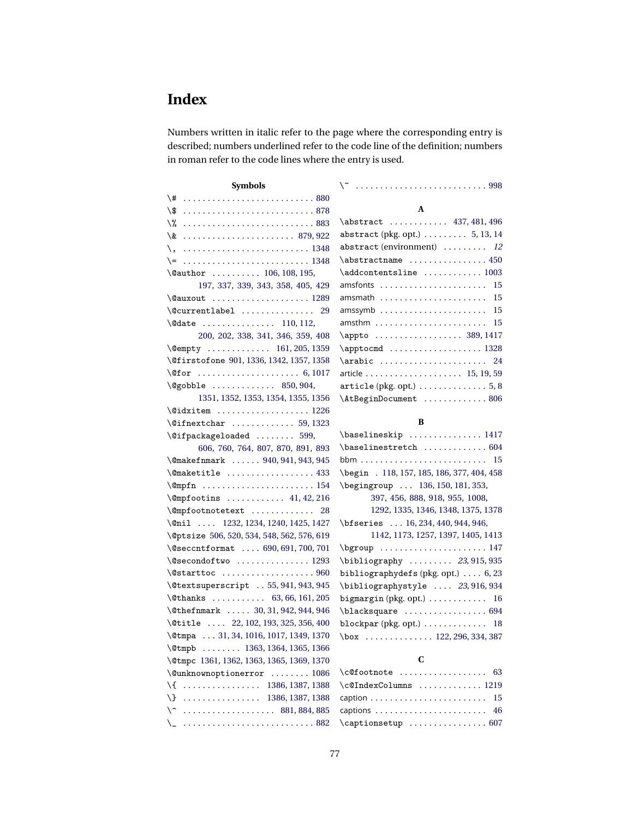## **Index**

Numbers written in italic refer to the page where the corresponding entry is described; numbers underlined refer to the code line of the definition; numbers in roman refer to the code lines where the entry is used.

| <b>Symbols</b>                                                                                                                                                                                                                                                                                                                               |                                                           |
|----------------------------------------------------------------------------------------------------------------------------------------------------------------------------------------------------------------------------------------------------------------------------------------------------------------------------------------------|-----------------------------------------------------------|
|                                                                                                                                                                                                                                                                                                                                              |                                                           |
|                                                                                                                                                                                                                                                                                                                                              | A                                                         |
| \% 883                                                                                                                                                                                                                                                                                                                                       | \abstract  437, 481, 496                                  |
| $\& \dots \dots \dots \dots \dots \dots \dots \ 879,922$                                                                                                                                                                                                                                                                                     | abstract (pkg. opt.) 5, 13, 14                            |
| \,   1348                                                                                                                                                                                                                                                                                                                                    | abstract (environment)  12                                |
|                                                                                                                                                                                                                                                                                                                                              | $\lambda$ sbstractname  450                               |
| \@author  106, 108, 195,                                                                                                                                                                                                                                                                                                                     | $\addcontent$ sline  1003                                 |
| 197, 337, 339, 343, 358, 405, 429                                                                                                                                                                                                                                                                                                            | 15<br>amsfonts                                            |
|                                                                                                                                                                                                                                                                                                                                              | 15<br>amsmath $\dots\dots\dots\dots\dots\dots\dots\dots$  |
| $\&$ Currentlabel  29                                                                                                                                                                                                                                                                                                                        | 15                                                        |
|                                                                                                                                                                                                                                                                                                                                              | 15<br>$amsthm$                                            |
| 200, 202, 338, 341, 346, 359, 408                                                                                                                                                                                                                                                                                                            | \appto  389, 1417                                         |
| $\emptyset$ empty  161,205,1359                                                                                                                                                                                                                                                                                                              |                                                           |
| \@firstofone 901, 1336, 1342, 1357, 1358                                                                                                                                                                                                                                                                                                     | \arabic  24                                               |
|                                                                                                                                                                                                                                                                                                                                              |                                                           |
| $\qquad$ $\qquad$ $\qquad$ $\qquad$ $\qquad$ $\qquad$ $\qquad$ $\qquad$ $\qquad$ $\qquad$ $\qquad$ $\qquad$ $\qquad$ $\qquad$ $\qquad$ $\qquad$ $\qquad$ $\qquad$ $\qquad$ $\qquad$ $\qquad$ $\qquad$ $\qquad$ $\qquad$ $\qquad$ $\qquad$ $\qquad$ $\qquad$ $\qquad$ $\qquad$ $\qquad$ $\qquad$ $\qquad$ $\qquad$ $\qquad$ $\qquad$ $\qquad$ | $\text{article (pkg. opt.)} \dots \dots \dots \dots 5, 8$ |
| 1351, 1352, 1353, 1354, 1355, 1356                                                                                                                                                                                                                                                                                                           | \AtBeginDocument  806                                     |
|                                                                                                                                                                                                                                                                                                                                              |                                                           |
|                                                                                                                                                                                                                                                                                                                                              | B                                                         |
| $\langle$ Cifpackageloaded  599,                                                                                                                                                                                                                                                                                                             | \baselineskip  1417                                       |
| 606, 760, 764, 807, 870, 891, 893                                                                                                                                                                                                                                                                                                            | $\backslash$ baselinestretch  604                         |
| \@makefnmark  940, 941, 943, 945                                                                                                                                                                                                                                                                                                             |                                                           |
| $\{\mathsf{Qmaketille} \dots \dots \dots \dots \ 433\}$                                                                                                                                                                                                                                                                                      | \begin . 118, 157, 185, 186, 377, 404, 458                |
|                                                                                                                                                                                                                                                                                                                                              | \begingroup  136, 150, 181, 353,                          |
|                                                                                                                                                                                                                                                                                                                                              | 397, 456, 888, 918, 955, 1008,                            |
| \@mpfootnotetext  28                                                                                                                                                                                                                                                                                                                         | 1292, 1335, 1346, 1348, 1375, 1378                        |
| $\chi$ enil  1232, 1234, 1240, 1425, 1427                                                                                                                                                                                                                                                                                                    | \bfseries  16, 234, 440, 944, 946,                        |
| \@ptsize 506, 520, 534, 548, 562, 576, 619                                                                                                                                                                                                                                                                                                   | 1142, 1173, 1257, 1397, 1405, 1413                        |
| \@seccntformat  690, 691, 700, 701                                                                                                                                                                                                                                                                                                           | \bgroup  147                                              |
| $\text{Qsecondoftwo}$ 1293                                                                                                                                                                                                                                                                                                                   | \bibliography  23, 915, 935                               |
| $\setminus$ @starttoc  960                                                                                                                                                                                                                                                                                                                   | bibliographydefs (pkg. opt.) $\ldots$ 6, 23               |
| \@textsuperscript  55, 941, 943, 945                                                                                                                                                                                                                                                                                                         | \bibliographystyle  23, 916, 934                          |
| \@thanks  63,66,161,205                                                                                                                                                                                                                                                                                                                      | bigmargin (pkg. opt.) $\ldots \ldots \ldots \ldots$ 16    |
| \@thefnmark  30, 31, 942, 944, 946                                                                                                                                                                                                                                                                                                           | \blacksquare  694                                         |
| \@title  22, 102, 193, 325, 356, 400                                                                                                                                                                                                                                                                                                         | blockpar (pkg. opt.) $\ldots \ldots \ldots \ldots$ 18     |
| \@tmpa  31, 34, 1016, 1017, 1349, 1370                                                                                                                                                                                                                                                                                                       | $\boxtimes$ 122, 296, 334, 387                            |
| \@tmpb  1363, 1364, 1365, 1366                                                                                                                                                                                                                                                                                                               |                                                           |
| \@tmpc 1361, 1362, 1363, 1365, 1369, 1370                                                                                                                                                                                                                                                                                                    | C                                                         |
| $\verb+\@unknownoptionerror \dots 1086$                                                                                                                                                                                                                                                                                                      | 63<br>$\c{of}$ ootnote                                    |
| \{  1386, 1387, 1388                                                                                                                                                                                                                                                                                                                         | \c@IndexColumns  1219                                     |
|                                                                                                                                                                                                                                                                                                                                              | 15                                                        |
| $\ldots \ldots \ldots \ldots \ldots \ldots$ 881, 884, 885<br>\^                                                                                                                                                                                                                                                                              | 46                                                        |
| \_ 882                                                                                                                                                                                                                                                                                                                                       |                                                           |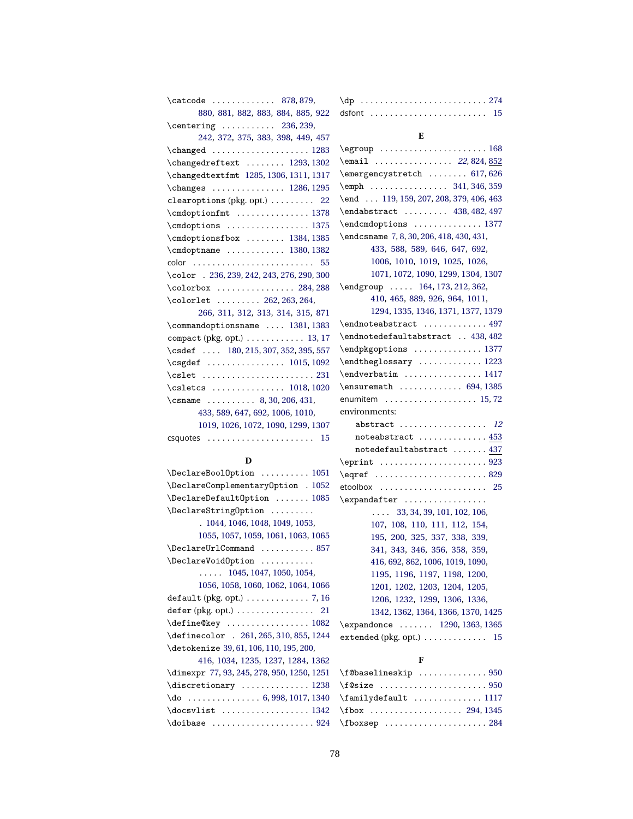| \catcode  878,879,                                       | $\qquad \qquad \text{op} \ldots \ldots \ldots \ldots \ldots \ldots 274$ |
|----------------------------------------------------------|-------------------------------------------------------------------------|
| 880, 881, 882, 883, 884, 885, 922                        | dsfont $\ldots \ldots \ldots \ldots \ldots \ldots \ldots \ldots$ 15     |
| $\centerdot$ 236, 239,                                   |                                                                         |
| 242, 372, 375, 383, 398, 449, 457                        | Е                                                                       |
| $\changed$ 1283                                          | $\qquad \ldots \ldots \ldots \qquad \qquad 168$                         |
| \changedreftext  1293, 1302                              | \email  22,824,852                                                      |
| \changedtextfmt 1285, 1306, 1311, 1317                   | \emergencystretch  617,626                                              |
| $\change s$ 1286, 1295                                   | $\text{empty}$ 341, 346, 359                                            |
| clearoptions (pkg. opt.)  22                             | \end  119, 159, 207, 208, 379, 406, 463                                 |
| $\label{cmdop}$ \cmdoptionfmt  1378                      | \endabstract  438, 482, 497                                             |
| $\label{cmdop}$ \cmdoptions  1375                        | \endcmdoptions  1377                                                    |
| \cmdoptionsfbox  1384, 1385                              | \endcsname 7, 8, 30, 206, 418, 430, 431,                                |
| $\label{cmdop}$ 1380, 1382                               | 433, 588, 589, 646, 647, 692,                                           |
| color  55                                                | 1006, 1010, 1019, 1025, 1026,                                           |
| \color . 236, 239, 242, 243, 276, 290, 300               | 1071, 1072, 1090, 1299, 1304, 1307                                      |
| $\cdot$ 284, 288                                         | \endgroup  164, 173, 212, 362,                                          |
| \colorlet  262, 263, 264,                                | 410, 465, 889, 926, 964, 1011,                                          |
| 266, 311, 312, 313, 314, 315, 871                        | 1294, 1335, 1346, 1371, 1377, 1379                                      |
| \commandoptionsname  1381, 1383                          | \endnoteabstract  497                                                   |
| compact (pkg. opt.) $\ldots \ldots \ldots \ldots$ 13, 17 | \endnotedefaultabstract  438, 482                                       |
| \csdef  180, 215, 307, 352, 395, 557                     | \endpkgoptions  1377                                                    |
| $\csgdef$ 1015, 1092                                     | \endtheglossary  1223                                                   |
|                                                          | \endverbatim  1417                                                      |
| \csletcs  1018, 1020                                     | \ensuremath  694, 1385                                                  |
| \csname  8, 30, 206, 431,                                | enumitem 15,72                                                          |
| 433, 589, 647, 692, 1006, 1010,                          | environments:                                                           |
| 1019, 1026, 1072, 1090, 1299, 1307                       | abstract  12                                                            |
| csquotes $15$                                            | noteabstract  453                                                       |
|                                                          | notedefaultabstract  437                                                |
| D                                                        |                                                                         |
| \DeclareBoolOption  1051                                 | $\qquad \qquad \ldots \ldots \ldots \ldots \qquad 829$                  |
| \DeclareComplementaryOption . 1052                       | etoolbox $\ldots \ldots \ldots \ldots \ldots \ldots 25$                 |
| \DeclareDefault0ption  1085                              | $\exp\{ter \dots t, \dots t\}$                                          |
| \DeclareStringOption                                     | $\ldots$ 33, 34, 39, 101, 102, 106,                                     |
| . 1044, 1046, 1048, 1049, 1053,                          | 107, 108, 110, 111, 112, 154,                                           |
| 1055, 1057, 1059, 1061, 1063, 1065                       | 195, 200, 325, 337, 338, 339,                                           |

| \DeclareBoolOption  1051                                |
|---------------------------------------------------------|
| \DeclareComplementaryOption . 1052                      |
| \DeclareDefaultOption  1085                             |
| \DeclareString0ption                                    |
| . 1044, 1046, 1048, 1049, 1053,                         |
| 1055, 1057, 1059, 1061, 1063, 1065                      |
| \DeclareUrlCommand  857                                 |
| \DeclareVoidOption                                      |
| $\ldots$ 1045, 1047, 1050, 1054,                        |
| 1056, 1058, 1060, 1062, 1064, 1066                      |
| default (pkg. opt.) $\ldots \ldots \ldots \ldots$ 7, 16 |
| $defer (pkg. opt.) \ldots \ldots \ldots \ldots 21$      |
| \define@key  1082                                       |
| \definecolor . 261, 265, 310, 855, 1244                 |
| \detokenize 39, 61, 106, 110, 195, 200,                 |
| 416, 1034, 1235, 1237, 1284, 1362                       |
| \dimexpr 77, 93, 245, 278, 950, 1250, 1251              |
| \discretionary  1238                                    |
| $\do$ 6, 998, 1017, 1340                                |
|                                                         |
|                                                         |

#### **F**

[341,](#page-38-2) [343,](#page-38-0) [346,](#page-38-3) [356,](#page-38-5) [358,](#page-38-1) [359,](#page-38-4) [416,](#page-40-2) [692,](#page-48-5) [862,](#page-53-10) [1006,](#page-59-5) [1019,](#page-60-1) [1090,](#page-62-3) [1195,](#page-66-0) [1196,](#page-66-1) [1197,](#page-66-2) [1198,](#page-66-3) [1200,](#page-66-4) [1201,](#page-67-0) [1202,](#page-67-1) [1203,](#page-67-2) [1204,](#page-67-3) [1205,](#page-67-4) [1206,](#page-67-5) [1232,](#page-68-1) [1299,](#page-70-9) [1306,](#page-70-6) [1336,](#page-72-2) [1342,](#page-72-3) [1362,](#page-72-19) [1364,](#page-72-15) [1366,](#page-72-17) [1370,](#page-72-13) [1425](#page-74-0) \expandonce . . . . . . . [1290,](#page-70-13) [1363,](#page-72-14) [1365](#page-72-16) extended (pkg. opt.) . . . . . . . . . . . . [15](#page-14-1)

| \f@baselineskip  950                               |  |
|----------------------------------------------------|--|
|                                                    |  |
| $\{\text{amilydefault} \dots \dots \dots \dots \}$ |  |
| $\text{1345}$                                      |  |
|                                                    |  |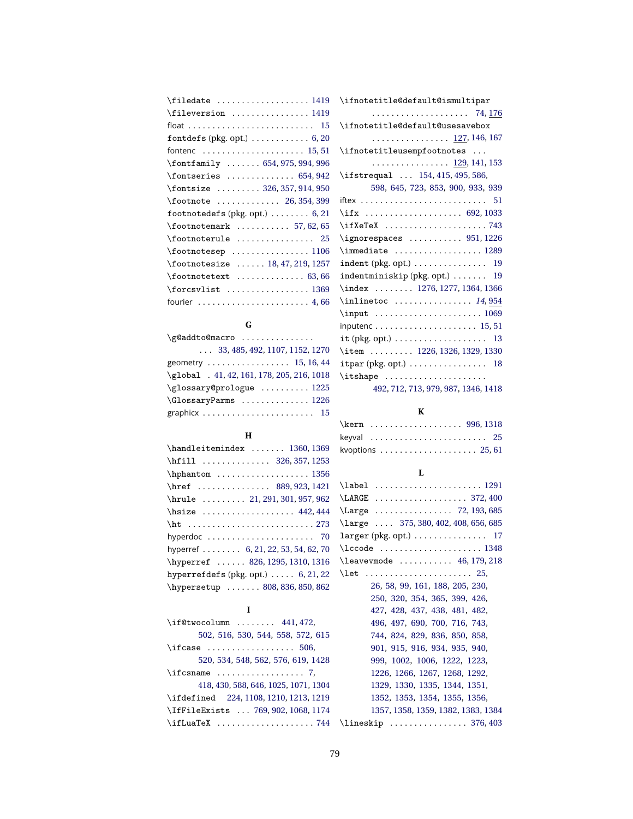| \fileversion  1419                                              |
|-----------------------------------------------------------------|
|                                                                 |
| fontdefs (pkg. opt.) $\ldots \ldots \ldots 6, 20$               |
|                                                                 |
| $\forall$ fontfamily  654, 975, 994, 996                        |
| $\cdot$ fontseries  654, 942                                    |
| \fontsize  326, 357, 914, 950                                   |
|                                                                 |
| footnotedefs (pkg. opt.) $\ldots \ldots 6, 21$                  |
| $\cdot$ footnotemark  57,62,65                                  |
| $\footnotesize\backslash$ footnoterule  25                      |
| $\otimes$ footnotesep 1106                                      |
| $\footnotesize\backslash$ footnotesize  18, 47, 219, 1257       |
| $\footnotesize\backslash$ footnotetext  63,66                   |
| $\frac{1369}$                                                   |
| fourier $\ldots \ldots \ldots \ldots \ldots \ldots \ldots$ 4,66 |

## **G**

| $\qquad$ $\qquad$ $\qquad$ $\qquad$ $\qquad$ $\qquad$ $\qquad$ $\qquad$ $\qquad$ $\qquad$ $\qquad$ $\qquad$ $\qquad$ $\qquad$ $\qquad$ $\qquad$ $\qquad$ $\qquad$ $\qquad$ $\qquad$ $\qquad$ $\qquad$ $\qquad$ $\qquad$ $\qquad$ $\qquad$ $\qquad$ $\qquad$ $\qquad$ $\qquad$ $\qquad$ $\qquad$ $\qquad$ $\qquad$ $\qquad$ $\qquad$ $\qquad$ |
|----------------------------------------------------------------------------------------------------------------------------------------------------------------------------------------------------------------------------------------------------------------------------------------------------------------------------------------------|
| $\ldots$ 33, 485, 492, 1107, 1152, 1270                                                                                                                                                                                                                                                                                                      |
| geometry $\ldots \ldots \ldots \ldots \ldots$ 15, 16, 44                                                                                                                                                                                                                                                                                     |
| \global . 41, 42, 161, 178, 205, 216, 1018                                                                                                                                                                                                                                                                                                   |
| \glossary@prologue  1225                                                                                                                                                                                                                                                                                                                     |
| $\G$ lossaryParms  1226                                                                                                                                                                                                                                                                                                                      |
|                                                                                                                                                                                                                                                                                                                                              |

#### **H**

| \handleitemindex  1360, 1369                                 |
|--------------------------------------------------------------|
| \hfill  326, 357, 1253                                       |
| $\hbox{\tt hphantom}\ldots \ldots \ldots \ldots \qquad 1356$ |
| \href  889, 923, 1421                                        |
| \hrule  21, 291, 301, 957, 962                               |
| \hsize  442,444                                              |
|                                                              |
| hyperdoc  70                                                 |
| hyperref 6, 21, 22, 53, 54, 62, 70                           |
| \hyperref  826, 1295, 1310, 1316                             |
| hyperrefdefs (pkg. opt.) $\ldots$ 6, 21, 22                  |
| \hypersetup  808, 836, 850, 862                              |

### **I**

| $\iint@twocolumn   441,472,$                            |
|---------------------------------------------------------|
| 502, 516, 530, 544, 558, 572, 615                       |
| $\left\{ \right.$ if case $\left. \right. \right.$ 506, |
| 520, 534, 548, 562, 576, 619, 1428                      |
| $\text{ifcsname} \dots \dots \dots \dots 7,$            |
| 418, 430, 588, 646, 1025, 1071, 1304                    |
| \ifdefined 224,1108,1210,1213,1219                      |
| \IfFileExists  769, 902, 1068, 1174                     |
| $\iota$ ifLuaTeX 744                                    |

| \ifnotetitle@default@ismultipar                                                                                                                                                                                                                                                                                                                          |
|----------------------------------------------------------------------------------------------------------------------------------------------------------------------------------------------------------------------------------------------------------------------------------------------------------------------------------------------------------|
|                                                                                                                                                                                                                                                                                                                                                          |
| \ifnotetitle@default@usesavebox                                                                                                                                                                                                                                                                                                                          |
| . <u>127,</u> 146, 167                                                                                                                                                                                                                                                                                                                                   |
| \ifnotetitleusempfootnotes                                                                                                                                                                                                                                                                                                                               |
| . 129, 141, 153                                                                                                                                                                                                                                                                                                                                          |
| \ifstrequal  154, 415, 495, 586,                                                                                                                                                                                                                                                                                                                         |
| 598, 645, 723, 853, 900, 933, 939                                                                                                                                                                                                                                                                                                                        |
|                                                                                                                                                                                                                                                                                                                                                          |
| \ifx  692, 1033                                                                                                                                                                                                                                                                                                                                          |
|                                                                                                                                                                                                                                                                                                                                                          |
| $\qquad$ \ignorespaces  951, 1226                                                                                                                                                                                                                                                                                                                        |
| $\{\text{immediate} \dots \dots \dots \dots \ 1289$                                                                                                                                                                                                                                                                                                      |
|                                                                                                                                                                                                                                                                                                                                                          |
| $indentminiskip(pkg, opt.) \ldots \ldots 19$                                                                                                                                                                                                                                                                                                             |
| \index  1276, 1277, 1364, 1366                                                                                                                                                                                                                                                                                                                           |
| $\in$ 14,954                                                                                                                                                                                                                                                                                                                                             |
|                                                                                                                                                                                                                                                                                                                                                          |
| inputenc 15,51                                                                                                                                                                                                                                                                                                                                           |
|                                                                                                                                                                                                                                                                                                                                                          |
| \item  1226, 1326, 1329, 1330                                                                                                                                                                                                                                                                                                                            |
| $itpar$ (pkg. opt.) $\ldots \ldots \ldots \ldots \ldots$ 18                                                                                                                                                                                                                                                                                              |
| $\it \iota$ : $\it \iota$ : $\it \iota$ : $\it \iota$ : $\it \iota$ : $\it \iota$ : $\it \iota$ : $\it \iota$ : $\it \iota$ : $\it \iota$ : $\it \iota$ : $\it \iota$ : $\it \iota$ : $\it \iota$ : $\it \iota$ : $\it \iota$ : $\it \iota$ : $\it \iota$ : $\it \iota$ : $\it \iota$ : $\it \iota$ : $\it \iota$ : $\it \iota$ : $\it \iota$ : $\it \i$ |
|                                                                                                                                                                                                                                                                                                                                                          |

[492,](#page-42-7) [712,](#page-48-6) [713,](#page-48-7) [979,](#page-57-7) [987,](#page-58-5) [1346,](#page-72-22) [1418](#page-74-7)

#### **K**

|  |  |  |  |  | \kern  996, 1318                                             |
|--|--|--|--|--|--------------------------------------------------------------|
|  |  |  |  |  | keyval $25$                                                  |
|  |  |  |  |  | kvoptions $\ldots \ldots \ldots \ldots \ldots \ldots 25, 61$ |

#### **L**

| \label  1291                         |
|--------------------------------------|
| LARGE  372, 400                      |
| Large  72, 193, 685                  |
| \large  375, 380, 402, 408, 656, 685 |
|                                      |
|                                      |
| \leavevmode  46, 179, 218            |
| $\let$ 25,                           |
| 26, 58, 99, 161, 188, 205, 230,      |
| 250, 320, 354, 365, 399, 426,        |
| 427, 428, 437, 438, 481, 482,        |
| 496, 497, 690, 700, 716, 743,        |
| 744, 824, 829, 836, 850, 858,        |
| 901, 915, 916, 934, 935, 940,        |
| 999, 1002, 1006, 1222, 1223,         |
| 1226, 1266, 1267, 1268, 1292,        |
| 1329, 1330, 1335, 1344, 1351,        |
| 1352, 1353, 1354, 1355, 1356,        |
| 1357, 1358, 1359, 1382, 1383, 1384   |
| \lineskip  376,403                   |
|                                      |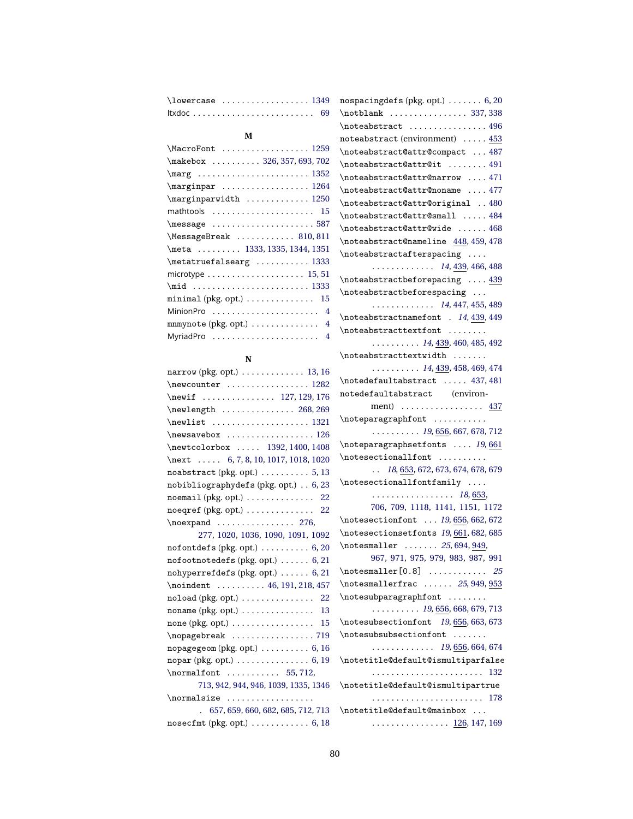| \lowercase  1349 nospacingdefs (pkg. opt.)                              |  |
|-------------------------------------------------------------------------|--|
| $ltxdoc \ldots \ldots \ldots \ldots \ldots \ldots \ldots \ldots \ldots$ |  |

#### **M**

| \MacroFont  1259                                                                                     |
|------------------------------------------------------------------------------------------------------|
| \makebox  326, 357, 693, 702                                                                         |
| $\text{array} \ldots \ldots \ldots \ldots \ldots \ldots \ldots$                                      |
|                                                                                                      |
| \marginparwidth  1250                                                                                |
| mathtools  15                                                                                        |
| $\text{message} \dots \dots \dots \dots \dots \dots \dots \dots \dots \dots \dots \dots \dots \dots$ |
| \MessageBreak  810,811                                                                               |
| \meta  1333, 1335, 1344, 1351                                                                        |
| $\metaturefalsearg$ 1333                                                                             |
| microtype $\ldots \ldots \ldots \ldots \ldots \ldots 15, 51$                                         |
|                                                                                                      |
| $minimal (pkg. opt.) \ldots \ldots \ldots$<br>15                                                     |
| MinionPro  4                                                                                         |
| mnmynote (pkg. opt.) $\ldots \ldots \ldots \ldots$ 4                                                 |
| MyriadPro  4                                                                                         |

#### **N**

| narrow (pkg. opt.) $\ldots \ldots \ldots \ldots$ 13, 16    |
|------------------------------------------------------------|
| $\neq$ 282                                                 |
| \newif  127, 129, 176                                      |
| $\neq 268, 269$                                            |
| \newlist  1321                                             |
| $\neq$ savebox  126                                        |
| \newtcolorbox  1392, 1400, 1408                            |
| \next $\ldots$ 6, 7, 8, 10, 1017, 1018, 1020               |
| $noabstract (pkg. opt.) \ldots \ldots \ldots 5, 13$        |
| nobibliographydefs (pkg. opt.) 6, 23                       |
| $noemail$ (pkg. opt.)  22                                  |
| noeqref (pkg. opt.)  22                                    |
| $\neq$ 276,                                                |
| 277, 1020, 1036, 1090, 1091, 1092                          |
| nofont defs (pkg. opt.) $\ldots \ldots \ldots 6, 20$       |
| nofootnotedefs (pkg. opt.) $\ldots \ldots 6, 21$           |
| nohyperrefdefs (pkg. opt.) $\ldots$ . 6, 21                |
| \noindent  46, 191, 218, 457                               |
| $n$ oload (pkg. opt.) $\ldots \ldots \ldots \ldots 22$     |
| noname (pkg. opt.) $\ldots \ldots \ldots \ldots \ldots$ 13 |
|                                                            |
| $\n\nopagebreak \n \n \n \n719$                            |
| nopagegeom (p $kg$ . opt.) $\ldots \ldots \ldots 6$ , 16   |
| $nopar$ (pkg. opt.) $\ldots \ldots \ldots \ldots 6, 19$    |
| $\normalfont$ 55,712,                                      |
| 713, 942, 944, 946, 1039, 1335, 1346                       |
|                                                            |
| . 657, 659, 660, 682, 685, 712, 713                        |
| nosecfmt (pkg. opt.) $\ldots \ldots \ldots 6$ , 18         |

| nospacing defs (pkg. opt.) $\ldots \ldots 6,20$                   |
|-------------------------------------------------------------------|
| \notblank  337,338                                                |
| \noteabstract  496                                                |
| noteabstract (environment)  453                                   |
| \noteabstract@attr@compact  487                                   |
| \noteabstract@attr@it  491                                        |
| \noteabstract@attr@narrow  471                                    |
| \noteabstract@attr@noname  477                                    |
| \noteabstract@attr@original 480                                   |
| \noteabstract@attr@small  484                                     |
| \noteabstract@attr@wide 468                                       |
| \noteabstract@nameline 448, 459, 478                              |
| $\not$ cteabstractafterspacing                                    |
| $\cdots$ 14, 439, 466, 488                                        |
| $\not$ roteabstractbeforepacing $439$                             |
| \noteabstractbeforespacing                                        |
| $\cdots \cdots \cdots \cdots 14, 447, 455, 489$                   |
| \noteabstractnamefont . 14, 439, 449                              |
| $\not \texttt{cont} \dots \dots$                                  |
| $\ldots \ldots \ldots$ 14, 439, 460, 485, 492                     |
| $\not \texttt{textwidth} \dots$                                   |
| $\ldots \ldots \ldots$ 14, 439, 458, 469, 474                     |
| $\not\text{edefaultabstract} \dots$ . 437,481                     |
| notedefaultabstract (environ-                                     |
| ment) $\ldots \ldots \ldots \ldots \ldots \frac{437}{2}$          |
| \noteparagraphfont                                                |
| $\ldots \ldots \ldots 19, 656, 667, 678, 712$                     |
| \noteparagraphsetfonts  19,661                                    |
| $\not\mathtt{incol}$                                              |
| $\ldots$ 18, 653, 672, 673, 674, 678, 679                         |
| $\not$ cotesectionallfontfamily                                   |
| . 18, <u>653</u> ,                                                |
| 706, 709, 1118, 1141, 1151, 1172                                  |
| \notesectionfont  19, 656, 662, 672                               |
| \notesectionsetfonts 19, 661, 682, 685                            |
| $\notesize \label{eq:3.1}$ \notesmaller  25, 694, 949,            |
| 967, 971, 975, 979, 983, 987, 991                                 |
| $\notesize\label{eq:3.1}$ \notesmaller [0.8]  25                  |
| $\notesize \label{c}$ \notesmallerfrac  25,949, $\frac{953}{100}$ |
| \notesubparagraphfont                                             |
| $\ldots \ldots \ldots 19, 656, 668, 679, 713$                     |
| \notesubsectionfont 19,656,663,673                                |
| \notesubsubsectionfont                                            |
| $\cdots \cdots \cdots \cdots 19, 656, 664, 674$                   |
| \notetitle@default@ismultiparfalse                                |
|                                                                   |
| \notetitle@default@ismultipartrue                                 |
|                                                                   |
| \notetitle@default@mainbox                                        |
|                                                                   |
| . <u>126</u> , 147, 169                                           |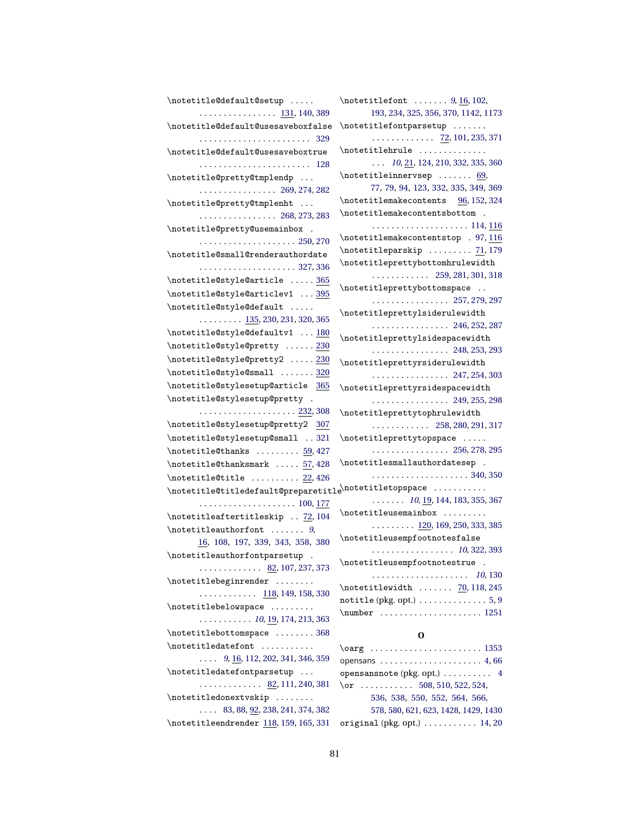| \notetitle@default@setup                                       |                                                           |
|----------------------------------------------------------------|-----------------------------------------------------------|
| . <u>131</u> , 140, 389                                        | 193, 234, 325, 356, 370, 1142, 1173                       |
| \notetitle@default@usesaveboxfalse                             | \notetitlefontparsetup                                    |
|                                                                | . <u>72</u> , 101, 235, 371                               |
| \notetitle@default@usesaveboxtrue                              | \notetitlehrule                                           |
| 128                                                            | $\ldots$ 10, 21, 124, 210, 332, 335, 360                  |
| \notetitle@pretty@tmplendp                                     | $\hbox{\tt notetitleinnervesp}\ \dots \dots \ 69,$        |
| $\cdots \cdots \cdots \cdots \cdots 269, 274, 282$             | 77, 79, 94, 123, 332, 335, 349, 369                       |
| \notetitle@pretty@tmplenht                                     | \notetitlemakecontents 96, 152, 324                       |
| $\cdots \cdots \cdots \cdots \cdots 268, 273, 283$             | \notetitlemakecontentsbottom .                            |
| \notetitle@pretty@usemainbox .                                 |                                                           |
|                                                                | \notetitlemakecontentstop . 97, 116                       |
| \notetitle@small@renderauthordate                              | $\{\n$ ctetitleparskip $71,179$                           |
| . 327, 336                                                     | \notetitleprettybottomhrulewidth                          |
| \notetitle@style@article  365                                  |                                                           |
| \notetitle@style@articlev1  395                                | \notetitleprettybottomspace                               |
| \notetitle@style@default                                       | $\cdots \cdots \cdots \cdots \cdots 257, 279, 297$        |
| $\ldots \ldots \ldots \frac{135}{300}$ , 230, 231, 320, 365    | $\verb+\notetitleprettylsiderulewidth+$                   |
| \notetitle@style@defaultv1  180                                | . 246, 252, 287                                           |
| \notetitle@style@pretty  230                                   | $\verb+\notetitleprettylsidespacewidth+$                  |
| \notetitle@style@pretty2  230                                  | $\cdots \cdots \cdots \cdots \cdots 248, 253, 293$        |
| $\hbox{\tt{notetitle@style}small } \frac{320}{100}$            | \notetitleprettyrsiderulewidth                            |
| \notetitle@stylesetup@article 365                              | $\cdots \cdots \cdots \cdots \cdots 247, 254, 303$        |
| \notetitle@stylesetup@pretty .                                 | $\verb+\notetitlepretyrsidespacewidth+$                   |
|                                                                | . 249, 255, 298<br>\notetitleprettytophrulewidth          |
| \notetitle@stylesetup@pretty2 307                              | $\ldots \ldots \ldots \ldots$ 258, 280, 291, 317          |
| \notetitle@stylesetup@small 321                                | \notetitleprettytopspace                                  |
| $\not\text{etitle@thanks} \dots \dots \underline{59}$ , 427    | . 256, 278, 295                                           |
| \notetitle@thanksmark  57,428                                  | \notetitlesmallauthordatesep .                            |
|                                                                |                                                           |
| $\not\text{etitle@title} \dots \dots \dots \underline{22,426}$ |                                                           |
|                                                                | $\ldots \ldots 10, \underline{19}, 144, 183, 355, 367$    |
|                                                                | \notetitleusemainbox                                      |
| \notetitleaftertitleskip  72, 104                              | $\ldots \ldots \ldots 120, 169, 250, 333, 385$            |
| $\hbox{\tt\char'1}$ $\hbox{\tt\char'1}$ 9,                     | \notetitleusempfootnotesfalse                             |
| 16, 108, 197, 339, 343, 358, 380                               | $\ldots \ldots \ldots \ldots \ldots \ldots 10, 322, 393$  |
| \notetitleauthorfontparsetup .                                 | \notetitleusempfootnotestrue .                            |
| $\ldots \ldots \ldots \ldots$ 82, 107, 237, 373                |                                                           |
| \notetitlebeginrender                                          | $\not$ thotetitlewidth $\frac{70}{118}$ , 245             |
| $\ldots \ldots \ldots \ldots$ 118, 149, 158, 330               | notitle (pkg. opt.) $\ldots \ldots \ldots \ldots 5, 9$    |
| $\{\n$<br>cttitlebelowspace                                    | $\text{number} \ldots \ldots \ldots \ldots \ldots \ldots$ |
| $\ldots \ldots \ldots \ldots 10, 19, 174, 213, 363$            |                                                           |
| \notetitlebottomspace 368                                      | 0                                                         |
| $\{\n$ ctetitledatefont                                        | $\oarg \ldots \ldots \ldots \ldots \ldots 1353$           |
| $\ldots$ 9, $\underline{16}$ , 112, 202, 341, 346, 359         | opensans $\ldots \ldots \ldots \ldots \ldots \ldots 4,66$ |
| \notetitledatefontparsetup                                     | opensansnote (pkg. opt.)  4                               |
| <u>82</u> , 111, 240, 381                                      | $\or$ 508, 510, 522, 524,                                 |
| \notetitledonextvskip                                          | 536, 538, 550, 552, 564, 566,                             |

 $\hbox{\scriptsize\textsf{not}}$ .... [83,](#page-30-8) [88,](#page-30-9) <u>[92,](#page-30-10)</u> [238,](#page-35-19) [241,](#page-35-20) [374,](#page-39-22) [382](#page-39-23) [578,](#page-45-9) [580,](#page-45-10) [621,](#page-46-6) [623,](#page-46-7) [1428,](#page-74-6) [1429,](#page-74-8) [1430](#page-74-9) \notetitleendrender [118,](#page-31-13) [159,](#page-33-6) [165,](#page-33-19) [331](#page-37-24) original (pkg. opt.) . . . . . . . . . . . [14,](#page-13-1) [20](#page-19-1)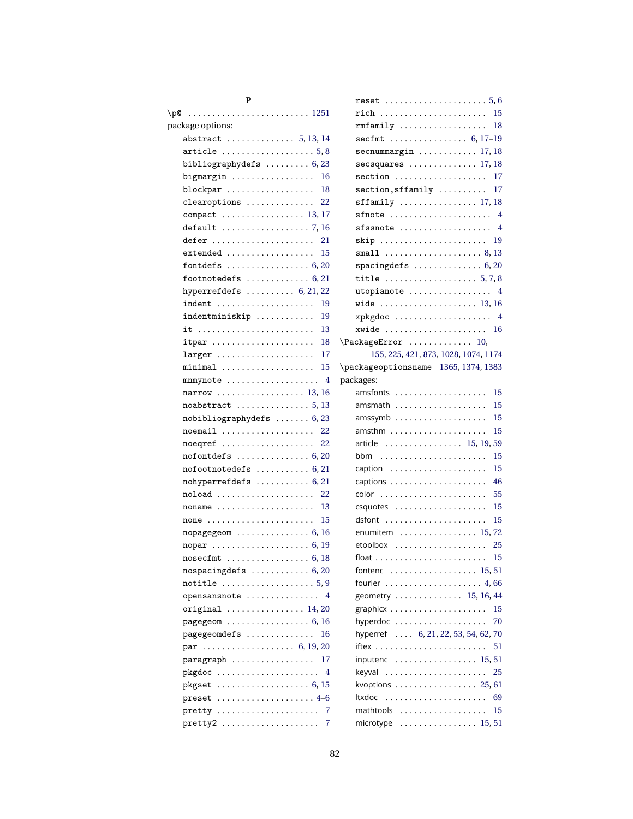| package options:                                                             |               |
|------------------------------------------------------------------------------|---------------|
| abstract $\ldots \ldots \ldots \ldots 5, 13, 14$                             |               |
| article $\ldots \ldots \ldots \ldots \ldots 5,8$                             |               |
| bibliographydefs $\ldots \ldots \ldots 6,23$                                 |               |
| bigmargin $\ldots \ldots \ldots \ldots \ldots$<br>16                         |               |
| $blockpar \ldots \ldots \ldots \ldots \ldots$<br>18                          |               |
| $clean options$<br>22                                                        |               |
| compact $\ldots \ldots \ldots \ldots \ldots 13, 17$                          |               |
| $default \dots \dots \dots \dots \dots \dots$ 7, 16                          |               |
| defer $\dots\dots\dots\dots\dots\dots\dots\dots$<br>21                       |               |
| $extended \dots \dots \dots \dots \dots \dots$<br>15                         |               |
| fontdefs $\ldots \ldots \ldots \ldots \ldots 6,20$                           |               |
| footnotedefs $\ldots \ldots \ldots \ldots 6, 21$                             |               |
| hyperrefdefs $\ldots \ldots \ldots 6, 21, 22$                                |               |
| indent<br>-19                                                                |               |
| indentminiskip<br>19                                                         |               |
| 13<br>it                                                                     |               |
| 18<br>$\mathtt{itpar}$                                                       | $\iota$ Pa    |
| 17<br>$larger \ldots \ldots \ldots \ldots \ldots \ldots$                     |               |
| 15                                                                           | $\mathcal{P}$ |
| 4<br>mnmynote                                                                | pac           |
| $narrow \ldots \ldots \ldots \ldots \ldots \ldots 13, 16$                    |               |
|                                                                              |               |
| $nobibliography defs$ $6, 23$                                                |               |
| $noemail$ 22                                                                 |               |
| noeqref<br>22                                                                |               |
| $nofont \texttt{defs} \dots \dots \dots \dots \dots \dots \dots \dots \dots$ |               |
| $nofootnotes\,. \ldots \ldots \ldots \, 6, 21$                               |               |
| $nohyperrefdefs$ $6, 21$                                                     |               |
| 22<br>noload                                                                 |               |
| $noname$<br>13                                                               |               |
| 15<br>none                                                                   |               |
| $n$ opagegeom $\ldots \ldots \ldots \ldots 6, 16$                            |               |
| nopar  6, 19                                                                 |               |
|                                                                              |               |
| $nospcing def s  \dots 6, 20$                                                |               |
| $\texttt{notitle}\ \dots \dots \dots \dots \dots \dots 5,9$                  |               |
| opensansnote<br>4                                                            |               |
| original  14,20                                                              |               |
|                                                                              |               |
| pagegeomdefs<br>16                                                           |               |
| par  6, 19, 20                                                               |               |
| $\verb!paragraph \dots \dots \dots \dots \dots \dots$<br>17                  |               |
| pkgdoc<br>4                                                                  |               |
|                                                                              |               |
| preset  4-6                                                                  |               |
| $\text{pretty}$<br>7                                                         |               |
| pretty2<br>7                                                                 |               |
|                                                                              |               |

| $reset \ldots \ldots \ldots \ldots \ldots \ldots 5, 6$             |    |
|--------------------------------------------------------------------|----|
|                                                                    |    |
| rich                                                               | 15 |
| $rmfamily \dots \dots \dots \dots \dots \dots$                     | 18 |
| secfmt $\ldots \ldots \ldots \ldots 6, 17-19$                      |    |
| $secnummargin$ 17, 18                                              |    |
| $secsquares$ 17, 18                                                |    |
| $section$                                                          | 17 |
| $section,$ $sffamily$                                              | 17 |
| $\texttt{sfamily}$ 17,18                                           |    |
| sfnote $\ldots \ldots \ldots \ldots \ldots \ldots$ 4               |    |
| $sfsnote$ 4                                                        |    |
| skip                                                               | 19 |
| small $\ldots \ldots \ldots \ldots \ldots \ldots 8, 13$            |    |
| $spacing defs$ 6, 20                                               |    |
| title $\ldots \ldots \ldots \ldots \ldots 5, 7, 8$                 |    |
| utopianote  4                                                      |    |
| wide  13,16                                                        |    |
| xpkgdoc  4                                                         |    |
| xwide                                                              | 16 |
| \PackageError<br>10,                                               |    |
| 155, 225, 421, 873, 1028, 1074, 1174                               |    |
| \packageoptionsname 1365, 1374, 1383                               |    |
| packages:                                                          |    |
| amsfonts                                                           | 15 |
|                                                                    | 15 |
| $amssymb \ldots \ldots \ldots \ldots \ldots \ldots$                | 15 |
|                                                                    |    |
|                                                                    | 15 |
|                                                                    |    |
| article  15, 19, 59                                                | 15 |
| caption                                                            | 15 |
|                                                                    | 46 |
|                                                                    | 55 |
|                                                                    | 15 |
|                                                                    | 15 |
| dsfont                                                             |    |
| enumitem  15,72                                                    | 25 |
| etoolbox                                                           |    |
| float                                                              | 15 |
| fontenc $\ldots \ldots \ldots \ldots \ldots \ldots 15, 51$         |    |
| fourier $\ldots \ldots \ldots \ldots \ldots \ldots 4,66$           |    |
| geometry  15, 16, 44                                               |    |
|                                                                    | 15 |
| hyperdoc                                                           | 70 |
| hyperref  6, 21, 22, 53, 54, 62, 70                                |    |
|                                                                    | 51 |
| inputenc $\ldots \ldots \ldots \ldots \ldots 15, 51$               |    |
| keyval                                                             | 25 |
| kvoptions $\ldots \ldots \ldots \ldots \ldots 25, 61$              |    |
| ltxdoc                                                             | 69 |
| mathtools<br>microtype $\ldots \ldots \ldots \ldots \ldots$ 15, 51 | 15 |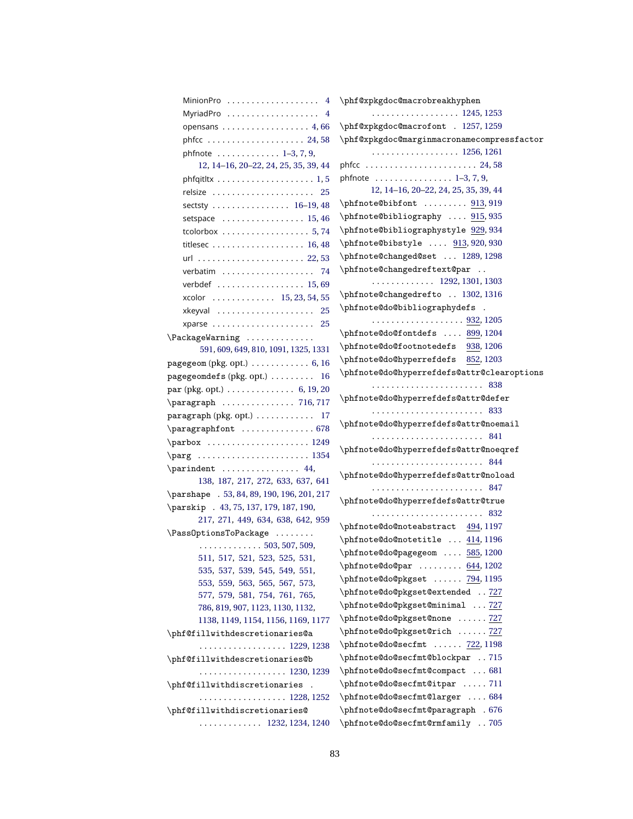| MinionPro $\dots\dots\dots\dots\dots\dots$                           | \phf@xpkgdoc@macrobreakhyphen                                    |
|----------------------------------------------------------------------|------------------------------------------------------------------|
| MyriadPro $\dots\dots\dots\dots\dots\dots$                           | . 1245, 1253                                                     |
| opensans $\ldots \ldots \ldots \ldots \ldots 4,66$                   | \phf@xpkgdoc@macrofont . 1257, 1259                              |
|                                                                      | \phf@xpkgdoc@marginmacronamecompressfactor                       |
| phfnote $\ldots \ldots \ldots \ldots 1-3, 7, 9$ ,                    | . 1256, 1261                                                     |
| 12, 14-16, 20-22, 24, 25, 35, 39, 44                                 |                                                                  |
| phfqitltx $\dots\dots\dots\dots\dots\dots\dots\dots$                 | phfnote $\ldots \ldots \ldots \ldots \ldots 1-3, 7, 9$ ,         |
| relsize<br>25                                                        | 12, 14-16, 20-22, 24, 25, 35, 39, 44                             |
| sectsty  16-19, 48                                                   | \phfnote@bibfont  913,919                                        |
| setspace $\ldots \ldots \ldots \ldots \ldots 15, 46$                 | \phfnote@bibliography  915,935                                   |
| tcolorbox $\ldots \ldots \ldots \ldots \ldots 5, 74$                 | \phfnote@bibliographystyle 929,934                               |
|                                                                      | $\phi$ 913, 920, 930                                             |
|                                                                      | \phfnote@changed@set  1289, 1298                                 |
| verbatim<br>74                                                       | \phfnote@changedreftext@par<br>$\sim$ .                          |
| verbdef 15,69                                                        | . 1292, 1301, 1303                                               |
| xcolor  15, 23, 54, 55                                               | \phfnote@changedrefto  1302, 1316                                |
|                                                                      | \phfnote@do@bibliographydefs<br>$\mathcal{L}$                    |
| xparse<br>25                                                         | . 932, 1205                                                      |
| $\Pack$ $\text{Packag}$ $\text{Packag}$ $\ldots$                     | \phfnote@do@fontdefs  899, 1204                                  |
| 591, 609, 649, 810, 1091, 1325, 1331                                 | \phfnote@do@footnotedefs<br>938, 1206                            |
| pagegeom (pkg. opt.) $\ldots \ldots \ldots \ldots 6$ , 16            | \phfnote@do@hyperrefdefs<br>852, 1203                            |
| $\texttt{pagegeomedes}~\text{(pkg. opt.)}~\dots~\dots~\dots~$<br>16  | \phfnote@do@hyperrefdefs@attr@clearoptions                       |
| $par$ (pkg. opt.) $\ldots \ldots \ldots \ldots 6, 19, 20$            |                                                                  |
| $\{ \text{param} \dots \dots \dots \dots \quad 716, 717 \}$          | \phfnote@do@hyperrefdefs@attr@defer                              |
| $\frac{1}{7}$ paragraph (pkg. opt.) $\ldots \ldots \ldots \ldots 17$ |                                                                  |
| \paragraphfont  678                                                  | \phfnote@do@hyperrefdefs@attr@noemail                            |
| $\parbox{ 1249$                                                      |                                                                  |
| $\pmod{2$                                                            | \phfnote@do@hyperrefdefs@attr@noeqref                            |
| $\partial$ .                                                         |                                                                  |
| 138, 187, 217, 272, 633, 637, 641                                    | \phfnote@do@hyperrefdefs@attr@noload                             |
| \parshape . 53, 84, 89, 190, 196, 201, 217                           |                                                                  |
| \parskip . 43, 75, 137, 179, 187, 190,                               | \phfnote@do@hyperrefdefs@attr@true                               |
| 217, 271, 449, 634, 638, 642, 959                                    | \phfnote@do@noteabstract 494, 1197                               |
| \Pass0ptionsToPackage                                                | $\phi$ 1196 \phfnote@do@notetitle $414,1196$                     |
| $\cdots \cdots \cdots \cdots \cdots 503, 507, 509,$                  | \phfnote@do@pagegeom  585, 1200                                  |
| 511, 517, 521, 523, 525, 531,                                        | $\phi(1202)$                                                     |
| 535, 537, 539, 545, 549, 551,                                        | \phfnote@do@pkgset  794, 1195                                    |
| 553, 559, 563, 565, 567, 573,                                        | \phfnote@do@pkgset@extended  727                                 |
| 577, 579, 581, 754, 761, 765,                                        | \phfnote@do@pkgset@minimal  727                                  |
| 786, 819, 907, 1123, 1130, 1132,                                     | \phfnote@do@pkgset@none  727                                     |
| 1138, 1149, 1154, 1156, 1169, 1177                                   | \phfnote@do@pkgset@rich  727                                     |
| \phf@fillwithdescretionaries@a                                       | \phfnote@do@secfmt  722, 1198                                    |
| . 1229, 1238                                                         |                                                                  |
| $\phi$ \phf@fillwithdescretionaries@b                                | \phfnote@do@secfmt@blockpar 715                                  |
| . 1230, 1239                                                         | \phfnote@do@secfmt@compact  681<br>\phfnote@do@secfmt@itpar  711 |
| \phf@fillwithdiscretionaries .                                       |                                                                  |
| . 1228, 1252                                                         | \phfnote@do@secfmt@larger  684                                   |
| \phf@fillwithdiscretionaries@                                        | \phfnote@do@secfmt@paragraph . 676                               |
| $\cdots$ 1232, 1234, 1240                                            | \phfnote@do@secfmt@rmfamily 705                                  |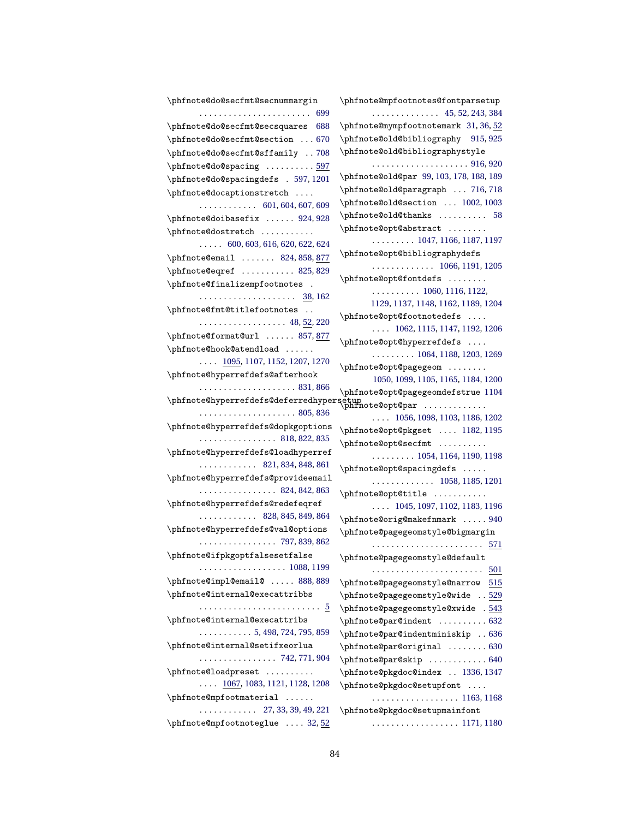\phfnote@do@secfmt@secnummargin . . . . . . . . . . . . . . . . . . . . . . . [699](#page-48-28) \phfnote@do@secfmt@secsquares [688](#page-48-29) \phfnote@do@secfmt@section . . . [670](#page-48-30) \phfnote@do@secfmt@sffamily . . [708](#page-48-31) \phfnote@do@spacing .......... [597](#page-45-16) \phfnote@do@spacingdefs . [597,](#page-45-17) [1201](#page-67-0) \phfnote@docaptionstretch . . . . . . . . . . . . . . . . [601,](#page-45-18) [604,](#page-45-2) [607,](#page-46-2) [609](#page-46-8) \phfnote@doibasefix ...... [924,](#page-55-4) [928](#page-55-13) \phfnote@dostretch .......... . . . . . [600,](#page-45-19) [603,](#page-45-20) [616,](#page-46-16) [620,](#page-46-17) [622,](#page-46-18) [624](#page-46-19) \phfnote@email ...... [824,](#page-52-3) [858,](#page-52-10) [877](#page-53-13) \phfnote@eqref ........... [825,](#page-52-18)[829](#page-52-5) \phfnote@finalizempfootnotes . . . . . . . . . . . . . . . . . . . . . [38,](#page-27-16) [162](#page-33-22) \phfnote@fmt@titlefootnotes . . . . . . . . . . . . . . . . . . . . [48,](#page-27-17) <u>52</u>, [220](#page-35-28) \phfnote@format@url ...... [857,](#page-52-1) [877](#page-53-14) \phfnote@hook@atendload ...... . . . . [1095,](#page-63-7) [1107,](#page-63-4) [1152,](#page-64-1) [1207,](#page-67-6) [1270](#page-69-5) \phfnote@hyperrefdefs@afterhook . . . . . . . . . . . . . . . . . . . . [831,](#page-52-19) [866](#page-53-15) \phfnote@hyperrefdefs@deferredhypersetup<br>\phfnote@opt@par ............. . . . . . . . . . . . . . . . . . . . . [805,](#page-51-7) [836](#page-52-8) \phfnote@hyperrefdefs@dopkgoptions . . . . . . . . . . . . . . . . [818,](#page-51-8) [822,](#page-51-9) [835](#page-52-20) \phfnote@hyperrefdefs@loadhyperref . . . . . . . . . . . . [821,](#page-51-10) [834,](#page-52-21) [848,](#page-52-22) [861](#page-53-16) \phfnote@hyperrefdefs@provideemail . . . . . . . . . . . . . . . . [824,](#page-52-3) [842,](#page-52-23) [863](#page-53-17) \phfnote@hyperrefdefs@redefeqref . . . . . . . . . . . . [828,](#page-52-24) [845,](#page-52-25) [849,](#page-52-26) [864](#page-53-18) \phfnote@hyperrefdefs@val@options . . . . . . . . . . . . . . . . [797,](#page-51-11) [839,](#page-52-27) [862](#page-53-10) \phfnote@ifpkgoptfalsesetfalse . . . . . . . . . . . . . . . . . . [1088,](#page-62-13) [1199](#page-66-5) \phfnote@impl@email@ ..... [888,](#page-54-4)[889](#page-54-6) \phfnote@internal@execattribbs . . . . . . . . . . . . . . . . . . . . . . . . . [5](#page-25-4) \phfnote@internal@execattribs . . . . . . . . . . . [5,](#page-25-5) [498,](#page-42-25) [724,](#page-49-8) [795,](#page-51-12) [859](#page-53-19) \phfnote@internal@setifxeorlua . . . . . . . . . . . . . . . . [742,](#page-49-9) [771,](#page-50-8) [904](#page-54-1) \phfnote@loadpreset ..........  $\ldots$  [1067,](#page-62-14) [1083,](#page-62-15) [1121,](#page-64-11) [1128,](#page-64-12) [1208](#page-67-7) \phfnote@mpfootmaterial ...... . . . . . . . . . . . . [27,](#page-27-18) [33,](#page-27-9) [39,](#page-27-8) [49,](#page-28-9) [221](#page-35-29) \phfnote@mpfootnoteglue .... [32,](#page-27-19)[52](#page-28-10) \phfnote@mpfootnotes@fontparsetup . . . . . . . . . . . . . . [45,](#page-27-20) [52,](#page-28-11) [243,](#page-35-5) [384](#page-39-26) \phfnote@mympfootnotemark [31,](#page-27-5) [36,](#page-27-21) [52](#page-28-12) \phfnote@old@bibliography [915,](#page-55-2) [925](#page-55-14) \phfnote@old@bibliographystyle . . . . . . . . . . . . . . . . . . . . [916,](#page-55-3) [920](#page-55-11) \phfnote@old@par [99,](#page-30-4) [103,](#page-30-17) [178,](#page-34-14) [188,](#page-34-16) [189](#page-34-26) \phfnote@old@paragraph ... [716,](#page-48-9)[718](#page-48-32) \phfnote@old@section ... [1002,](#page-58-7) [1003](#page-58-1) \phfnote@old@thanks .......... [58](#page-28-4) \phfnote@opt@abstract ....... . . . . . . . . . [1047,](#page-61-13) [1166,](#page-65-7) [1187,](#page-66-6) [1197](#page-66-2) \phfnote@opt@bibliographydefs . . . . . . . . . . . . . [1066,](#page-62-6) [1191,](#page-66-7) [1205](#page-67-4) \phfnote@opt@fontdefs ........ . . . . . . . . . . [1060,](#page-61-18) [1116,](#page-63-8) [1122,](#page-64-13) [1129,](#page-64-14) [1137,](#page-64-15) [1148,](#page-64-16) [1162,](#page-65-8) [1189,](#page-66-8) [1204](#page-67-3) \phfnote@opt@footnotedefs . . . . . . . . [1062,](#page-61-19) [1115,](#page-63-9) [1147,](#page-64-17) [1192,](#page-66-9) [1206](#page-67-5) \phfnote@opt@hyperrefdefs . . . . . . . . . . . . . [1064,](#page-61-20) [1188,](#page-66-10) [1203,](#page-67-2) [1269](#page-69-21) \phfnote@opt@pagegeom . . . . . . . . [1050,](#page-61-14) [1099,](#page-63-10) [1105,](#page-63-11) [1165,](#page-65-9) [1184,](#page-66-11) [1200](#page-66-4) \phfnote@opt@pagegeomdefstrue [1104](#page-63-12) . . . . [1056,](#page-61-16) [1098,](#page-63-13) [1103,](#page-63-14) [1186,](#page-66-12) [1202](#page-67-1) \phfnote@opt@pkgset .... [1182,](#page-66-13) [1195](#page-66-0) \phfnote@opt@secfmt .......... . . . . . . . . . [1054,](#page-61-15) [1164,](#page-65-10) [1190,](#page-66-14) [1198](#page-66-3) \phfnote@opt@spacingdefs . . . . . . . . . . . . . . . . . . [1058,](#page-61-17) [1185,](#page-66-15) [1201](#page-67-0) \phfnote@opt@title . . . . . . . . . . . . . . . [1045,](#page-61-12) [1097,](#page-63-15) [1102,](#page-63-16) [1183,](#page-66-16) [1196](#page-66-1) \phfnote@orig@makefnmark ..... [940](#page-56-0) \phfnote@pagegeomstyle@bigmargin . . . . . . . . . . . . . . . . . . . . . . . [571](#page-44-25) \phfnote@pagegeomstyle@default . . . . . . . . . . . . . . . . . . . . . . . [501](#page-43-19) \phfnote@pagegeomstyle@narrow [515](#page-43-20) \phfnote@pagegeomstyle@wide .. [529](#page-43-21) \phfnote@pagegeomstyle@xwide . [543](#page-44-26) \phfnote@par@indent .......... [632](#page-46-20) \phfnote@par@indentminiskip . . [636](#page-46-21) \phfnote@par@original ........ [630](#page-46-22) \phfnote@par@skip ............. [640](#page-46-23) \phfnote@pkgdoc@index . . [1336,](#page-72-2) [1347](#page-72-29) \phfnote@pkgdoc@setupfont . . . . . . . . . . . . . . . . . . . . . . [1163,](#page-65-11) [1168](#page-65-12) \phfnote@pkgdoc@setupmainfont . . . . . . . . . . . . . . . . . . [1171,](#page-65-13) [1180](#page-65-14)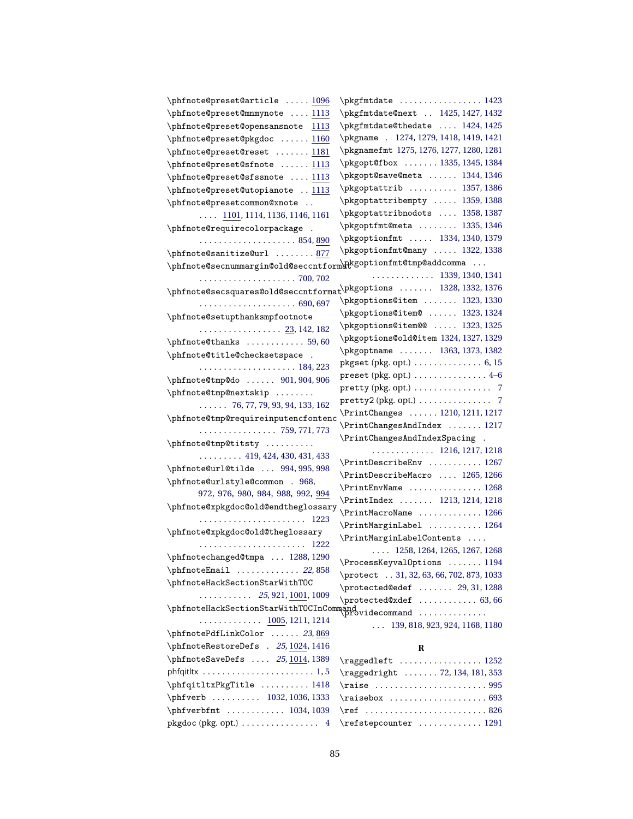| \phfnote@preset@article  1096                                                                    | \pkgfmtdate  1423                                      |
|--------------------------------------------------------------------------------------------------|--------------------------------------------------------|
| \phfnote@preset@mnmynote  1113                                                                   | \pkgfmtdate@next  1425, 1427, 1432                     |
| \phfnote@preset@opensansnote 1113                                                                | \pkgfmtdate@thedate  1424, 1425                        |
| \phfnote@preset@pkgdoc  1160                                                                     | \pkgname . 1274, 1279, 1418, 1419, 1421                |
| \phfnote@preset@reset  1181                                                                      | \pkgnamefmt 1275, 1276, 1277, 1280, 1281               |
| \phfnote@preset@sfnote  1113                                                                     | \pkgopt@fbox  1335, 1345, 1384                         |
| \phfnote@preset@sfssnote  1113                                                                   | \pkgopt@save@meta  1344, 1346                          |
| \phfnote@preset@utopianote  1113                                                                 | \pkgoptattrib  1357, 1386                              |
| \phfnote@presetcommon@xnote                                                                      | \pkgoptattribempty  1359, 1388                         |
| $\ldots$ 1101, 1114, 1136, 1146, 1161                                                            | \pkgoptattribnodots  1358, 1387                        |
| \phfnote@requirecolorpackage .                                                                   | \pkgoptfmt@meta  1335, 1346                            |
|                                                                                                  | \pkgoptionfmt  1334, 1340, 1379                        |
| \phfnote@sanitize@url  877                                                                       | \pkgoptionfmt@many  1322, 1338                         |
| $\verb \phfnote@secnummargin@old@seccntform@kgoptionfmt@tmp@addcomma  $                          |                                                        |
| . 700, 702                                                                                       | $\cdots$ 1339, 1340, 1341                              |
| $\verb \phfnote@seconds@old@seconds\verb \prfnote@seconds] 1376$                                 |                                                        |
|                                                                                                  | \pkgoptions@item  1323, 1330                           |
| \phfnote@setupthanksmpfootnote                                                                   | \pkgoptions@item@  1323, 1324                          |
| . <u>23</u> , 142, 182                                                                           | \pkgoptions@item@@  1323,1325                          |
| \phfnote@thanks  59,60                                                                           | \pkgoptions@old@item 1324, 1327, 1329                  |
| \phfnote@title@checksetspace .                                                                   | \pkgoptname  1363, 1373, 1382                          |
|                                                                                                  | $pkgset (pkg. opt.) \ldots \ldots \ldots \ldots 6, 15$ |
| \phfnote@tmp@do  901,904,906                                                                     | preset (pkg. opt.) $\dots \dots \dots \dots \dots 4-6$ |
| \phfnote@tmp@nextskip                                                                            | pretty (pkg. opt.) 7                                   |
| $\ldots$ . 76, 77, 79, 93, 94, 133, 162                                                          |                                                        |
|                                                                                                  | \PrintChanges  1210, 1211, 1217                        |
| \phfnote@tmp@requireinputencfontenc<br>$\cdots \cdots \cdots \cdots \cdots \cdots$ 759, 771, 773 | \PrintChangesAndIndex  1217                            |
|                                                                                                  | \PrintChangesAndIndexSpacing .                         |
| \phfnote@tmp@titsty<br>$\ldots \ldots \ldots 419, 424, 430, 431, 433$                            | $\ldots \ldots \ldots \ldots$ 1216, 1217, 1218         |
|                                                                                                  | \PrintDescribeEnv  1267                                |
| \phfnote@url@tilde  994,995,998<br>\phfnote@urlstyle@common . 968,                               | \PrintDescribeMacro  1265, 1266                        |
|                                                                                                  | \PrintEnvName  1268                                    |
| 972, 976, 980, 984, 988, 992, 994<br>\phfnote@xpkgdoc@old@endtheglossary                         | \PrintIndex  1213, 1214, 1218                          |
|                                                                                                  | \PrintMacroName  1266                                  |
|                                                                                                  | \PrintMarginLabel  1264                                |
| \phfnote@xpkgdoc@old@theglossary                                                                 | \PrintMarginLabelContents                              |
|                                                                                                  | $\ldots$ 1258, 1264, 1265, 1267, 1268                  |
| \phfnotechanged@tmpa  1288, 1290                                                                 | \ProcessKeyvalOptions  1194                            |
| $\phi$ fnoteEmail  22,858                                                                        | \protect 31, 32, 63, 66, 702, 873, 1033                |
| \phfnoteHackSectionStarWithTOC                                                                   | $\text{C}$ /protected@edef  29, 31, 1288               |
| $\ldots \ldots \ldots 25, 921, \underline{1001}, 1009$                                           | \protected@xdef  63,66                                 |
| $\verb \phfnoteHackSectionStarWithTOCInCommand@cycle command~~$                                  |                                                        |
| $\ldots \ldots \ldots \ldots$ 1005, 1211, 1214                                                   | $\ldots$ 139, 818, 923, 924, 1168, 1180                |
| \phfnotePdfLinkColor  23,869                                                                     |                                                        |
| \phfnoteRestoreDefs . 25, 1024, 1416                                                             | R                                                      |
| \phfnoteSaveDefs  25, 1014, 1389                                                                 | \raggedleft  1252                                      |
| phfqitltx $\dots\dots\dots\dots\dots\dots\dots\dots\dots$                                        | \raggedright  72, 134, 181, 353                        |
| \phfqitltxPkgTitle  1418                                                                         | \raise 995                                             |
| \phfverb  1032, 1036, 1333                                                                       | $\raisebox  \n \n \n693$                               |
| $\phi$ 1034, 1039                                                                                | \ref 826                                               |
| $pkgdoc$ (pkg. opt.) 4                                                                           | \refstepcounter  1291                                  |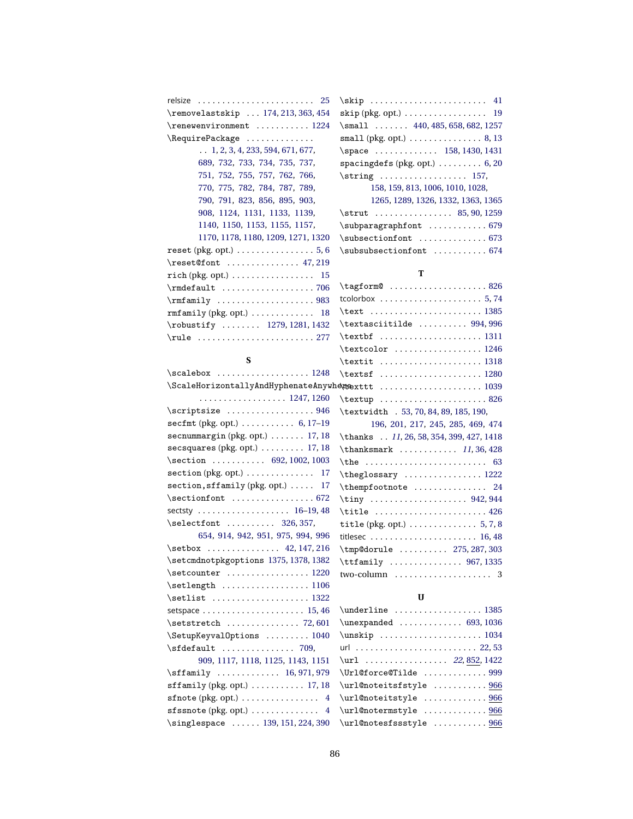| relsize $\ldots \ldots \ldots \ldots \ldots \ldots \ldots$ | $\skip$ 41                                                  |
|------------------------------------------------------------|-------------------------------------------------------------|
| \removelastskip  174, 213, 363, 454                        | skip (pkg. opt.) $\ldots \ldots \ldots \ldots \ldots$ 19    |
| \renewenvironment  1224                                    | $\mathrm{Imall}$ 440, 485, 658, 682, 1257                   |
| \RequirePackage                                            | small (pkg. opt.) $\ldots \ldots \ldots \ldots 8$ , 13      |
| $\ldots$ 1, 2, 3, 4, 233, 594, 671, 677,                   | \space  158, 1430, 1431                                     |
| 689, 732, 733, 734, 735, 737,                              | spacing defs (pkg. opt.) $\ldots \ldots \ldots 6, 20$       |
| 751, 752, 755, 757, 762, 766,                              | $\strut\text{array} \ldots \ldots \ldots \strut 157,$       |
| 770, 775, 782, 784, 787, 789,                              | 158, 159, 813, 1006, 1010, 1028,                            |
| 790, 791, 823, 856, 895, 903,                              | 1265, 1289, 1326, 1332, 1363, 1365                          |
| 908, 1124, 1131, 1133, 1139,                               | $\strut \ldots \ldots \ldots \strut 85, 90, 1259$           |
| 1140, 1150, 1153, 1155, 1157,                              |                                                             |
| 1170, 1178, 1180, 1209, 1271, 1320                         | $\subsectionfont$ 673                                       |
| reset (pkg. opt.) $\ldots \ldots \ldots \ldots 5, 6$       | \subsubsectionfont  674                                     |
| $\text{Test@font } \ldots \ldots \ldots \quad 47,219$      |                                                             |
| rich (pkg. opt.) $\ldots \ldots \ldots \ldots \ldots$ 15   | т                                                           |
|                                                            |                                                             |
|                                                            | tcolorbox $\ldots \ldots \ldots \ldots \ldots \ldots 5, 74$ |
| $rmfamily$ (pkg. opt.)  18                                 | $\texttt{. 1385}$                                           |
| $\text{robustify} \dots 1279, 1281, 1432$                  | $\texttt{textasciitilde} \dots \dots \ 994,996$             |
| \rule  277                                                 |                                                             |

| $\mathrm{Imall}$ 440, 485, 658, 682, 1257                   |
|-------------------------------------------------------------|
| small (pkg. opt.) $\ldots \ldots \ldots \ldots 8, 13$       |
| \space  158, 1430, 1431                                     |
| spacing defs (pkg. opt.) $\ldots \ldots \ldots 6, 20$       |
| $\strut\text{array} \ldots \ldots \ldots \quad \text{157},$ |
| 158, 159, 813, 1006, 1010, 1028,                            |
| 1265, 1289, 1326, 1332, 1363, 1365                          |
| $\strut \ldots \ldots \ldots \strut 85, 90, 1259$           |
| \subparagraphfont  679                                      |

| ault 706                                          | $\tag{826}$                                                                                                                  |
|---------------------------------------------------|------------------------------------------------------------------------------------------------------------------------------|
| ily 983                                           | tcolorbox $\ldots \ldots \ldots \ldots \ldots \ldots 5, 74$                                                                  |
| $1y$ (pkg. opt.) $\ldots \ldots \ldots \ldots 18$ | \text  1385                                                                                                                  |
| tify  1279, 1281, 1432                            | $\text{text}$ asciitilde  994,996                                                                                            |
|                                                   |                                                                                                                              |
|                                                   | $\text{textcolor} \dots \dots \dots \dots \dots \dots \dots \dots$                                                           |
| S                                                 | $\text{textit} \dots \dots \dots \dots \dots \dots \dots \dots \dots$                                                        |
| box  1248                                         |                                                                                                                              |
|                                                   | $\texttt{HorizontallyAndHyphenateAnywhe}$ articly $\ldots\ldots\ldots\ldots\ldots\ldots\ldots\ldots\ldots\ldots\ldots\ldots$ |
| 1247, 1260                                        |                                                                                                                              |
| tsize $\ldots \ldots \ldots \ldots \ldots 946$    | \textwidth . 53, 70, 84, 89, 185, 190,                                                                                       |
| (pkg. opt.) $\dots \dots \dots \dots 6$ , 17-19   | 196, 201, 217, 245, 285, 469, 474                                                                                            |
| margin (pkg. opt.) $\ldots \ldots$ 17, 18         | \thanks 11, 26, 58, 354, 399, 427, 1418                                                                                      |
| ares (pkg. opt.) $\ldots \ldots \ldots$ 17, 18    | \thanksmark  11,36,428                                                                                                       |
| on  692, 1002, 1003                               |                                                                                                                              |
| $n$ (pkg. opt.) $\ldots \ldots \ldots \ldots 17$  |                                                                                                                              |
| $n,$ sffamily (pkg. opt.) $\ldots$ 17             | \thempfootnote  24                                                                                                           |
| onfont $\ldots \ldots \ldots \ldots \ldots 672$   | \tiny  942,944                                                                                                               |
|                                                   | $\tilde{26}$                                                                                                                 |
| tfont $326, 357,$                                 | title (pkg. opt.) $\ldots \ldots \ldots \ldots 5, 7, 8$                                                                      |
| 654, 914, 942, 951, 975, 994, 996                 | titlesec  16,48                                                                                                              |
| $x \dots \dots \dots \dots \dots$ 42, 147, 216    | \tmp@dorule  275, 287, 303                                                                                                   |
| dnotpkgoptions 1375, 1378, 1382                   | \ttfamily  967, 1335                                                                                                         |
| unter $\ldots \ldots \ldots \ldots \ldots 1220$   |                                                                                                                              |
| ngth 1106                                         |                                                                                                                              |

#### **U**

| \underline  1385                                                             |
|------------------------------------------------------------------------------|
| $\unexpanded$ 693, 1036                                                      |
| $\unskip 1mm \text{array} \, \ldots \, \ldots \, \ldots \, \ldots \, \ldots$ |
|                                                                              |
| $\ur1$ 22, 852, 1422                                                         |
| \Url@force@Tilde 999                                                         |
| \url@noteitsfstyle  966                                                      |
| \url@noteitstyle  966                                                        |
| \url@notermstyle  966                                                        |
| \url@notesfssstyle  966                                                      |

| \ScaleHorizontallyAndHyphenateAny |  |  |  |  |  |  |  |
|-----------------------------------|--|--|--|--|--|--|--|

| $\scriptstyle\setminus$ scriptsize 946                  |
|---------------------------------------------------------|
| secfmt (pkg. opt.) $\ldots \ldots \ldots 6$ , 17-19     |
| secnummargin (pkg. opt.)  17, 18                        |
| $sec$ squares (pkg. opt.) $\ldots \ldots \ldots$ 17, 18 |
| \section  692, 1002, 1003                               |
| $section (pkg. opt.) \ldots \ldots \ldots \ldots 17$    |
| section, sffamily (pkg. opt.)  17                       |
| $\setminus$ sectionfont  672                            |
| sectsty  16-19, 48                                      |
| $\setminus$ selectfont  326, 357,                       |
| 654, 914, 942, 951, 975, 994, 996                       |
| \setbox  42, 147, 216                                   |
| \setcmdnotpkgoptions 1375, 1378, 1382                   |
| $\setminus$ setcounter  1220                            |
| $\setminus$ setlength 1106                              |
| \setlist  1322                                          |
|                                                         |
| $\setminus$ setstretch  72,601                          |
| \SetupKeyvalOptions  1040                               |
| $\setminus$ sfdefault  709,                             |
| 909, 1117, 1118, 1125, 1143, 1151                       |
| \sffamily  16, 971, 979                                 |
| $\texttt{sfamily}$ (pkg. opt.)  17, 18                  |
| sfnote (pkg. opt.) $\ldots \ldots \ldots \ldots$ 4      |
| sfssnote (pkg. opt.)  4                                 |
| \singlespace  139, 151, 224, 390                        |